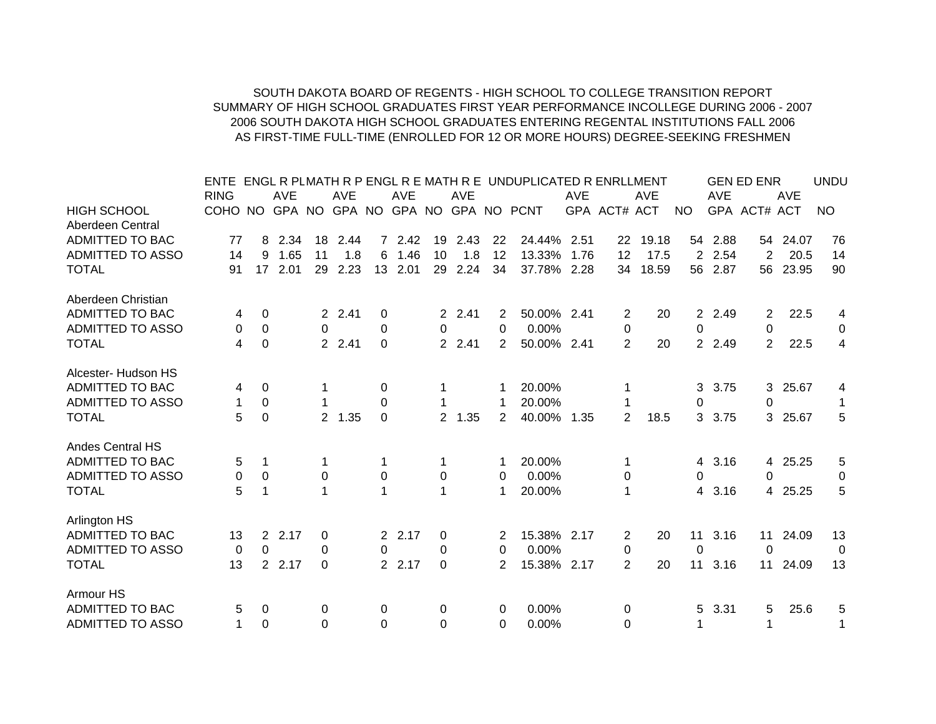## SOUTH DAKOTA BOARD OF REGENTS - HIGH SCHOOL TO COLLEGE TRANSITION REPORTSUMMARY OF HIGH SCHOOL GRADUATES FIRST YEAR PERFORMANCE INCOLLEGE DURING 2006 - 2007 2006 SOUTH DAKOTA HIGH SCHOOL GRADUATES ENTERING REGENTAL INSTITUTIONS FALL 2006 AS FIRST-TIME FULL-TIME (ENROLLED FOR 12 OR MORE HOURS) DEGREE-SEEKING FRESHMEN

|                         | ENTE        |          |                     |                |            |              |            |                |            |    | ENGL R PLMATH R P ENGL R E MATH R E UNDUPLICATED R ENRLLMENT |            |                |            |                |            | <b>GEN ED ENR</b> |            | <b>UNDU</b> |
|-------------------------|-------------|----------|---------------------|----------------|------------|--------------|------------|----------------|------------|----|--------------------------------------------------------------|------------|----------------|------------|----------------|------------|-------------------|------------|-------------|
|                         | <b>RING</b> |          | <b>AVE</b>          |                | <b>AVE</b> |              | <b>AVE</b> |                | <b>AVE</b> |    |                                                              | <b>AVE</b> |                | <b>AVE</b> |                | <b>AVE</b> |                   | <b>AVE</b> |             |
| <b>HIGH SCHOOL</b>      | COHO NO     |          |                     |                |            |              |            |                |            |    | GPA NO GPA NO GPA NO GPA NO PCNT                             |            | GPA ACT# ACT   |            | <b>NO</b>      |            | GPA ACT# ACT      |            | <b>NO</b>   |
| Aberdeen Central        |             |          |                     |                |            |              |            |                |            |    |                                                              |            |                |            |                |            |                   |            |             |
| <b>ADMITTED TO BAC</b>  | 77          | 8        | 2.34                | 18             | 2.44       |              | 7 2.42     |                | 19 2.43    | 22 | 24.44% 2.51                                                  |            |                | 22 19.18   |                | 54 2.88    |                   | 54 24.07   | 76          |
| <b>ADMITTED TO ASSO</b> | 14          | 9        | 1.65                | 11             | 1.8        | 6            | 1.46       | 10             | 1.8        | 12 | 13.33%                                                       | 1.76       | 12             | 17.5       | $\overline{2}$ | 2.54       | 2                 | 20.5       | 14          |
| <b>TOTAL</b>            | 91          | 17       | 2.01                | 29             | 2.23       |              | 13 2.01    | 29             | 2.24       | 34 | 37.78%                                                       | 2.28       | 34             | 18.59      |                | 56 2.87    | 56                | 23.95      | 90          |
| Aberdeen Christian      |             |          |                     |                |            |              |            |                |            |    |                                                              |            |                |            |                |            |                   |            |             |
| <b>ADMITTED TO BAC</b>  | 4           | 0        |                     |                | 2 2.41     | 0            |            |                | 2 2.41     | 2  | 50.00% 2.41                                                  |            | 2              | 20         | $\overline{2}$ | 2.49       | 2                 | 22.5       | 4           |
| <b>ADMITTED TO ASSO</b> | 0           | $\Omega$ |                     | 0              |            | $\mathbf{0}$ |            | 0              |            | 0  | 0.00%                                                        |            | 0              |            | 0              |            | 0                 |            | 0           |
| <b>TOTAL</b>            | 4           | $\Omega$ |                     |                | 2 2.41     | $\Omega$     |            |                | 2 2.41     | 2  | 50.00% 2.41                                                  |            | $\overline{2}$ | 20         |                | 2 2.49     | $\overline{2}$    | 22.5       | 4           |
| Alcester- Hudson HS     |             |          |                     |                |            |              |            |                |            |    |                                                              |            |                |            |                |            |                   |            |             |
| ADMITTED TO BAC         | 4           | 0        |                     |                |            | 0            |            |                |            |    | 20.00%                                                       |            |                |            | 3              | 3.75       | 3.                | 25.67      | 4           |
| <b>ADMITTED TO ASSO</b> | 1           | $\Omega$ |                     |                |            | 0            |            |                |            |    | 20.00%                                                       |            |                |            | 0              |            | 0                 |            | 1           |
| <b>TOTAL</b>            | 5           | $\Omega$ |                     | $\overline{2}$ | 1.35       | $\mathbf{0}$ |            | $\overline{2}$ | 1.35       | 2  | 40.00%                                                       | 1.35       | $\overline{2}$ | 18.5       | 3              | 3.75       | 3                 | 25.67      | 5           |
| Andes Central HS        |             |          |                     |                |            |              |            |                |            |    |                                                              |            |                |            |                |            |                   |            |             |
| <b>ADMITTED TO BAC</b>  | 5           |          |                     |                |            | 1            |            |                |            |    | 20.00%                                                       |            |                |            | 4              | 3.16       | 4                 | 25.25      | 5           |
| <b>ADMITTED TO ASSO</b> | 0           | 0        |                     | 0              |            | 0            |            | 0              |            | 0  | 0.00%                                                        |            | 0              |            | 0              |            | 0                 |            | 0           |
| <b>TOTAL</b>            | 5           |          |                     | 1              |            | 1            |            |                |            | 1  | 20.00%                                                       |            | 1              |            | 4              | 3.16       | 4                 | 25.25      | 5           |
| Arlington HS            |             |          |                     |                |            |              |            |                |            |    |                                                              |            |                |            |                |            |                   |            |             |
| ADMITTED TO BAC         | 13          |          | 2.17<br>$2^{\circ}$ | 0              |            |              | 2 2.17     | 0              |            | 2  | 15.38% 2.17                                                  |            | $\overline{2}$ | 20         | 11             | 3.16       | 11                | 24.09      | 13          |
| <b>ADMITTED TO ASSO</b> | 0           | $\Omega$ |                     | 0              |            | 0            |            | 0              |            | 0  | 0.00%                                                        |            | 0              |            | 0              |            | 0                 |            | 0           |
| <b>TOTAL</b>            | 13          |          | 2 2.17              | $\Omega$       |            |              | 2 2.17     | $\Omega$       |            | 2  | 15.38% 2.17                                                  |            | $\overline{2}$ | 20         | 11             | 3.16       | 11                | 24.09      | 13          |
| Armour HS               |             |          |                     |                |            |              |            |                |            |    |                                                              |            |                |            |                |            |                   |            |             |
| ADMITTED TO BAC         | 5           | 0        |                     | 0              |            | 0            |            | 0              |            | 0  | $0.00\%$                                                     |            | 0              |            | 5.             | 3.31       | 5                 | 25.6       | 5           |
| <b>ADMITTED TO ASSO</b> | 1           | $\Omega$ |                     | 0              |            | 0            |            | 0              |            | 0  | 0.00%                                                        |            | 0              |            |                |            | 1                 |            | 1           |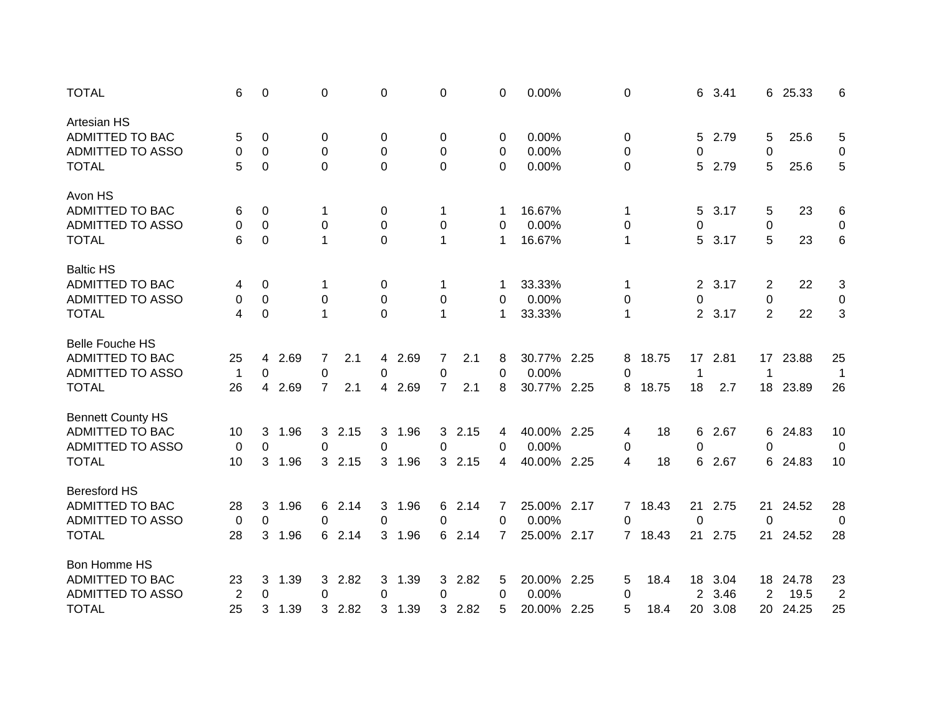| <b>TOTAL</b>             | 6            | 0         |      | 0              |        | 0 |        | 0              |      | 0        | 0.00%       |      | 0         |         | 6              | 3.41 | 6               | 25.33 | 6              |
|--------------------------|--------------|-----------|------|----------------|--------|---|--------|----------------|------|----------|-------------|------|-----------|---------|----------------|------|-----------------|-------|----------------|
| <b>Artesian HS</b>       |              |           |      |                |        |   |        |                |      |          |             |      |           |         |                |      |                 |       |                |
| ADMITTED TO BAC          | 5            | 0         |      | 0              |        | 0 |        | 0              |      | 0        | 0.00%       |      | 0         |         | 5              | 2.79 | 5               | 25.6  | 5              |
| <b>ADMITTED TO ASSO</b>  | 0            | 0         |      | 0              |        | 0 |        | 0              |      | 0        | 0.00%       |      | 0         |         | 0              |      | 0               |       | 0              |
| <b>TOTAL</b>             | 5            | 0         |      | $\Omega$       |        | 0 |        | 0              |      | $\Omega$ | 0.00%       |      | 0         |         | 5              | 2.79 | 5               | 25.6  | 5              |
| Avon HS                  |              |           |      |                |        |   |        |                |      |          |             |      |           |         |                |      |                 |       |                |
| ADMITTED TO BAC          | 6            | 0         |      | 1              |        | 0 |        | 1              |      |          | 16.67%      |      | 1         |         | 5              | 3.17 | 5               | 23    | 6              |
| <b>ADMITTED TO ASSO</b>  | 0            | $\pmb{0}$ |      | $\pmb{0}$      |        | 0 |        | 0              |      | 0        | 0.00%       |      | $\pmb{0}$ |         | 0              |      | 0               |       | 0              |
| <b>TOTAL</b>             | 6            | 0         |      | 1              |        | 0 |        | 1              |      | 1        | 16.67%      |      | 1         |         | 5              | 3.17 | 5               | 23    | 6              |
| <b>Baltic HS</b>         |              |           |      |                |        |   |        |                |      |          |             |      |           |         |                |      |                 |       |                |
| <b>ADMITTED TO BAC</b>   | 4            | 0         |      | -1             |        | 0 |        | 1              |      |          | 33.33%      |      | 1         |         | 2              | 3.17 | 2               | 22    | 3              |
| <b>ADMITTED TO ASSO</b>  | 0            | 0         |      | 0              |        | 0 |        | 0              |      | 0        | 0.00%       |      | 0         |         | 0              |      | 0               |       | $\mathbf 0$    |
| <b>TOTAL</b>             | 4            | 0         |      | $\mathbf{1}$   |        | 0 |        | $\mathbf 1$    |      | 1        | 33.33%      |      | 1         |         | $\overline{2}$ | 3.17 | 2               | 22    | 3              |
| <b>Belle Fouche HS</b>   |              |           |      |                |        |   |        |                |      |          |             |      |           |         |                |      |                 |       |                |
| ADMITTED TO BAC          | 25           | 4         | 2.69 | 7              | 2.1    |   | 4 2.69 | 7              | 2.1  | 8        | 30.77% 2.25 |      | 8         | 18.75   | 17             | 2.81 | 17 <sub>2</sub> | 23.88 | 25             |
| <b>ADMITTED TO ASSO</b>  | $\mathbf{1}$ | 0         |      | 0              |        | 0 |        | 0              |      | 0        | 0.00%       |      | 0         |         | 1              |      | 1               |       | 1              |
| <b>TOTAL</b>             | 26           | 4         | 2.69 | $\overline{7}$ | 2.1    |   | 4 2.69 | $\overline{7}$ | 2.1  | 8        | 30.77%      | 2.25 | 8         | 18.75   | 18             | 2.7  | 18              | 23.89 | 26             |
| <b>Bennett County HS</b> |              |           |      |                |        |   |        |                |      |          |             |      |           |         |                |      |                 |       |                |
| ADMITTED TO BAC          | 10           | 3         | 1.96 | 3              | 2.15   | 3 | 1.96   | 3              | 2.15 | 4        | 40.00% 2.25 |      | 4         | 18      | 6              | 2.67 | 6               | 24.83 | 10             |
| <b>ADMITTED TO ASSO</b>  | 0            | $\Omega$  |      | 0              |        | 0 |        | 0              |      | 0        | 0.00%       |      | 0         |         | 0              |      | 0               |       | 0              |
| <b>TOTAL</b>             | 10           | 3         | 1.96 | 3              | 2.15   |   | 3 1.96 | 3              | 2.15 | 4        | 40.00%      | 2.25 | 4         | 18      | 6              | 2.67 | 6               | 24.83 | 10             |
| <b>Beresford HS</b>      |              |           |      |                |        |   |        |                |      |          |             |      |           |         |                |      |                 |       |                |
| <b>ADMITTED TO BAC</b>   | 28           | 3         | 1.96 | 6              | 2.14   | 3 | 1.96   | 6              | 2.14 | 7        | 25.00% 2.17 |      | 7         | 18.43   | 21             | 2.75 | 21              | 24.52 | 28             |
| <b>ADMITTED TO ASSO</b>  | 0            | 0         |      | 0              |        | 0 |        | 0              |      | 0        | 0.00%       |      | 0         |         | $\mathbf 0$    |      | 0               |       | $\mathbf 0$    |
| <b>TOTAL</b>             | 28           | 3         | 1.96 |                | 6 2.14 |   | 3 1.96 | 6              | 2.14 | 7        | 25.00% 2.17 |      |           | 7 18.43 | 21             | 2.75 | 21              | 24.52 | 28             |
| Bon Homme HS             |              |           |      |                |        |   |        |                |      |          |             |      |           |         |                |      |                 |       |                |
| <b>ADMITTED TO BAC</b>   | 23           | 3         | 1.39 | 3              | 2.82   | 3 | 1.39   | 3.             | 2.82 | 5        | 20.00% 2.25 |      | 5         | 18.4    | 18             | 3.04 | 18              | 24.78 | 23             |
| <b>ADMITTED TO ASSO</b>  | 2            | 0         |      | 0              |        | 0 |        | 0              |      | 0        | 0.00%       |      | 0         |         | 2              | 3.46 | $\overline{2}$  | 19.5  | $\overline{2}$ |
| <b>TOTAL</b>             | 25           | 3         | 1.39 | 3              | 2.82   | 3 | 1.39   | 3              | 2.82 | 5        | 20.00% 2.25 |      | 5         | 18.4    | 20             | 3.08 | 20              | 24.25 | 25             |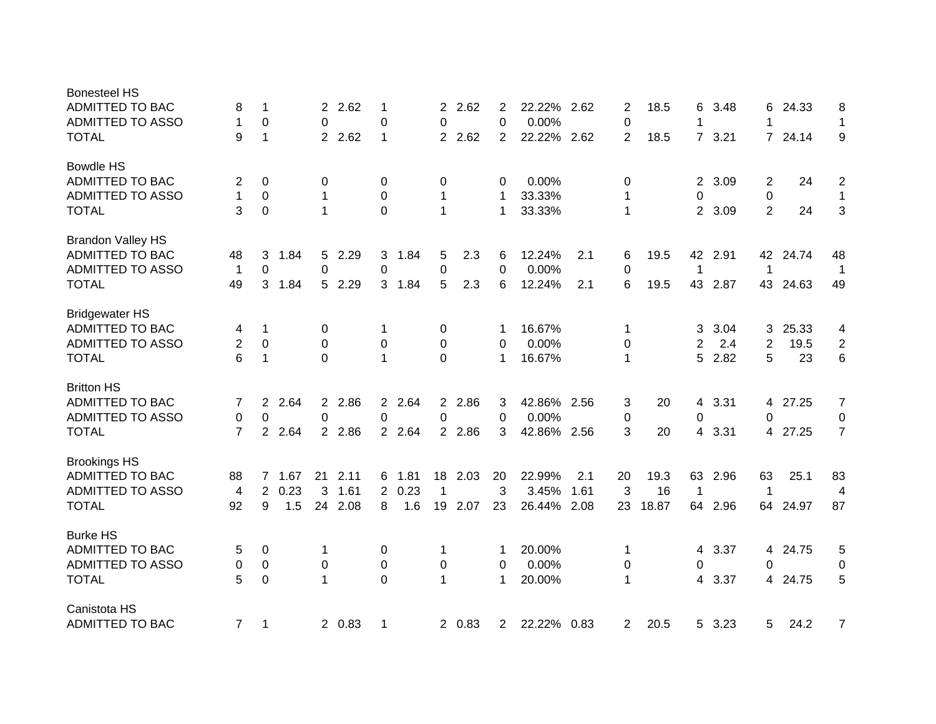| <b>Bonesteel HS</b>      |                |                |      |                |         |                |        |                |         |                |             |      |                |       |                |      |                |         |                |
|--------------------------|----------------|----------------|------|----------------|---------|----------------|--------|----------------|---------|----------------|-------------|------|----------------|-------|----------------|------|----------------|---------|----------------|
| <b>ADMITTED TO BAC</b>   | 8              | 1              |      |                | 2 2.62  | 1              |        | 2              | 2.62    | 2              | 22.22%      | 2.62 | 2              | 18.5  | 6              | 3.48 | 6              | 24.33   | 8              |
| <b>ADMITTED TO ASSO</b>  | 1              | 0              |      | $\Omega$       |         | $\pmb{0}$      |        | 0              |         | 0              | 0.00%       |      | $\pmb{0}$      |       | 1              |      | 1              |         | $\mathbf 1$    |
| <b>TOTAL</b>             | 9              | 1              |      | $\overline{2}$ | 2.62    | $\mathbf{1}$   |        | $\overline{2}$ | 2.62    | $\overline{2}$ | 22.22%      | 2.62 | 2              | 18.5  | $7^{\circ}$    | 3.21 | $\overline{7}$ | 24.14   | 9              |
| <b>Bowdle HS</b>         |                |                |      |                |         |                |        |                |         |                |             |      |                |       |                |      |                |         |                |
| <b>ADMITTED TO BAC</b>   | 2              | 0              |      | 0              |         | 0              |        | 0              |         | 0              | 0.00%       |      | 0              |       | 2              | 3.09 | 2              | 24      | $\overline{c}$ |
| ADMITTED TO ASSO         | $\mathbf{1}$   | 0              |      | 1              |         | 0              |        | 1              |         | 1              | 33.33%      |      | $\mathbf 1$    |       | 0              |      | $\mathbf 0$    |         | $\mathbf{1}$   |
| <b>TOTAL</b>             | 3              | $\mathbf 0$    |      | 1              |         | $\mathbf 0$    |        | 1              |         | 1              | 33.33%      |      | $\mathbf 1$    |       | $\overline{2}$ | 3.09 | $\overline{2}$ | 24      | 3              |
| <b>Brandon Valley HS</b> |                |                |      |                |         |                |        |                |         |                |             |      |                |       |                |      |                |         |                |
| ADMITTED TO BAC          | 48             | 3              | 1.84 | 5              | 2.29    | 3              | 1.84   | 5              | 2.3     | 6              | 12.24%      | 2.1  | 6              | 19.5  | 42             | 2.91 | 42             | 24.74   | 48             |
| ADMITTED TO ASSO         | $\mathbf{1}$   | $\mathbf 0$    |      | 0              |         | 0              |        | $\pmb{0}$      |         | 0              | 0.00%       |      | 0              |       | 1              |      | $\mathbf 1$    |         | -1             |
| <b>TOTAL</b>             | 49             | 3              | 1.84 | 5              | 2.29    |                | 3 1.84 | 5              | 2.3     | 6              | 12.24%      | 2.1  | 6              | 19.5  | 43             | 2.87 | 43             | 24.63   | 49             |
| <b>Bridgewater HS</b>    |                |                |      |                |         |                |        |                |         |                |             |      |                |       |                |      |                |         |                |
| ADMITTED TO BAC          | 4              | 1              |      | 0              |         | 1              |        | 0              |         | -1             | 16.67%      |      | 1              |       | 3              | 3.04 | 3              | 25.33   | 4              |
| <b>ADMITTED TO ASSO</b>  | 2              | 0              |      | $\Omega$       |         | 0              |        | 0              |         | 0              | 0.00%       |      | 0              |       | 2              | 2.4  | 2              | 19.5    | $\overline{2}$ |
| <b>TOTAL</b>             | 6              | 1              |      | $\Omega$       |         | $\mathbf{1}$   |        | $\Omega$       |         | 1              | 16.67%      |      | $\mathbf 1$    |       | 5              | 2.82 | 5              | 23      | 6              |
| <b>Britton HS</b>        |                |                |      |                |         |                |        |                |         |                |             |      |                |       |                |      |                |         |                |
| ADMITTED TO BAC          | 7              | $\overline{2}$ | 2.64 |                | 2 2.86  |                | 2 2.64 | 2 <sup>2</sup> | 2.86    | 3              | 42.86% 2.56 |      | 3              | 20    | 4              | 3.31 | 4              | 27.25   | $\overline{7}$ |
| <b>ADMITTED TO ASSO</b>  | 0              | 0              |      | $\Omega$       |         | 0              |        | 0              |         | $\Omega$       | 0.00%       |      | 0              |       | 0              |      | 0              |         | 0              |
| <b>TOTAL</b>             | $\overline{7}$ | $\overline{2}$ | 2.64 |                | 2 2.86  |                | 2 2.64 | $2^{\circ}$    | 2.86    | 3              | 42.86% 2.56 |      | 3              | 20    | 4              | 3.31 |                | 4 27.25 | $\overline{7}$ |
| <b>Brookings HS</b>      |                |                |      |                |         |                |        |                |         |                |             |      |                |       |                |      |                |         |                |
| ADMITTED TO BAC          | 88             | $7^{\circ}$    | 1.67 | 21             | 2.11    |                | 6 1.81 |                | 18 2.03 | 20             | 22.99%      | 2.1  | 20             | 19.3  | 63             | 2.96 | 63             | 25.1    | 83             |
| <b>ADMITTED TO ASSO</b>  | 4              | 2              | 0.23 | 3              | 1.61    |                | 2 0.23 | 1              |         | 3              | 3.45%       | 1.61 | 3              | 16    | $\mathbf 1$    |      | 1              |         | 4              |
| <b>TOTAL</b>             | 92             | 9              | 1.5  |                | 24 2.08 | 8              | 1.6    |                | 19 2.07 | 23             | 26.44%      | 2.08 | 23             | 18.87 | 64             | 2.96 | 64             | 24.97   | 87             |
| <b>Burke HS</b>          |                |                |      |                |         |                |        |                |         |                |             |      |                |       |                |      |                |         |                |
| ADMITTED TO BAC          | 5              | 0              |      | 1              |         | 0              |        | 1              |         | 1              | 20.00%      |      | 1              |       | 4              | 3.37 | 4              | 24.75   | 5              |
| <b>ADMITTED TO ASSO</b>  | 0              | 0              |      | 0              |         | 0              |        | $\pmb{0}$      |         | 0              | 0.00%       |      | 0              |       | 0              |      | 0              |         | 0              |
| <b>TOTAL</b>             | 5              | $\mathbf 0$    |      | 1              |         | $\overline{0}$ |        | $\mathbf{1}$   |         | 1              | 20.00%      |      | 1              |       | 4              | 3.37 | 4              | 24.75   | 5              |
| Canistota HS             |                |                |      |                |         |                |        |                |         |                |             |      |                |       |                |      |                |         |                |
| ADMITTED TO BAC          | $\overline{7}$ | 1              |      |                | 2 0.83  | 1              |        |                | 2 0.83  | 2              | 22.22% 0.83 |      | $\overline{2}$ | 20.5  | 5 <sup>1</sup> | 3.23 | 5              | 24.2    | $\overline{7}$ |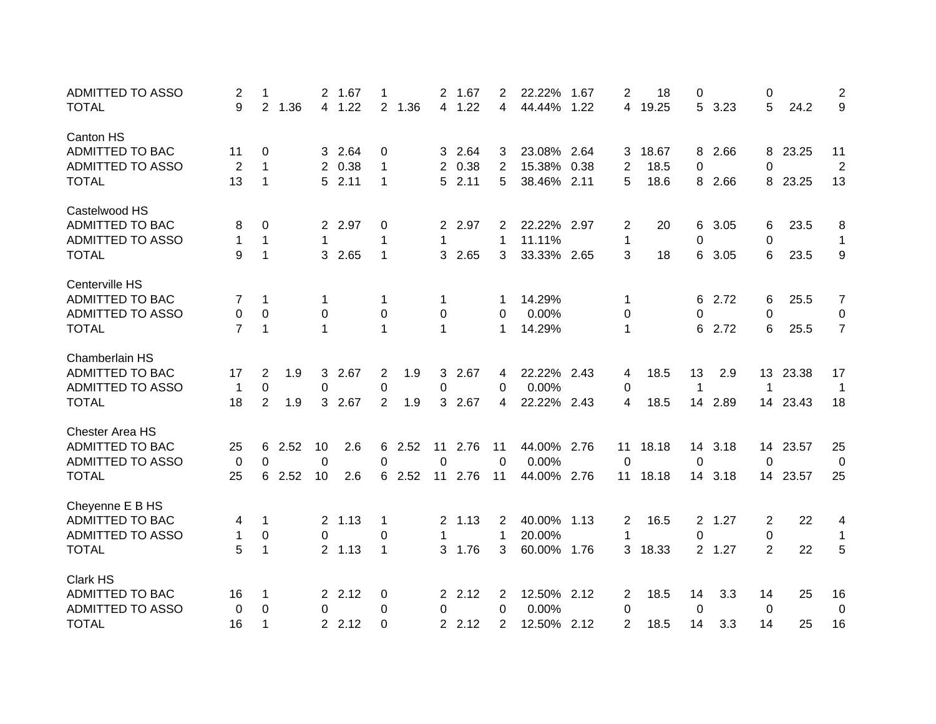| <b>ADMITTED TO ASSO</b> | 2              | 1              |      | 2           | 1.67    | 1              |        | 2            | 1.67    | 2              | 22.22%      | 1.67 | 2              | 18    | 0              |         | 0              |          | 2                |
|-------------------------|----------------|----------------|------|-------------|---------|----------------|--------|--------------|---------|----------------|-------------|------|----------------|-------|----------------|---------|----------------|----------|------------------|
| <b>TOTAL</b>            | 9              | 2              | 1.36 | 4           | 1.22    |                | 2 1.36 |              | 4 1.22  | 4              | 44.44%      | 1.22 | 4              | 19.25 | 5              | 3.23    | 5              | 24.2     | 9                |
| Canton HS               |                |                |      |             |         |                |        |              |         |                |             |      |                |       |                |         |                |          |                  |
| ADMITTED TO BAC         | 11             | 0              |      |             | 3 2.64  | 0              |        |              | 3 2.64  | 3              | 23.08% 2.64 |      | 3              | 18.67 | 8              | 2.66    | 8              | 23.25    | 11               |
| <b>ADMITTED TO ASSO</b> | $\overline{c}$ | 1              |      | 2           | 0.38    | 1              |        | 2            | 0.38    | 2              | 15.38%      | 0.38 | $\overline{2}$ | 18.5  | 0              |         | 0              |          | $\overline{2}$   |
| <b>TOTAL</b>            | 13             | 1              |      | 5.          | 2.11    | 1              |        |              | 52.11   | 5              | 38.46% 2.11 |      | 5              | 18.6  | 8              | 2.66    | 8              | 23.25    | 13               |
| Castelwood HS           |                |                |      |             |         |                |        |              |         |                |             |      |                |       |                |         |                |          |                  |
| ADMITTED TO BAC         | 8              | 0              |      |             | 2 2.97  | 0              |        |              | 2 2.97  | $\overline{2}$ | 22.22% 2.97 |      | 2              | 20    | 6              | 3.05    | 6              | 23.5     | 8                |
| <b>ADMITTED TO ASSO</b> | 1              | $\mathbf{1}$   |      | $\mathbf 1$ |         | 1              |        | 1            |         | 1              | 11.11%      |      | 1              |       | 0              |         | 0              |          | $\mathbf{1}$     |
| <b>TOTAL</b>            | 9              | 1              |      | 3           | 2.65    | $\mathbf{1}$   |        | 3            | 2.65    | 3              | 33.33% 2.65 |      | 3              | 18    | 6              | 3.05    | 6              | 23.5     | 9                |
| Centerville HS          |                |                |      |             |         |                |        |              |         |                |             |      |                |       |                |         |                |          |                  |
| ADMITTED TO BAC         | 7              | 1              |      | 1           |         | 1              |        | 1            |         |                | 14.29%      |      | 1              |       | 6              | 2.72    | 6              | 25.5     | $\boldsymbol{7}$ |
| <b>ADMITTED TO ASSO</b> | 0              | $\mathbf 0$    |      | 0           |         | 0              |        | 0            |         | 0              | 0.00%       |      | 0              |       | 0              |         | 0              |          | 0                |
| <b>TOTAL</b>            | $\overline{7}$ | $\mathbf{1}$   |      | 1           |         | 1              |        | $\mathbf{1}$ |         | 1              | 14.29%      |      | 1              |       | 6              | 2.72    | 6              | 25.5     | $\overline{7}$   |
| Chamberlain HS          |                |                |      |             |         |                |        |              |         |                |             |      |                |       |                |         |                |          |                  |
| <b>ADMITTED TO BAC</b>  | 17             | 2              | 1.9  | 3           | 2.67    | $\overline{2}$ | 1.9    |              | 3 2.67  | 4              | 22.22% 2.43 |      | 4              | 18.5  | 13             | 2.9     |                | 13 23.38 | 17               |
| ADMITTED TO ASSO        | $\mathbf{1}$   | 0              |      | 0           |         | 0              |        | 0            |         | $\Omega$       | 0.00%       |      | 0              |       | $\mathbf{1}$   |         | 1              |          | 1                |
| <b>TOTAL</b>            | 18             | $\overline{2}$ | 1.9  |             | 3 2.67  | $\overline{2}$ | 1.9    |              | 3 2.67  | 4              | 22.22% 2.43 |      | 4              | 18.5  |                | 14 2.89 |                | 14 23.43 | 18               |
| <b>Chester Area HS</b>  |                |                |      |             |         |                |        |              |         |                |             |      |                |       |                |         |                |          |                  |
| <b>ADMITTED TO BAC</b>  | 25             | 6              | 2.52 | 10          | 2.6     |                | 6 2.52 | 11           | 2.76    | 11             | 44.00% 2.76 |      | 11             | 18.18 | 14             | 3.18    |                | 14 23.57 | 25               |
| <b>ADMITTED TO ASSO</b> | 0              | 0              |      | $\Omega$    |         | $\Omega$       |        | 0            |         | $\Omega$       | 0.00%       |      | $\mathbf 0$    |       | 0              |         | $\Omega$       |          | 0                |
| <b>TOTAL</b>            | 25             | 6              | 2.52 | 10          | 2.6     |                | 6 2.52 |              | 11 2.76 | 11             | 44.00% 2.76 |      | 11             | 18.18 | 14             | 3.18    |                | 14 23.57 | 25               |
| Cheyenne E B HS         |                |                |      |             |         |                |        |              |         |                |             |      |                |       |                |         |                |          |                  |
| ADMITTED TO BAC         | 4              | 1              |      |             | 2, 1.13 | 1              |        | $2^{\circ}$  | 1.13    | $\overline{2}$ | 40.00%      | 1.13 | $\overline{2}$ | 16.5  | $\overline{2}$ | 1.27    | 2              | 22       | 4                |
| <b>ADMITTED TO ASSO</b> | 1              | 0              |      | $\Omega$    |         | $\pmb{0}$      |        | 1            |         | 1              | 20.00%      |      | 1              |       | 0              |         | 0              |          | $\mathbf{1}$     |
| <b>TOTAL</b>            | 5              | 1              |      |             | 2 1.13  | $\mathbf 1$    |        | 3            | 1.76    | 3              | 60.00%      | 1.76 | 3              | 18.33 | $2^{\circ}$    | 1.27    | $\overline{2}$ | 22       | 5                |
| <b>Clark HS</b>         |                |                |      |             |         |                |        |              |         |                |             |      |                |       |                |         |                |          |                  |
| ADMITTED TO BAC         | 16             | 1              |      |             | 2, 2.12 | 0              |        | $2^{\circ}$  | 2.12    | $\overline{2}$ | 12.50%      | 2.12 | $\overline{2}$ | 18.5  | 14             | 3.3     | 14             | 25       | 16               |
| <b>ADMITTED TO ASSO</b> | 0              | 0              |      | $\Omega$    |         | 0              |        | 0            |         | $\Omega$       | 0.00%       |      | 0              |       | 0              |         | 0              |          | 0                |
| <b>TOTAL</b>            | 16             | 1              |      |             | 2 2.12  | $\Omega$       |        | 2            | 2.12    | 2              | 12.50% 2.12 |      | 2              | 18.5  | 14             | 3.3     | 14             | 25       | 16               |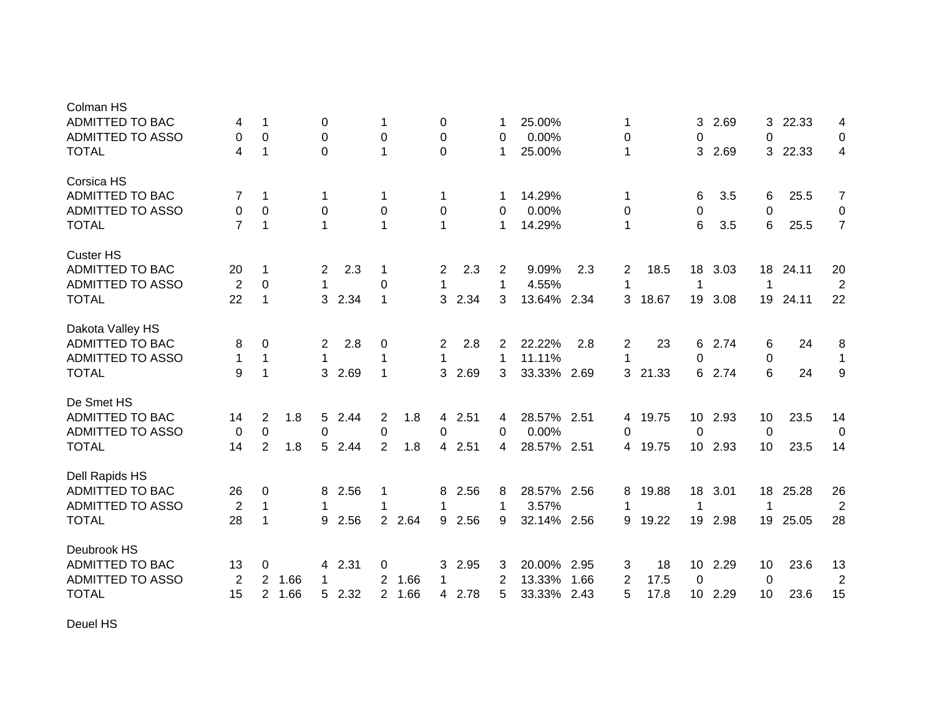| Colman HS               |                |                |      |                |      |                         |        |              |      |   |             |      |              |       |                 |      |    |       |                |
|-------------------------|----------------|----------------|------|----------------|------|-------------------------|--------|--------------|------|---|-------------|------|--------------|-------|-----------------|------|----|-------|----------------|
| <b>ADMITTED TO BAC</b>  | 4              | 1              |      | 0              |      | 1                       |        | 0            |      |   | 25.00%      |      | 1            |       | 3               | 2.69 | 3  | 22.33 | 4              |
| <b>ADMITTED TO ASSO</b> | 0              | 0              |      | 0              |      | 0                       |        | 0            |      | 0 | 0.00%       |      | 0            |       | 0               |      | 0  |       | 0              |
| <b>TOTAL</b>            | 4              | 1              |      | $\Omega$       |      | 1                       |        | $\Omega$     |      | 1 | 25.00%      |      | 1            |       | 3               | 2.69 | 3  | 22.33 | 4              |
| Corsica HS              |                |                |      |                |      |                         |        |              |      |   |             |      |              |       |                 |      |    |       |                |
| <b>ADMITTED TO BAC</b>  | 7              | $\mathbf{1}$   |      | -1             |      | 1                       |        | 1            |      |   | 14.29%      |      | 1            |       | 6               | 3.5  | 6  | 25.5  | $\overline{7}$ |
| <b>ADMITTED TO ASSO</b> | 0              | 0              |      | $\mathbf 0$    |      | 0                       |        | 0            |      | 0 | 0.00%       |      | 0            |       | $\pmb{0}$       |      | 0  |       | 0              |
| <b>TOTAL</b>            | $\overline{7}$ | 1              |      | 1              |      | $\mathbf 1$             |        | 1            |      | 1 | 14.29%      |      | 1            |       | 6               | 3.5  | 6  | 25.5  | $\overline{7}$ |
| <b>Custer HS</b>        |                |                |      |                |      |                         |        |              |      |   |             |      |              |       |                 |      |    |       |                |
| <b>ADMITTED TO BAC</b>  | 20             | 1              |      | $\overline{2}$ | 2.3  | 1                       |        | 2            | 2.3  | 2 | 9.09%       | 2.3  | 2            | 18.5  | 18              | 3.03 | 18 | 24.11 | 20             |
| <b>ADMITTED TO ASSO</b> | $\overline{2}$ | 0              |      | $\mathbf 1$    |      | 0                       |        | $\mathbf 1$  |      | 1 | 4.55%       |      | 1            |       | 1               |      | 1  |       | $\overline{2}$ |
| <b>TOTAL</b>            | 22             | $\mathbf{1}$   |      | 3              | 2.34 | $\mathbf{1}$            |        | 3            | 2.34 | 3 | 13.64%      | 2.34 | 3            | 18.67 | 19              | 3.08 | 19 | 24.11 | 22             |
| Dakota Valley HS        |                |                |      |                |      |                         |        |              |      |   |             |      |              |       |                 |      |    |       |                |
| <b>ADMITTED TO BAC</b>  | 8              | 0              |      | $\overline{2}$ | 2.8  | $\mathbf 0$             |        | 2            | 2.8  | 2 | 22.22%      | 2.8  | 2            | 23    | 6               | 2.74 | 6  | 24    | 8              |
| ADMITTED TO ASSO        | 1              | $\mathbf{1}$   |      | $\mathbf 1$    |      | 1                       |        | $\mathbf{1}$ |      | 1 | 11.11%      |      | $\mathbf{1}$ |       | $\pmb{0}$       |      | 0  |       | $\mathbf{1}$   |
| <b>TOTAL</b>            | 9              | $\mathbf 1$    |      | 3              | 2.69 | $\mathbf{1}$            |        | 3            | 2.69 | 3 | 33.33%      | 2.69 | 3            | 21.33 | 6               | 2.74 | 6  | 24    | 9              |
| De Smet HS              |                |                |      |                |      |                         |        |              |      |   |             |      |              |       |                 |      |    |       |                |
| <b>ADMITTED TO BAC</b>  | 14             | $\overline{c}$ | 1.8  | 5              | 2.44 | $\overline{\mathbf{c}}$ | 1.8    | 4            | 2.51 | 4 | 28.57% 2.51 |      | 4            | 19.75 | 10              | 2.93 | 10 | 23.5  | 14             |
| ADMITTED TO ASSO        | 0              | $\mathbf 0$    |      | 0              |      | 0                       |        | 0            |      | 0 | 0.00%       |      | 0            |       | 0               |      | 0  |       | 0              |
| <b>TOTAL</b>            | 14             | $\overline{2}$ | 1.8  | 5              | 2.44 | $\overline{2}$          | 1.8    | 4            | 2.51 | 4 | 28.57% 2.51 |      | 4            | 19.75 | 10 <sup>°</sup> | 2.93 | 10 | 23.5  | 14             |
| Dell Rapids HS          |                |                |      |                |      |                         |        |              |      |   |             |      |              |       |                 |      |    |       |                |
| ADMITTED TO BAC         | 26             | 0              |      | 8              | 2.56 | 1                       |        | 8            | 2.56 | 8 | 28.57%      | 2.56 | 8            | 19.88 | 18              | 3.01 | 18 | 25.28 | 26             |
| <b>ADMITTED TO ASSO</b> | $\overline{2}$ | $\mathbf{1}$   |      | -1             |      | 1                       |        | 1            |      | 1 | 3.57%       |      | 1            |       | 1               |      | 1  |       | $\overline{2}$ |
| <b>TOTAL</b>            | 28             | $\mathbf{1}$   |      | 9              | 2.56 |                         | 2 2.64 | 9            | 2.56 | 9 | 32.14%      | 2.56 | 9            | 19.22 | 19              | 2.98 | 19 | 25.05 | 28             |
| Deubrook HS             |                |                |      |                |      |                         |        |              |      |   |             |      |              |       |                 |      |    |       |                |
| <b>ADMITTED TO BAC</b>  | 13             | 0              |      | 4              | 2.31 | 0                       |        | 3            | 2.95 | 3 | 20.00%      | 2.95 | 3            | 18    | 10              | 2.29 | 10 | 23.6  | 13             |
| <b>ADMITTED TO ASSO</b> | $\overline{2}$ | 2              | 1.66 |                |      | $\overline{2}$          | 1.66   | 1            |      | 2 | 13.33%      | 1.66 | 2            | 17.5  | 0               |      | 0  |       | $\overline{2}$ |
| <b>TOTAL</b>            | 15             | $\overline{2}$ | 1.66 | 5              | 2.32 |                         | 2 1.66 | 4            | 2.78 | 5 | 33.33%      | 2.43 | 5            | 17.8  | 10 <sup>1</sup> | 2.29 | 10 | 23.6  | 15             |
|                         |                |                |      |                |      |                         |        |              |      |   |             |      |              |       |                 |      |    |       |                |

Deuel HS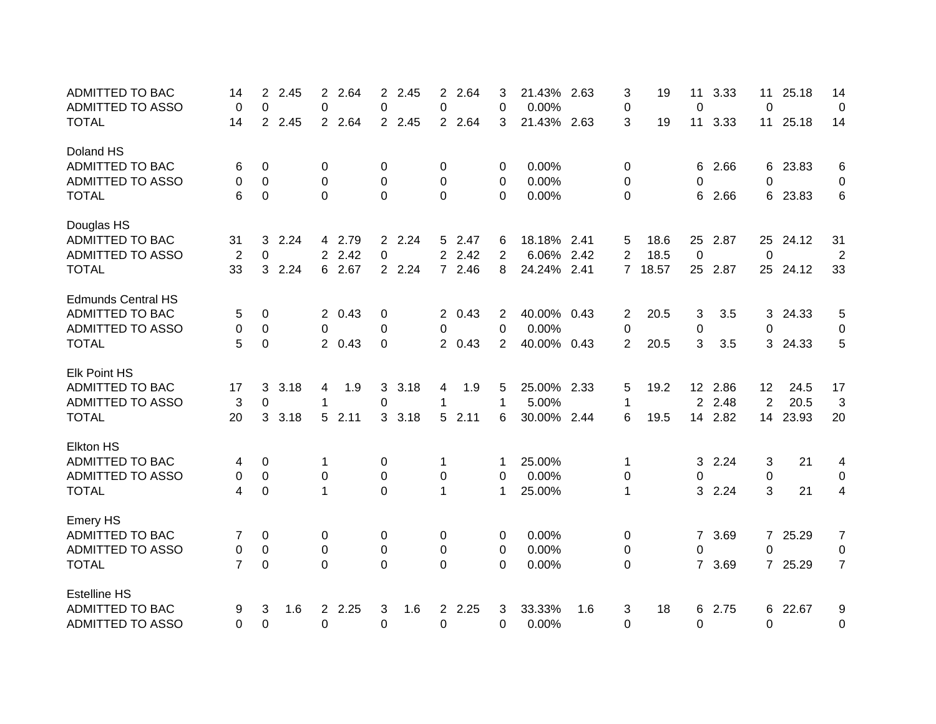| <b>ADMITTED TO BAC</b>    | 14             | 2              | 2.45 | $\overline{2}$ | 2.64   | $\overline{2}$ | 2.45    | 2              | 2.64   | 3              | 21.43%      | 2.63 | 3                | 19      | 11             | 3.33    | 11             | 25.18    | 14             |
|---------------------------|----------------|----------------|------|----------------|--------|----------------|---------|----------------|--------|----------------|-------------|------|------------------|---------|----------------|---------|----------------|----------|----------------|
| <b>ADMITTED TO ASSO</b>   | 0              | 0              |      | 0              |        | 0              |         | 0              |        | 0              | 0.00%       |      | 0                |         | $\mathbf 0$    |         | 0              |          | 0              |
| <b>TOTAL</b>              | 14             | $\overline{2}$ | 2.45 |                | 2 2.64 |                | 2 2.45  | 2 <sup>1</sup> | 2.64   | 3              | 21.43% 2.63 |      | 3                | 19      | 11             | 3.33    | 11             | 25.18    | 14             |
| Doland HS                 |                |                |      |                |        |                |         |                |        |                |             |      |                  |         |                |         |                |          |                |
| <b>ADMITTED TO BAC</b>    | 6              | 0              |      | 0              |        | 0              |         | 0              |        | 0              | 0.00%       |      | 0                |         | 6              | 2.66    | 6              | 23.83    | 6              |
| <b>ADMITTED TO ASSO</b>   | 0              | 0              |      | 0              |        | 0              |         | 0              |        | 0              | 0.00%       |      | 0                |         | 0              |         | 0              |          | 0              |
| <b>TOTAL</b>              | 6              | 0              |      | $\mathbf 0$    |        | $\overline{0}$ |         | $\mathbf 0$    |        | $\Omega$       | 0.00%       |      | $\Omega$         |         | 6              | 2.66    | 6              | 23.83    | 6              |
| Douglas HS                |                |                |      |                |        |                |         |                |        |                |             |      |                  |         |                |         |                |          |                |
| ADMITTED TO BAC           | 31             | 3              | 2.24 |                | 4 2.79 |                | 2 2.24  |                | 5 2.47 | 6              | 18.18% 2.41 |      | 5                | 18.6    | 25             | 2.87    | 25             | 24.12    | 31             |
| <b>ADMITTED TO ASSO</b>   | $\overline{2}$ | 0              |      |                | 2 2.42 | 0              |         | $\overline{2}$ | 2.42   | 2              | 6.06%       | 2.42 | $\overline{2}$   | 18.5    | 0              |         | $\Omega$       |          | $\overline{2}$ |
| <b>TOTAL</b>              | 33             | 3              | 2.24 |                | 6 2.67 |                | 2 2.24  |                | 7 2.46 | 8              | 24.24%      | 2.41 |                  | 7 18.57 | 25             | 2.87    |                | 25 24.12 | 33             |
| <b>Edmunds Central HS</b> |                |                |      |                |        |                |         |                |        |                |             |      |                  |         |                |         |                |          |                |
| ADMITTED TO BAC           | 5              | 0              |      |                | 2 0.43 | 0              |         |                | 2 0.43 | 2              | 40.00%      | 0.43 | 2                | 20.5    | 3              | 3.5     | 3              | 24.33    | 5              |
| <b>ADMITTED TO ASSO</b>   | 0              | 0              |      | 0              |        | 0              |         | 0              |        | $\Omega$       | 0.00%       |      | 0                |         | $\pmb{0}$      |         | 0              |          | 0              |
| <b>TOTAL</b>              | 5              | 0              |      |                | 2 0.43 | 0              |         |                | 2 0.43 | $\overline{2}$ | 40.00%      | 0.43 | 2                | 20.5    | 3              | 3.5     | 3              | 24.33    | 5              |
| <b>Elk Point HS</b>       |                |                |      |                |        |                |         |                |        |                |             |      |                  |         |                |         |                |          |                |
| <b>ADMITTED TO BAC</b>    | 17             | 3              | 3.18 | 4              | 1.9    |                | 3.18    | 4              | 1.9    | 5              | 25.00% 2.33 |      | 5                | 19.2    |                | 12 2.86 | 12             | 24.5     | 17             |
| ADMITTED TO ASSO          | 3              | 0              |      | 1              |        | 0              |         | 1              |        | 1              | 5.00%       |      | 1                |         | $\overline{2}$ | 2.48    | $\overline{2}$ | 20.5     | 3              |
| <b>TOTAL</b>              | 20             | 3              | 3.18 | 5              | 2.11   |                | 3, 3.18 | 5              | 2.11   | 6              | 30.00% 2.44 |      | 6                | 19.5    |                | 14 2.82 | 14             | 23.93    | 20             |
| <b>Elkton HS</b>          |                |                |      |                |        |                |         |                |        |                |             |      |                  |         |                |         |                |          |                |
| ADMITTED TO BAC           | 4              | 0              |      | 1              |        | 0              |         | 1              |        | -1             | 25.00%      |      | 1                |         | 3              | 2.24    | 3              | 21       | 4              |
| <b>ADMITTED TO ASSO</b>   | 0              | 0              |      | 0              |        | 0              |         | 0              |        | 0              | 0.00%       |      | 0                |         | 0              |         | 0              |          | 0              |
| <b>TOTAL</b>              | 4              | 0              |      | $\mathbf{1}$   |        | $\overline{0}$ |         | $\mathbf{1}$   |        | $\mathbf 1$    | 25.00%      |      | 1                |         | 3              | 2.24    | 3              | 21       | 4              |
| Emery HS                  |                |                |      |                |        |                |         |                |        |                |             |      |                  |         |                |         |                |          |                |
| ADMITTED TO BAC           | 7              | 0              |      | 0              |        | 0              |         | 0              |        | 0              | 0.00%       |      | 0                |         | 7              | 3.69    | $\overline{7}$ | 25.29    | $\overline{7}$ |
| <b>ADMITTED TO ASSO</b>   | 0              | $\pmb{0}$      |      | $\pmb{0}$      |        | $\pmb{0}$      |         | 0              |        | 0              | 0.00%       |      | 0                |         | 0              |         | $\Omega$       |          | 0              |
| <b>TOTAL</b>              | $\overline{7}$ | $\mathbf 0$    |      | $\mathbf 0$    |        | $\overline{0}$ |         | 0              |        | 0              | 0.00%       |      | $\boldsymbol{0}$ |         | $\overline{7}$ | 3.69    | $\overline{7}$ | 25.29    | $\overline{7}$ |
| <b>Estelline HS</b>       |                |                |      |                |        |                |         |                |        |                |             |      |                  |         |                |         |                |          |                |
| <b>ADMITTED TO BAC</b>    | 9              | 3              | 1.6  | $\overline{2}$ | 2.25   | 3              | 1.6     | $\overline{2}$ | 2.25   | 3              | 33.33%      | 1.6  | 3                | 18      | 6              | 2.75    | 6              | 22.67    | 9              |
| <b>ADMITTED TO ASSO</b>   | 0              | 0              |      | $\Omega$       |        | 0              |         | 0              |        | $\Omega$       | 0.00%       |      | 0                |         | $\overline{0}$ |         | $\Omega$       |          | 0              |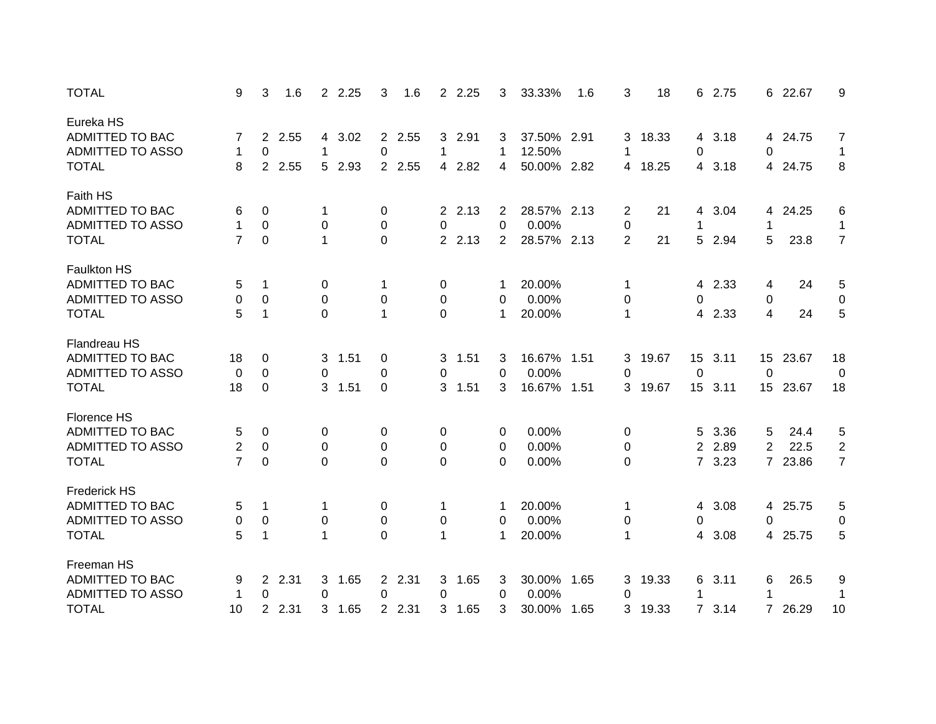| <b>TOTAL</b>            | 9              | 3<br>1.6               | 2 2.25                 | 3<br>1.6     | 2 2.25                 | 3              | 33.33%      | 1.6  | 3              | 18    | 6              | 2.75    |                  | 6 22.67 | 9              |
|-------------------------|----------------|------------------------|------------------------|--------------|------------------------|----------------|-------------|------|----------------|-------|----------------|---------|------------------|---------|----------------|
| Eureka HS               |                |                        |                        |              |                        |                |             |      |                |       |                |         |                  |         |                |
| ADMITTED TO BAC         | 7              | 2 2.55                 | 4 3.02                 | 2 2.55       | 3 2.91                 | 3              | 37.50% 2.91 |      | 3              | 18.33 |                | 4 3.18  |                  | 4 24.75 | $\overline{7}$ |
| ADMITTED TO ASSO        | 1              | $\mathbf 0$            | 1                      | 0            | 1                      | $\mathbf 1$    | 12.50%      |      | 1              |       | 0              |         | 0                |         | $\mathbf{1}$   |
| <b>TOTAL</b>            | 8              | $2^{\circ}$<br>2.55    | 2.93<br>5 <sup>5</sup> | 2 2.55       | 2.82<br>$\overline{4}$ | 4              | 50.00% 2.82 |      | 4              | 18.25 | 4              | 3.18    | 4                | 24.75   | 8              |
| Faith HS                |                |                        |                        |              |                        |                |             |      |                |       |                |         |                  |         |                |
| ADMITTED TO BAC         | 6              | 0                      | 1                      | 0            | 2.13<br>$2^{\circ}$    | 2              | 28.57% 2.13 |      | 2              | 21    | 4              | 3.04    | 4                | 24.25   | 6              |
| ADMITTED TO ASSO        | 1              | $\mathbf 0$            | $\mathbf 0$            | $\pmb{0}$    | 0                      | 0              | 0.00%       |      | 0              |       | 1              |         | 1                |         | $\mathbf{1}$   |
| <b>TOTAL</b>            | 7              | $\mathbf 0$            | 1                      | $\mathbf 0$  | 2 2.13                 | $\overline{2}$ | 28.57% 2.13 |      | $\overline{2}$ | 21    | 5              | 2.94    | 5                | 23.8    | $\overline{7}$ |
| <b>Faulkton HS</b>      |                |                        |                        |              |                        |                |             |      |                |       |                |         |                  |         |                |
| ADMITTED TO BAC         | 5              | 1                      | 0                      | 1            | 0                      |                | 20.00%      |      | 1              |       | 4              | 2.33    | 4                | 24      | 5              |
| ADMITTED TO ASSO        | 0              | 0                      | 0                      | $\pmb{0}$    | 0                      | 0              | 0.00%       |      | 0              |       | 0              |         | 0                |         | 0              |
| <b>TOTAL</b>            | 5              | $\mathbf 1$            | $\Omega$               | $\mathbf{1}$ | 0                      | 1              | 20.00%      |      | $\mathbf{1}$   |       | 4              | 2.33    | 4                | 24      | $\overline{5}$ |
| Flandreau HS            |                |                        |                        |              |                        |                |             |      |                |       |                |         |                  |         |                |
| <b>ADMITTED TO BAC</b>  | 18             | 0                      | 1.51<br>3              | 0            | 1.51<br>3              | 3              | 16.67% 1.51 |      | 3              | 19.67 |                | 15 3.11 | 15 <sub>15</sub> | 23.67   | 18             |
| ADMITTED TO ASSO        | 0              | $\mathbf 0$            | 0                      | 0            | 0                      | 0              | 0.00%       |      | 0              |       | $\mathbf 0$    |         | 0                |         | 0              |
| <b>TOTAL</b>            | 18             | 0                      | 1.51<br>3              | 0            | 1.51<br>3              | 3              | 16.67%      | 1.51 | 3              | 19.67 |                | 15 3.11 | 15 <sub>1</sub>  | 23.67   | 18             |
| Florence HS             |                |                        |                        |              |                        |                |             |      |                |       |                |         |                  |         |                |
| ADMITTED TO BAC         | 5              | 0                      | 0                      | 0            | 0                      | 0              | 0.00%       |      | 0              |       | 5              | 3.36    | 5                | 24.4    | 5              |
| ADMITTED TO ASSO        | 2              | $\mathbf 0$            | 0                      | $\pmb{0}$    | 0                      | 0              | 0.00%       |      | 0              |       | $\overline{2}$ | 2.89    | 2                | 22.5    | $\overline{c}$ |
| <b>TOTAL</b>            | $\overline{7}$ | 0                      | $\Omega$               | $\mathbf 0$  | 0                      | 0              | 0.00%       |      | 0              |       |                | 7 3.23  | $\overline{7}$   | 23.86   | $\overline{7}$ |
| <b>Frederick HS</b>     |                |                        |                        |              |                        |                |             |      |                |       |                |         |                  |         |                |
| ADMITTED TO BAC         | 5              | 1                      | 1                      | 0            | 1                      |                | 20.00%      |      | 1              |       | 4              | 3.08    | 4                | 25.75   | 5              |
| ADMITTED TO ASSO        | 0              | $\pmb{0}$              | 0                      | $\pmb{0}$    | 0                      | 0              | 0.00%       |      | 0              |       | 0              |         | 0                |         | 0              |
| <b>TOTAL</b>            | 5              | 1                      | 1                      | $\mathbf 0$  | 1                      | 1              | 20.00%      |      | 1              |       | 4              | 3.08    | 4                | 25.75   | 5              |
| Freeman HS              |                |                        |                        |              |                        |                |             |      |                |       |                |         |                  |         |                |
| ADMITTED TO BAC         | 9              | 2.31<br>2 <sup>1</sup> | 3<br>1.65              | 2 2.31       | 1.65<br>$\mathbf{3}$   | 3              | 30.00%      | 1.65 | 3              | 19.33 | 6              | 3.11    | 6                | 26.5    | 9              |
| <b>ADMITTED TO ASSO</b> | 1              | 0                      | 0                      | 0            | 0                      | 0              | 0.00%       |      | 0              |       |                |         | 1                |         | 1              |
| <b>TOTAL</b>            | 10             | $\overline{2}$<br>2.31 | 3<br>1.65              | 2 2.31       | 3<br>1.65              | 3              | 30.00%      | 1.65 | 3              | 19.33 |                | 73.14   | $7^{\circ}$      | 26.29   | 10             |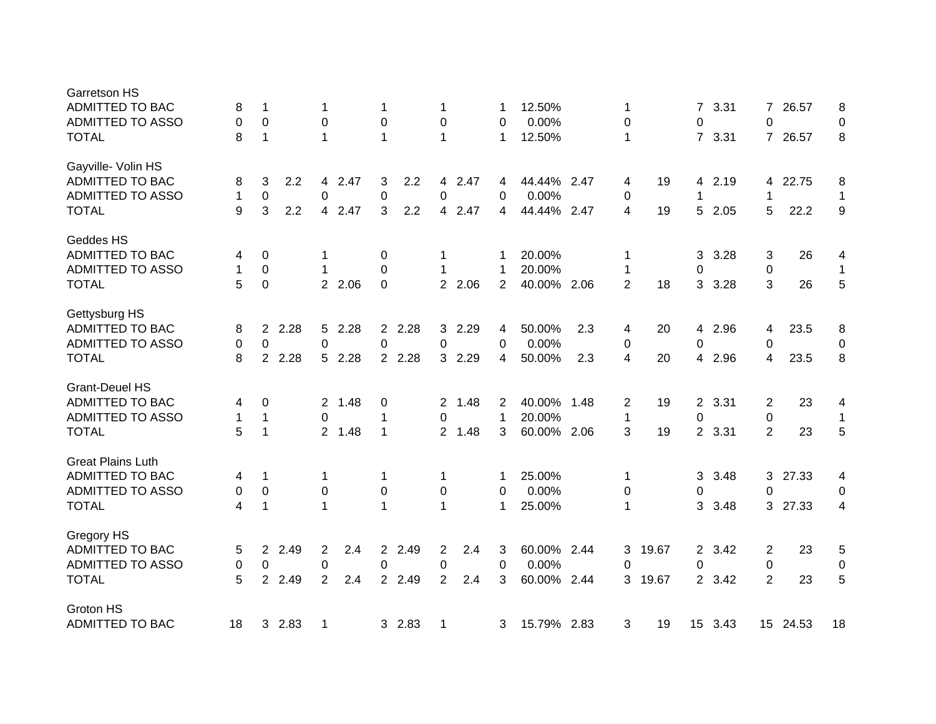| Garretson HS             |    |             |      |                |        |                |        |                  |      |    |             |      |                |       |                  |      |                |          |              |
|--------------------------|----|-------------|------|----------------|--------|----------------|--------|------------------|------|----|-------------|------|----------------|-------|------------------|------|----------------|----------|--------------|
| <b>ADMITTED TO BAC</b>   | 8  | 1           |      | 1              |        | 1              |        | 1                |      |    | 12.50%      |      | 1              |       | 7                | 3.31 | 7              | 26.57    | 8            |
| <b>ADMITTED TO ASSO</b>  | 0  | $\mathbf 0$ |      | 0              |        | $\pmb{0}$      |        | $\boldsymbol{0}$ |      | 0  | 0.00%       |      | $\pmb{0}$      |       | 0                |      | 0              |          | $\mathbf 0$  |
| <b>TOTAL</b>             | 8  | 1           |      | 1              |        | 1              |        | 1                |      | 1  | 12.50%      |      | $\mathbf{1}$   |       | $\overline{7}$   | 3.31 | $\overline{7}$ | 26.57    | 8            |
| Gayville- Volin HS       |    |             |      |                |        |                |        |                  |      |    |             |      |                |       |                  |      |                |          |              |
| <b>ADMITTED TO BAC</b>   | 8  | 3           | 2.2  | 4              | 2.47   | 3              | 2.2    | 4                | 2.47 | 4  | 44.44%      | 2.47 | 4              | 19    | 4                | 2.19 | 4              | 22.75    | 8            |
| <b>ADMITTED TO ASSO</b>  | 1  | $\pmb{0}$   |      | 0              |        | $\pmb{0}$      |        | 0                |      | 0  | 0.00%       |      | $\pmb{0}$      |       | 1                |      | 1              |          | $\mathbf 1$  |
| <b>TOTAL</b>             | 9  | 3           | 2.2  | 4              | 2.47   | 3              | 2.2    | 4                | 2.47 | 4  | 44.44%      | 2.47 | 4              | 19    | 5                | 2.05 | 5              | 22.2     | 9            |
| Geddes HS                |    |             |      |                |        |                |        |                  |      |    |             |      |                |       |                  |      |                |          |              |
| <b>ADMITTED TO BAC</b>   | 4  | 0           |      | 1              |        | 0              |        | 1                |      | 1  | 20.00%      |      | 1              |       | 3                | 3.28 | 3              | 26       | 4            |
| <b>ADMITTED TO ASSO</b>  | 1  | 0           |      | 1              |        | 0              |        | 1                |      | -1 | 20.00%      |      | 1              |       | 0                |      | 0              |          | $\mathbf 1$  |
| <b>TOTAL</b>             | 5  | $\pmb{0}$   |      |                | 2 2.06 | $\mathbf 0$    |        | $\overline{2}$   | 2.06 | 2  | 40.00%      | 2.06 | $\overline{2}$ | 18    | 3                | 3.28 | 3              | 26       | 5            |
| Gettysburg HS            |    |             |      |                |        |                |        |                  |      |    |             |      |                |       |                  |      |                |          |              |
| ADMITTED TO BAC          | 8  | 2           | 2.28 | 5              | 2.28   |                | 2 2.28 | 3                | 2.29 | 4  | 50.00%      | 2.3  | 4              | 20    | 4                | 2.96 | 4              | 23.5     | 8            |
| <b>ADMITTED TO ASSO</b>  | 0  | $\mathbf 0$ |      | 0              |        | 0              |        | 0                |      | 0  | 0.00%       |      | $\pmb{0}$      |       | 0                |      | 0              |          | 0            |
| <b>TOTAL</b>             | 8  | $2^{\circ}$ | 2.28 | 5              | 2.28   |                | 2 2.28 | 3                | 2.29 | 4  | 50.00%      | 2.3  | 4              | 20    | 4                | 2.96 | 4              | 23.5     | 8            |
| <b>Grant-Deuel HS</b>    |    |             |      |                |        |                |        |                  |      |    |             |      |                |       |                  |      |                |          |              |
| <b>ADMITTED TO BAC</b>   | 4  | 0           |      | $2^{\circ}$    | 1.48   | 0              |        | $\mathbf{2}$     | 1.48 | 2  | 40.00%      | 1.48 | $\overline{2}$ | 19    | $\overline{2}$   | 3.31 | 2              | 23       | 4            |
| <b>ADMITTED TO ASSO</b>  | 1  | 1           |      | $\Omega$       |        | 1              |        | 0                |      | 1  | 20.00%      |      | 1              |       | 0                |      | 0              |          | $\mathbf{1}$ |
| <b>TOTAL</b>             | 5  | 1           |      | $\overline{2}$ | 1.48   | $\mathbf{1}$   |        | $2^{\circ}$      | 1.48 | 3  | 60.00% 2.06 |      | 3              | 19    | $\overline{2}$   | 3.31 | $\overline{2}$ | 23       | 5            |
| <b>Great Plains Luth</b> |    |             |      |                |        |                |        |                  |      |    |             |      |                |       |                  |      |                |          |              |
| <b>ADMITTED TO BAC</b>   | 4  | -1          |      | 1              |        | 1              |        | 1                |      | 1  | 25.00%      |      | -1             |       | 3                | 3.48 | 3              | 27.33    | 4            |
| <b>ADMITTED TO ASSO</b>  | 0  | 0           |      | 0              |        | 0              |        | 0                |      | 0  | 0.00%       |      | 0              |       | 0                |      | 0              |          | 0            |
| <b>TOTAL</b>             | 4  | 1           |      | 1              |        | 1              |        | 1                |      | 1  | 25.00%      |      | $\mathbf 1$    |       | 3                | 3.48 | 3              | 27.33    | 4            |
| Gregory HS               |    |             |      |                |        |                |        |                  |      |    |             |      |                |       |                  |      |                |          |              |
| ADMITTED TO BAC          | 5  | 2           | 2.49 | 2              | 2.4    | $\overline{2}$ | 2.49   | 2                | 2.4  | 3  | 60.00%      | 2.44 | 3              | 19.67 | $\overline{2}$   | 3.42 | 2              | 23       | $\sqrt{5}$   |
| <b>ADMITTED TO ASSO</b>  | 0  | 0           |      | 0              |        | 0              |        | $\pmb{0}$        |      | 0  | 0.00%       |      | 0              |       | 0                |      | 0              |          | 0            |
| <b>TOTAL</b>             | 5  | 2           | 2.49 | $\overline{2}$ | 2.4    |                | 2 2.49 | $\overline{2}$   | 2.4  | 3  | 60.00%      | 2.44 | 3              | 19.67 | $\overline{2}$   | 3.42 | 2              | 23       | 5            |
| Groton HS                |    |             |      |                |        |                |        |                  |      |    |             |      |                |       |                  |      |                |          |              |
| <b>ADMITTED TO BAC</b>   | 18 | 3           | 2.83 | $\mathbf 1$    |        |                | 3 2.83 | 1                |      | 3  | 15.79% 2.83 |      | 3              | 19    | 15 <sup>15</sup> | 3.43 |                | 15 24.53 | 18           |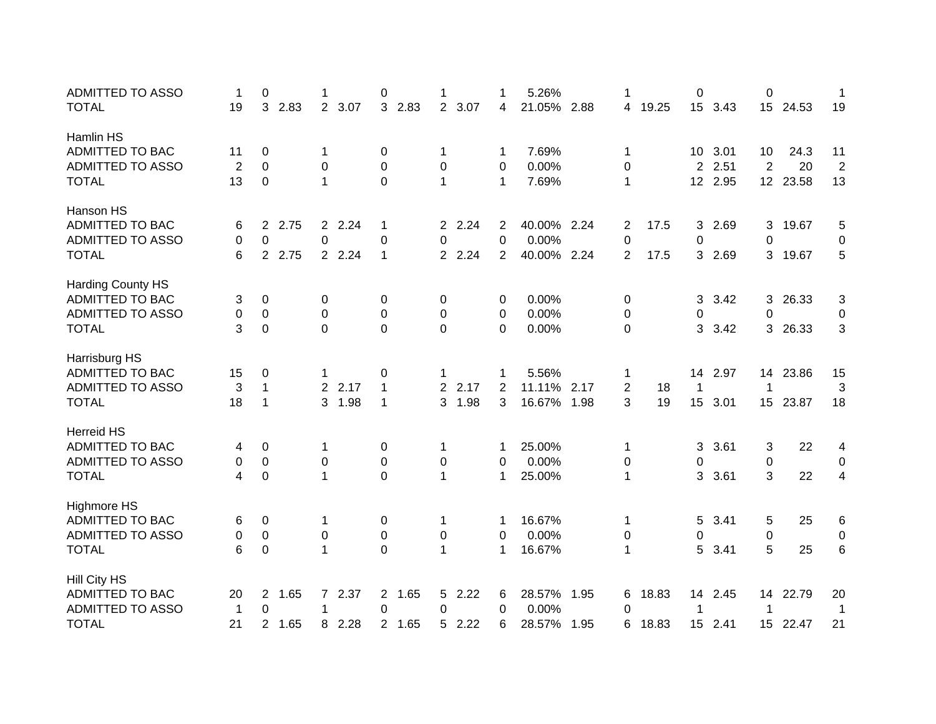| <b>ADMITTED TO ASSO</b>  | 1              | 0                      | 1                      | 0           |                        | 1            | 5.26%       |      | 1              |       | 0                |         | 0                |          | 1              |
|--------------------------|----------------|------------------------|------------------------|-------------|------------------------|--------------|-------------|------|----------------|-------|------------------|---------|------------------|----------|----------------|
| <b>TOTAL</b>             | 19             | 3<br>2.83              | $\overline{2}$<br>3.07 | 3 2.83      | $\overline{2}$<br>3.07 | 4            | 21.05% 2.88 |      | 4              | 19.25 |                  | 15 3.43 | 15               | 24.53    | 19             |
| Hamlin HS                |                |                        |                        |             |                        |              |             |      |                |       |                  |         |                  |          |                |
| <b>ADMITTED TO BAC</b>   | 11             | 0                      | 1                      | 0           | 1                      | -1           | 7.69%       |      | 1              |       | 10               | 3.01    | 10               | 24.3     | 11             |
| <b>ADMITTED TO ASSO</b>  | $\overline{2}$ | 0                      | $\Omega$               | 0           | 0                      | 0            | 0.00%       |      | 0              |       | 2                | 2.51    | 2                | 20       | $\overline{2}$ |
| <b>TOTAL</b>             | 13             | $\Omega$               | $\mathbf{1}$           | $\mathbf 0$ | $\mathbf 1$            | $\mathbf{1}$ | 7.69%       |      | $\mathbf 1$    |       | 12 <sup>2</sup>  | 2.95    |                  | 12 23.58 | 13             |
| Hanson HS                |                |                        |                        |             |                        |              |             |      |                |       |                  |         |                  |          |                |
| <b>ADMITTED TO BAC</b>   | 6              | 2.75<br>$\overline{2}$ | 2 2.24                 | 1           | 2 2.24                 | 2            | 40.00% 2.24 |      | 2              | 17.5  | 3                | 2.69    | 3                | 19.67    | 5              |
| <b>ADMITTED TO ASSO</b>  | 0              | 0                      | 0                      | 0           | 0                      | $\Omega$     | 0.00%       |      | 0              |       | 0                |         | 0                |          | 0              |
| <b>TOTAL</b>             | 6              | 2.75<br>$2^{\circ}$    | 2 2.24                 | 1           | 2 2.24                 | 2            | 40.00% 2.24 |      | 2              | 17.5  | 3                | 2.69    | 3                | 19.67    | 5              |
| <b>Harding County HS</b> |                |                        |                        |             |                        |              |             |      |                |       |                  |         |                  |          |                |
| ADMITTED TO BAC          | 3              | 0                      | 0                      | 0           | 0                      | 0            | 0.00%       |      | 0              |       | 3                | 3.42    | 3                | 26.33    | 3              |
| <b>ADMITTED TO ASSO</b>  | 0              | 0                      | 0                      | 0           | 0                      | 0            | 0.00%       |      | 0              |       | 0                |         | 0                |          | 0              |
| <b>TOTAL</b>             | 3              | 0                      | $\Omega$               | 0           | 0                      | 0            | 0.00%       |      | 0              |       | 3                | 3.42    | 3                | 26.33    | 3              |
| Harrisburg HS            |                |                        |                        |             |                        |              |             |      |                |       |                  |         |                  |          |                |
| <b>ADMITTED TO BAC</b>   | 15             | 0                      | 1                      | 0           | 1                      | -1           | 5.56%       |      | 1              |       | 14               | 2.97    |                  | 14 23.86 | 15             |
| <b>ADMITTED TO ASSO</b>  | 3              | $\mathbf{1}$           | 2 2.17                 | 1           | $\overline{2}$<br>2.17 | 2            | 11.11%      | 2.17 | $\overline{2}$ | 18    | 1                |         | 1                |          | 3              |
| <b>TOTAL</b>             | 18             | 1                      | 3<br>1.98              | 1           | 3<br>1.98              | 3            | 16.67%      | 1.98 | 3              | 19    | 15               | 3.01    |                  | 15 23.87 | 18             |
| <b>Herreid HS</b>        |                |                        |                        |             |                        |              |             |      |                |       |                  |         |                  |          |                |
| <b>ADMITTED TO BAC</b>   | 4              | 0                      | 1                      | 0           | 1                      | -1           | 25.00%      |      | 1              |       | 3                | 3.61    | 3                | 22       | 4              |
| <b>ADMITTED TO ASSO</b>  | 0              | 0                      | 0                      | 0           | 0                      | 0            | 0.00%       |      | 0              |       | 0                |         | 0                |          | 0              |
| <b>TOTAL</b>             | 4              | 0                      | 1                      | 0           | 1                      | $\mathbf 1$  | 25.00%      |      | 1              |       | 3                | 3.61    | 3                | 22       | 4              |
| <b>Highmore HS</b>       |                |                        |                        |             |                        |              |             |      |                |       |                  |         |                  |          |                |
| ADMITTED TO BAC          | 6              | 0                      | 1                      | 0           | 1                      | 1            | 16.67%      |      | 1              |       | 5                | 3.41    | 5                | 25       | 6              |
| <b>ADMITTED TO ASSO</b>  | 0              | 0                      | 0                      | 0           | 0                      | 0            | 0.00%       |      | 0              |       | 0                |         | 0                |          | 0              |
| <b>TOTAL</b>             | 6              | 0                      | 1                      | 0           | 1                      | $\mathbf 1$  | 16.67%      |      | 1              |       | 5                | 3.41    | 5                | 25       | 6              |
| <b>Hill City HS</b>      |                |                        |                        |             |                        |              |             |      |                |       |                  |         |                  |          |                |
| ADMITTED TO BAC          | 20             | 1.65<br>$\overline{2}$ | 2.37<br>$7^{\circ}$    | 2 1.65      | 2.22<br>5              | 6            | 28.57%      | 1.95 | 6              | 18.83 | 14               | 2.45    | 14               | 22.79    | 20             |
| <b>ADMITTED TO ASSO</b>  | $\mathbf 1$    | 0                      | $\mathbf{1}$           | 0           | 0                      | $\Omega$     | 0.00%       |      | 0              |       | 1                |         | 1                |          | $\mathbf 1$    |
| <b>TOTAL</b>             | 21             | 1.65<br>$\overline{2}$ | 2.28<br>8              | 2 1.65      | 2.22<br>5              | 6            | 28.57%      | 1.95 | 6              | 18.83 | 15 <sup>15</sup> | 2.41    | 15 <sub>15</sub> | 22.47    | 21             |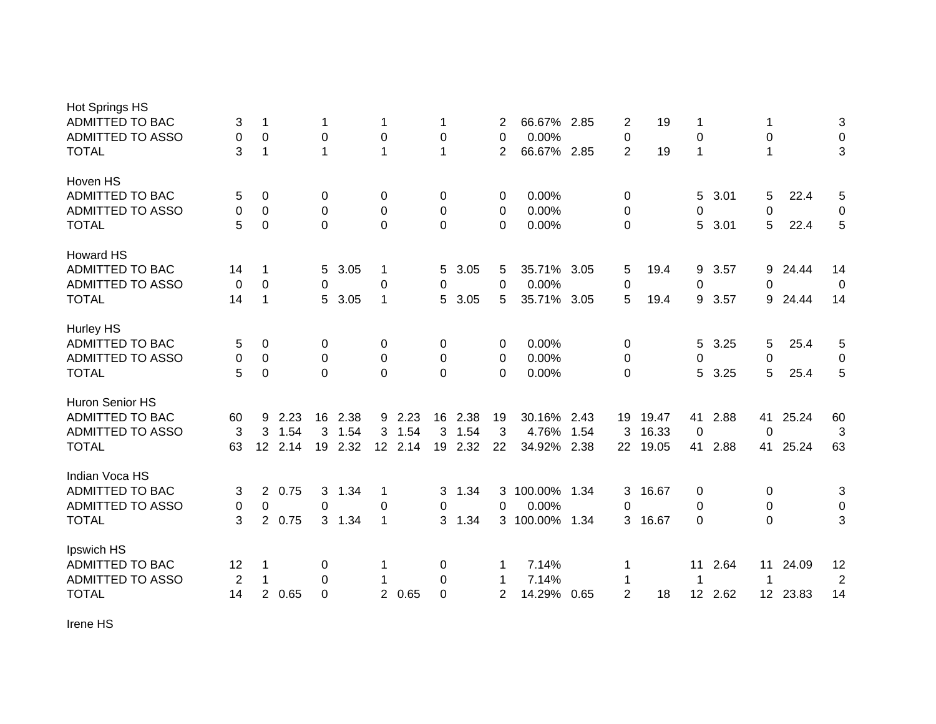| <b>Hot Springs HS</b>   |    |                |      |                |      |                |         |                |      |                |             |      |                |       |                 |      |                 |       |                |
|-------------------------|----|----------------|------|----------------|------|----------------|---------|----------------|------|----------------|-------------|------|----------------|-------|-----------------|------|-----------------|-------|----------------|
| ADMITTED TO BAC         | 3  | 1              |      | 1              |      | 1              |         | 1              |      | 2              | 66.67% 2.85 |      | 2              | 19    | 1               |      |                 |       | 3              |
| ADMITTED TO ASSO        | 0  | 0              |      | 0              |      | 0              |         | 0              |      | 0              | 0.00%       |      | 0              |       | $\mathbf 0$     |      | 0               |       | $\pmb{0}$      |
| <b>TOTAL</b>            | 3  | 1              |      | $\mathbf 1$    |      | 1              |         | 1              |      | 2              | 66.67% 2.85 |      | $\overline{2}$ | 19    | 1               |      | $\mathbf 1$     |       | 3              |
| Hoven HS                |    |                |      |                |      |                |         |                |      |                |             |      |                |       |                 |      |                 |       |                |
| <b>ADMITTED TO BAC</b>  | 5  | 0              |      | 0              |      | 0              |         | 0              |      | 0              | 0.00%       |      | 0              |       | 5               | 3.01 | 5               | 22.4  | 5              |
| <b>ADMITTED TO ASSO</b> | 0  | 0              |      | 0              |      | 0              |         | 0              |      | 0              | 0.00%       |      | 0              |       | 0               |      | 0               |       | 0              |
| <b>TOTAL</b>            | 5  | 0              |      | $\Omega$       |      | 0              |         | 0              |      | 0              | 0.00%       |      | 0              |       | 5               | 3.01 | 5               | 22.4  | 5              |
| <b>Howard HS</b>        |    |                |      |                |      |                |         |                |      |                |             |      |                |       |                 |      |                 |       |                |
| <b>ADMITTED TO BAC</b>  | 14 | 1              |      | 5              | 3.05 | 1              |         | 5              | 3.05 | 5              | 35.71%      | 3.05 | 5              | 19.4  | 9               | 3.57 | 9               | 24.44 | 14             |
| <b>ADMITTED TO ASSO</b> | 0  | $\Omega$       |      | $\Omega$       |      | 0              |         | 0              |      | $\Omega$       | 0.00%       |      | 0              |       | 0               |      | 0               |       | $\Omega$       |
| <b>TOTAL</b>            | 14 | 1              |      | 5              | 3.05 | 1              |         | 5.             | 3.05 | 5              | 35.71% 3.05 |      | 5              | 19.4  | 9               | 3.57 | 9               | 24.44 | 14             |
| <b>Hurley HS</b>        |    |                |      |                |      |                |         |                |      |                |             |      |                |       |                 |      |                 |       |                |
| ADMITTED TO BAC         | 5  | 0              |      | 0              |      | 0              |         | 0              |      | 0              | 0.00%       |      | 0              |       | 5               | 3.25 | 5               | 25.4  | 5              |
| <b>ADMITTED TO ASSO</b> | 0  | 0              |      | $\Omega$       |      | 0              |         | 0              |      | 0              | 0.00%       |      | 0              |       | 0               |      | 0               |       | 0              |
| <b>TOTAL</b>            | 5  | 0              |      | $\Omega$       |      | $\overline{0}$ |         | $\overline{0}$ |      | $\Omega$       | 0.00%       |      | 0              |       | 5               | 3.25 | 5               | 25.4  | 5              |
| Huron Senior HS         |    |                |      |                |      |                |         |                |      |                |             |      |                |       |                 |      |                 |       |                |
| <b>ADMITTED TO BAC</b>  | 60 | 9              | 2.23 | 16             | 2.38 |                | 9 2.23  | 16             | 2.38 | 19             | 30.16%      | 2.43 | 19             | 19.47 | 41              | 2.88 | 41              | 25.24 | 60             |
| <b>ADMITTED TO ASSO</b> | 3  | 3              | 1.54 | 3              | 1.54 | 3              | 1.54    | 3              | 1.54 | 3              | 4.76%       | 1.54 | 3              | 16.33 | 0               |      | 0               |       | 3              |
| <b>TOTAL</b>            | 63 | 12             | 2.14 | 19             | 2.32 |                | 12 2.14 | 19             | 2.32 | 22             | 34.92%      | 2.38 | 22             | 19.05 | 41              | 2.88 | 41              | 25.24 | 63             |
| Indian Voca HS          |    |                |      |                |      |                |         |                |      |                |             |      |                |       |                 |      |                 |       |                |
| <b>ADMITTED TO BAC</b>  | 3  | $\overline{2}$ | 0.75 | 3              | 1.34 | 1              |         | 3              | 1.34 | 3              | 100.00%     | 1.34 | 3              | 16.67 | 0               |      | 0               |       | 3              |
| <b>ADMITTED TO ASSO</b> | 0  | $\mathbf 0$    |      | $\mathbf 0$    |      | $\mathbf 0$    |         | 0              |      | 0              | 0.00%       |      | 0              |       | $\mathbf 0$     |      | $\mathbf 0$     |       | $\mathbf 0$    |
| <b>TOTAL</b>            | 3  | $\overline{2}$ | 0.75 | 3 <sup>1</sup> | 1.34 | 1              |         | 3              | 1.34 |                | 3 100.00%   | 1.34 | 3              | 16.67 | $\Omega$        |      | 0               |       | 3              |
| Ipswich HS              |    |                |      |                |      |                |         |                |      |                |             |      |                |       |                 |      |                 |       |                |
| <b>ADMITTED TO BAC</b>  | 12 | 1              |      | 0              |      |                |         | 0              |      | 1              | 7.14%       |      | 1              |       | 11              | 2.64 | 11              | 24.09 | 12             |
| <b>ADMITTED TO ASSO</b> | 2  | 1              |      | 0              |      |                |         | 0              |      | 1              | 7.14%       |      | 1              |       | 1               |      |                 |       | $\overline{2}$ |
| <b>TOTAL</b>            | 14 | $\overline{2}$ | 0.65 | $\Omega$       |      |                | 2 0.65  | 0              |      | $\overline{2}$ | 14.29%      | 0.65 | $\overline{2}$ | 18    | 12 <sup>°</sup> | 2.62 | 12 <sup>7</sup> | 23.83 | 14             |

Irene HS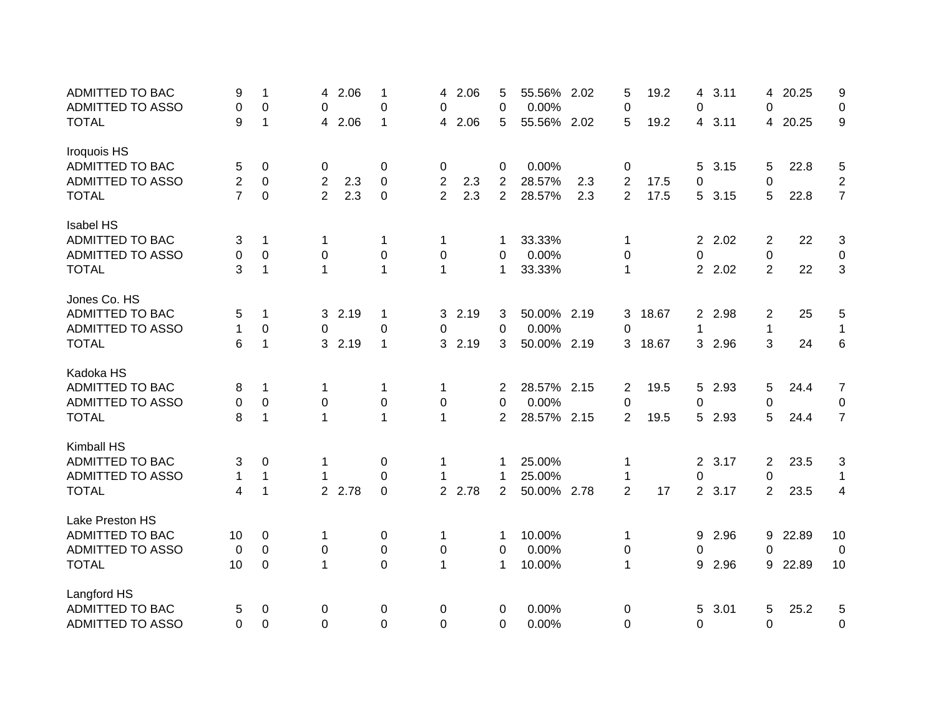| <b>ADMITTED TO BAC</b>  | 9              | $\mathbf{1}$     | 4              | 2.06 | 1                | 4              | 2.06   | 5              | 55.56% 2.02 |     | 5              | 19.2  | 4              | 3.11   | 4              | 20.25 | 9              |
|-------------------------|----------------|------------------|----------------|------|------------------|----------------|--------|----------------|-------------|-----|----------------|-------|----------------|--------|----------------|-------|----------------|
| <b>ADMITTED TO ASSO</b> | 0              | 0                | 0              |      | 0                | 0              |        | 0              | 0.00%       |     | 0              |       | 0              |        | 0              |       | 0              |
| <b>TOTAL</b>            | 9              | $\mathbf{1}$     | 4              | 2.06 | $\mathbf{1}$     | 4              | 2.06   | 5              | 55.56% 2.02 |     | 5              | 19.2  |                | 4 3.11 | 4              | 20.25 | 9              |
| Iroquois HS             |                |                  |                |      |                  |                |        |                |             |     |                |       |                |        |                |       |                |
| ADMITTED TO BAC         | 5              | 0                | 0              |      | 0                | 0              |        | 0              | 0.00%       |     | 0              |       | 5              | 3.15   | 5              | 22.8  | 5              |
| <b>ADMITTED TO ASSO</b> | 2              | $\mathbf 0$      | $\overline{2}$ | 2.3  | 0                | $\overline{2}$ | 2.3    | $\overline{2}$ | 28.57%      | 2.3 | 2              | 17.5  | 0              |        | 0              |       | $\overline{2}$ |
| <b>TOTAL</b>            | $\overline{7}$ | 0                | 2              | 2.3  | 0                | $\overline{2}$ | 2.3    | $\overline{2}$ | 28.57%      | 2.3 | $\overline{2}$ | 17.5  |                | 5 3.15 | 5              | 22.8  | $\overline{7}$ |
| <b>Isabel HS</b>        |                |                  |                |      |                  |                |        |                |             |     |                |       |                |        |                |       |                |
| <b>ADMITTED TO BAC</b>  | 3              | 1                | 1              |      | 1                | 1              |        | 1              | 33.33%      |     | 1              |       | $\overline{2}$ | 2.02   | 2              | 22    | 3              |
| <b>ADMITTED TO ASSO</b> | 0              | $\boldsymbol{0}$ | $\mathbf 0$    |      | $\pmb{0}$        | $\mathbf 0$    |        | 0              | 0.00%       |     | $\pmb{0}$      |       | 0              |        | $\pmb{0}$      |       | $\pmb{0}$      |
| <b>TOTAL</b>            | 3              | $\mathbf{1}$     | $\mathbf{1}$   |      | $\mathbf{1}$     | $\mathbf{1}$   |        | $\mathbf{1}$   | 33.33%      |     | $\mathbf{1}$   |       |                | 2 2.02 | $\overline{2}$ | 22    | 3              |
| Jones Co. HS            |                |                  |                |      |                  |                |        |                |             |     |                |       |                |        |                |       |                |
| <b>ADMITTED TO BAC</b>  | 5              | 1                | 3              | 2.19 | $\mathbf{1}$     |                | 3 2.19 | 3              | 50.00% 2.19 |     | 3              | 18.67 |                | 2 2.98 | 2              | 25    | 5              |
| ADMITTED TO ASSO        | 1              | 0                | 0              |      | $\pmb{0}$        | 0              |        | 0              | 0.00%       |     | 0              |       | 1              |        | $\mathbf{1}$   |       | $\mathbf{1}$   |
| <b>TOTAL</b>            | 6              | $\mathbf{1}$     | 3              | 2.19 | $\mathbf{1}$     | 3 <sup>1</sup> | 2.19   | 3              | 50.00% 2.19 |     | 3              | 18.67 |                | 3 2.96 | 3              | 24    | $\,6$          |
| Kadoka HS               |                |                  |                |      |                  |                |        |                |             |     |                |       |                |        |                |       |                |
| <b>ADMITTED TO BAC</b>  | 8              | 1                | 1              |      | 1                | 1              |        | 2              | 28.57% 2.15 |     | 2              | 19.5  | 5              | 2.93   | 5              | 24.4  | $\overline{7}$ |
| ADMITTED TO ASSO        | 0              | $\pmb{0}$        | 0              |      | 0                | 0              |        | 0              | 0.00%       |     | $\pmb{0}$      |       | 0              |        | 0              |       | 0              |
| <b>TOTAL</b>            | 8              | 1                | $\mathbf 1$    |      | $\mathbf{1}$     | 1              |        | $\overline{2}$ | 28.57% 2.15 |     | 2              | 19.5  | 5              | 2.93   | 5              | 24.4  | $\overline{7}$ |
| Kimball HS              |                |                  |                |      |                  |                |        |                |             |     |                |       |                |        |                |       |                |
| <b>ADMITTED TO BAC</b>  | 3              | 0                | 1              |      | 0                | 1              |        | 1              | 25.00%      |     | 1              |       | $\overline{2}$ | 3.17   | $\overline{2}$ | 23.5  | 3              |
| ADMITTED TO ASSO        | $\mathbf{1}$   | $\mathbf{1}$     |                |      | 0                | 1              |        | 1              | 25.00%      |     | 1              |       | $\mathbf 0$    |        | 0              |       | $\mathbf 1$    |
| <b>TOTAL</b>            | 4              | $\mathbf 1$      | 2 <sup>1</sup> | 2.78 | $\boldsymbol{0}$ |                | 2 2.78 | $\overline{2}$ | 50.00% 2.78 |     | $\overline{2}$ | 17    |                | 2 3.17 | $\overline{2}$ | 23.5  | 4              |
| Lake Preston HS         |                |                  |                |      |                  |                |        |                |             |     |                |       |                |        |                |       |                |
| <b>ADMITTED TO BAC</b>  | 10             | 0                | 1              |      | 0                | 1              |        | 1              | 10.00%      |     | 1              |       | 9              | 2.96   | 9              | 22.89 | 10             |
| <b>ADMITTED TO ASSO</b> | 0              | $\Omega$         | 0              |      | 0                | 0              |        | 0              | 0.00%       |     | 0              |       | 0              |        | $\Omega$       |       | 0              |
| <b>TOTAL</b>            | 10             | 0                | $\mathbf 1$    |      | $\mathbf 0$      | 1              |        | $\mathbf 1$    | 10.00%      |     | 1              |       | 9              | 2.96   | 9              | 22.89 | 10             |
| Langford HS             |                |                  |                |      |                  |                |        |                |             |     |                |       |                |        |                |       |                |
| <b>ADMITTED TO BAC</b>  | 5              | 0                | 0              |      | 0                | 0              |        | 0              | 0.00%       |     | 0              |       | 5              | 3.01   | 5              | 25.2  | 5              |
| ADMITTED TO ASSO        | 0              | $\mathbf 0$      | $\Omega$       |      | $\overline{0}$   | $\Omega$       |        | $\Omega$       | 0.00%       |     | 0              |       | $\mathbf 0$    |        | 0              |       | 0              |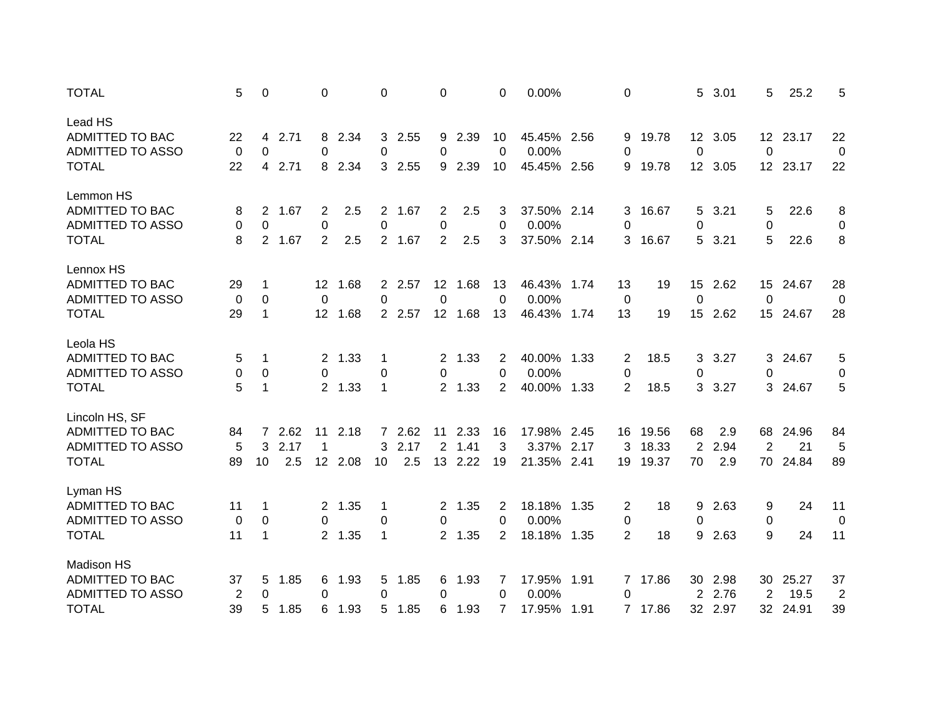| <b>TOTAL</b>            | 5              | 0            |      | $\Omega$       |         | $\Omega$    |        | 0               |        | 0              | 0.00%       |      | $\Omega$       |         | 5           | 3.01    | 5               | 25.2     | 5              |
|-------------------------|----------------|--------------|------|----------------|---------|-------------|--------|-----------------|--------|----------------|-------------|------|----------------|---------|-------------|---------|-----------------|----------|----------------|
| Lead HS                 |                |              |      |                |         |             |        |                 |        |                |             |      |                |         |             |         |                 |          |                |
| ADMITTED TO BAC         | 22             | 4            | 2.71 |                | 8 2.34  |             | 3 2.55 |                 | 9 2.39 | 10             | 45.45% 2.56 |      | 9              | 19.78   |             | 12 3.05 |                 | 12 23.17 | 22             |
| <b>ADMITTED TO ASSO</b> | 0              | 0            |      | $\Omega$       |         | 0           |        | 0               |        | $\mathbf{0}$   | 0.00%       |      | 0              |         | 0           |         | 0               |          | 0              |
| <b>TOTAL</b>            | 22             | 4            | 2.71 |                | 8 2.34  |             | 3 2.55 |                 | 9 2.39 | 10             | 45.45% 2.56 |      | 9              | 19.78   |             | 12 3.05 |                 | 12 23.17 | 22             |
| Lemmon HS               |                |              |      |                |         |             |        |                 |        |                |             |      |                |         |             |         |                 |          |                |
| <b>ADMITTED TO BAC</b>  | 8              | $2^{\circ}$  | 1.67 | $\overline{2}$ | 2.5     |             | 2 1.67 | $\overline{2}$  | 2.5    | 3              | 37.50% 2.14 |      | 3              | 16.67   | 5           | 3.21    | 5               | 22.6     | 8              |
| <b>ADMITTED TO ASSO</b> | 0              | 0            |      | 0              |         | $\pmb{0}$   |        | 0               |        | $\Omega$       | 0.00%       |      | 0              |         | 0           |         | 0               |          | 0              |
| <b>TOTAL</b>            | 8              | $2^{\circ}$  | 1.67 | $\overline{2}$ | 2.5     |             | 2 1.67 | $\overline{2}$  | 2.5    | 3              | 37.50% 2.14 |      | 3              | 16.67   | 5           | 3.21    | 5               | 22.6     | 8              |
| Lennox HS               |                |              |      |                |         |             |        |                 |        |                |             |      |                |         |             |         |                 |          |                |
| <b>ADMITTED TO BAC</b>  | 29             | 1            |      | 12             | 1.68    |             | 2 2.57 | 12 <sup>°</sup> | 1.68   | 13             | 46.43%      | 1.74 | 13             | 19      | 15          | 2.62    | 15              | 24.67    | 28             |
| <b>ADMITTED TO ASSO</b> | 0              | 0            |      | 0              |         | 0           |        | 0               |        | 0              | 0.00%       |      | $\overline{0}$ |         | $\mathbf 0$ |         | 0               |          | 0              |
| <b>TOTAL</b>            | 29             | 1            |      | 12             | 1.68    |             | 2 2.57 | 12 <sup>7</sup> | 1.68   | 13             | 46.43% 1.74 |      | 13             | 19      | 15          | 2.62    | 15 <sub>1</sub> | 24.67    | 28             |
| Leola HS                |                |              |      |                |         |             |        |                 |        |                |             |      |                |         |             |         |                 |          |                |
| ADMITTED TO BAC         | 5              | 1            |      |                | 2 1.33  | 1           |        | $\mathbf{2}$    | 1.33   | 2              | 40.00% 1.33 |      | 2              | 18.5    | 3           | 3.27    | 3.              | 24.67    | 5              |
| <b>ADMITTED TO ASSO</b> | 0              | 0            |      | 0              |         | 0           |        | 0               |        | 0              | 0.00%       |      | 0              |         | 0           |         | 0               |          | 0              |
| <b>TOTAL</b>            | 5              | $\mathbf{1}$ |      |                | 2 1.33  | 1           |        |                 | 2 1.33 | $\overline{2}$ | 40.00%      | 1.33 | $\overline{2}$ | 18.5    | 3           | 3.27    | 3               | 24.67    | 5              |
| Lincoln HS, SF          |                |              |      |                |         |             |        |                 |        |                |             |      |                |         |             |         |                 |          |                |
| <b>ADMITTED TO BAC</b>  | 84             | 7            | 2.62 | 11             | 2.18    |             | 7 2.62 | 11              | 2.33   | 16             | 17.98% 2.45 |      | 16             | 19.56   | 68          | 2.9     | 68              | 24.96    | 84             |
| <b>ADMITTED TO ASSO</b> | 5              | 3            | 2.17 | 1              |         | 3           | 2.17   | $\overline{2}$  | 1.41   | 3              | 3.37%       | 2.17 | 3              | 18.33   | 2           | 2.94    | 2               | 21       | 5              |
| <b>TOTAL</b>            | 89             | 10           | 2.5  |                | 12 2.08 | 10          | 2.5    | 13              | 2.22   | 19             | 21.35%      | 2.41 | 19             | 19.37   | 70          | 2.9     | 70              | 24.84    | 89             |
| Lyman HS                |                |              |      |                |         |             |        |                 |        |                |             |      |                |         |             |         |                 |          |                |
| <b>ADMITTED TO BAC</b>  | 11             | 1            |      |                | 2 1.35  | $\mathbf 1$ |        |                 | 2 1.35 | 2              | 18.18%      | 1.35 | 2              | 18      | 9           | 2.63    | 9               | 24       | 11             |
| <b>ADMITTED TO ASSO</b> | 0              | 0            |      | 0              |         | 0           |        | 0               |        | 0              | 0.00%       |      | 0              |         | 0           |         | 0               |          | 0              |
| <b>TOTAL</b>            | 11             | 1            |      |                | 2 1.35  | $\mathbf 1$ |        |                 | 2 1.35 | 2              | 18.18% 1.35 |      | $\overline{2}$ | 18      | 9           | 2.63    | 9               | 24       | 11             |
| Madison HS              |                |              |      |                |         |             |        |                 |        |                |             |      |                |         |             |         |                 |          |                |
| ADMITTED TO BAC         | 37             | 5            | 1.85 | 6              | 1.93    |             | 5 1.85 | 6               | 1.93   | 7              | 17.95% 1.91 |      |                | 7 17.86 |             | 30 2.98 | 30              | 25.27    | 37             |
| ADMITTED TO ASSO        | $\overline{2}$ | 0            |      | 0              |         | 0           |        | 0               |        | 0              | 0.00%       |      | 0              |         | 2           | 2.76    | $\overline{2}$  | 19.5     | $\overline{2}$ |
| <b>TOTAL</b>            | 39             | 5            | 1.85 | 6              | 1.93    |             | 5 1.85 | 6               | 1.93   | 7              | 17.95%      | 1.91 |                | 7 17.86 |             | 32 2.97 |                 | 32 24.91 | 39             |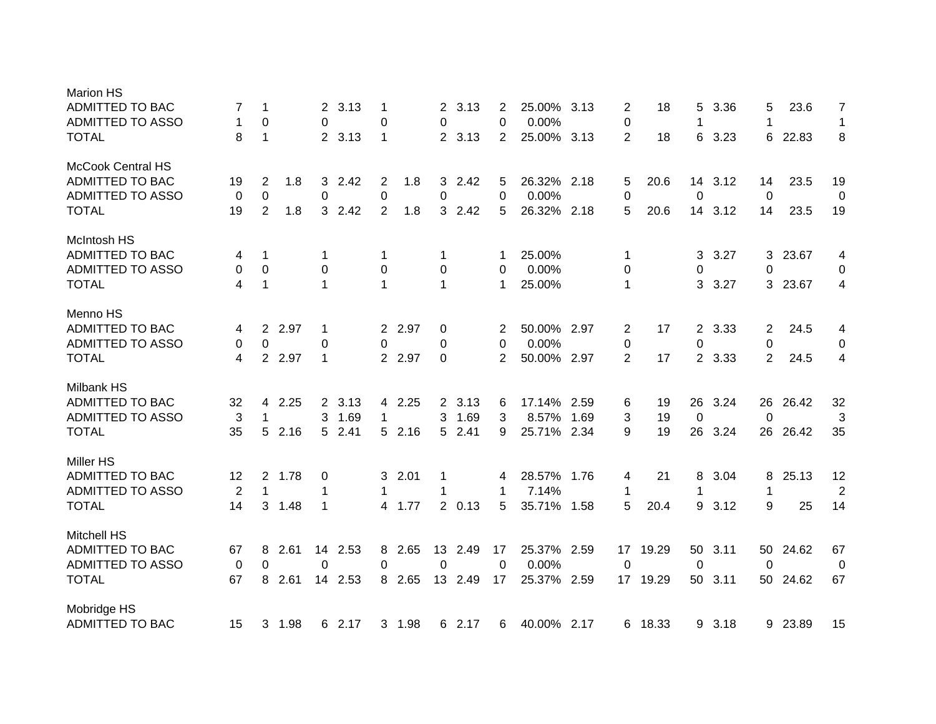| <b>Marion HS</b>         |    |                |        |                |         |                |        |             |        |                |             |      |                 |         |              |        |             |       |                |
|--------------------------|----|----------------|--------|----------------|---------|----------------|--------|-------------|--------|----------------|-------------|------|-----------------|---------|--------------|--------|-------------|-------|----------------|
| <b>ADMITTED TO BAC</b>   | 7  | 1              |        | $\overline{2}$ | 3.13    | 1              |        | 2           | 3.13   | 2              | 25.00%      | 3.13 | 2               | 18      | 5            | 3.36   | 5           | 23.6  | $\overline{7}$ |
| <b>ADMITTED TO ASSO</b>  | 1  | 0              |        | 0              |         | $\pmb{0}$      |        | 0           |        | 0              | 0.00%       |      | 0               |         | 1            |        | 1           |       | $\mathbf 1$    |
| <b>TOTAL</b>             | 8  | $\mathbf{1}$   |        |                | 2 3.13  | 1              |        | $2^{\circ}$ | 3.13   | $\overline{2}$ | 25.00%      | 3.13 | 2               | 18      | 6            | 3.23   | 6           | 22.83 | 8              |
| <b>McCook Central HS</b> |    |                |        |                |         |                |        |             |        |                |             |      |                 |         |              |        |             |       |                |
| <b>ADMITTED TO BAC</b>   | 19 | 2              | 1.8    | 3              | 2.42    | 2              | 1.8    | 3           | 2.42   | 5              | 26.32%      | 2.18 | 5               | 20.6    | 14           | 3.12   | 14          | 23.5  | 19             |
| <b>ADMITTED TO ASSO</b>  | 0  | $\mathbf 0$    |        | 0              |         | $\pmb{0}$      |        | 0           |        | 0              | 0.00%       |      | 0               |         | $\mathbf 0$  |        | $\mathbf 0$ |       | 0              |
| <b>TOTAL</b>             | 19 | $\overline{2}$ | 1.8    | 3              | 2.42    | $\overline{2}$ | 1.8    | 3           | 2.42   | 5              | 26.32% 2.18 |      | 5               | 20.6    | 14           | 3.12   | 14          | 23.5  | 19             |
| <b>McIntosh HS</b>       |    |                |        |                |         |                |        |             |        |                |             |      |                 |         |              |        |             |       |                |
| <b>ADMITTED TO BAC</b>   | 4  | 1              |        | 1              |         | 1              |        | 1           |        |                | 25.00%      |      | -1              |         | 3            | 3.27   | 3           | 23.67 | 4              |
| <b>ADMITTED TO ASSO</b>  | 0  | 0              |        | 0              |         | $\pmb{0}$      |        | 0           |        | 0              | 0.00%       |      | 0               |         | 0            |        | 0           |       | $\mathbf 0$    |
| <b>TOTAL</b>             | 4  | $\mathbf{1}$   |        | $\mathbf 1$    |         | $\mathbf{1}$   |        | 1           |        | -1             | 25.00%      |      | $\mathbf 1$     |         | 3            | 3.27   | 3           | 23.67 | 4              |
| Menno HS                 |    |                |        |                |         |                |        |             |        |                |             |      |                 |         |              |        |             |       |                |
| ADMITTED TO BAC          | 4  | 2              | 2.97   | -1             |         |                | 2 2.97 | 0           |        | 2              | 50.00% 2.97 |      | 2               | 17      | $\mathbf{2}$ | 3.33   | 2           | 24.5  | 4              |
| <b>ADMITTED TO ASSO</b>  | 0  | 0              |        | 0              |         | 0              |        | 0           |        | $\Omega$       | 0.00%       |      | 0               |         | 0            |        | 0           |       | 0              |
| <b>TOTAL</b>             | 4  |                | 2 2.97 | 1              |         |                | 2 2.97 | 0           |        | 2              | 50.00% 2.97 |      | $\overline{2}$  | 17      |              | 2 3.33 | 2           | 24.5  | 4              |
| <b>Milbank HS</b>        |    |                |        |                |         |                |        |             |        |                |             |      |                 |         |              |        |             |       |                |
| ADMITTED TO BAC          | 32 | 4              | 2.25   |                | 2 3.13  |                | 4 2.25 |             | 2 3.13 | 6              | 17.14% 2.59 |      | 6               | 19      | 26           | 3.24   | 26          | 26.42 | 32             |
| <b>ADMITTED TO ASSO</b>  | 3  | 1              |        | 3              | 1.69    | 1              |        | 3           | 1.69   | 3              | 8.57%       | 1.69 | 3               | 19      | $\mathbf 0$  |        | 0           |       | 3              |
| <b>TOTAL</b>             | 35 | 5              | 2.16   | 5              | 2.41    |                | 5 2.16 |             | 5 2.41 | 9              | 25.71% 2.34 |      | 9               | 19      | 26           | 3.24   | 26          | 26.42 | 35             |
| Miller HS                |    |                |        |                |         |                |        |             |        |                |             |      |                 |         |              |        |             |       |                |
| ADMITTED TO BAC          | 12 | 2              | 1.78   | 0              |         |                | 32.01  | 1           |        | 4              | 28.57%      | 1.76 | 4               | 21      | 8            | 3.04   | 8           | 25.13 | 12             |
| <b>ADMITTED TO ASSO</b>  | 2  | 1              |        | 1              |         |                |        |             |        | -1             | 7.14%       |      | 1               |         | 1            |        | 1           |       | $\overline{2}$ |
| <b>TOTAL</b>             | 14 | 3              | 1.48   | -1             |         |                | 4 1.77 |             | 2 0.13 | 5              | 35.71%      | 1.58 | 5               | 20.4    | 9            | 3.12   | 9           | 25    | 14             |
| <b>Mitchell HS</b>       |    |                |        |                |         |                |        |             |        |                |             |      |                 |         |              |        |             |       |                |
| ADMITTED TO BAC          | 67 | 8              | 2.61   |                | 14 2.53 |                | 8 2.65 | 13          | 2.49   | 17             | 25.37% 2.59 |      | 17              | 19.29   | 50           | 3.11   | 50          | 24.62 | 67             |
| <b>ADMITTED TO ASSO</b>  | 0  | 0              |        | $\Omega$       |         | $\Omega$       |        | 0           |        | 0              | 0.00%       |      | 0               |         | 0            |        | 0           |       | 0              |
| <b>TOTAL</b>             | 67 | 8              | 2.61   |                | 14 2.53 | 8              | 2.65   | 13          | 2.49   | 17             | 25.37%      | 2.59 | 17 <sup>2</sup> | 19.29   | 50           | 3.11   | 50          | 24.62 | 67             |
| Mobridge HS              |    |                |        |                |         |                |        |             |        |                |             |      |                 |         |              |        |             |       |                |
| <b>ADMITTED TO BAC</b>   | 15 |                | 3 1.98 |                | 6 2.17  |                | 3 1.98 |             | 6 2.17 | 6              | 40.00% 2.17 |      |                 | 6 18.33 | 9            | 3.18   | 9           | 23.89 | 15             |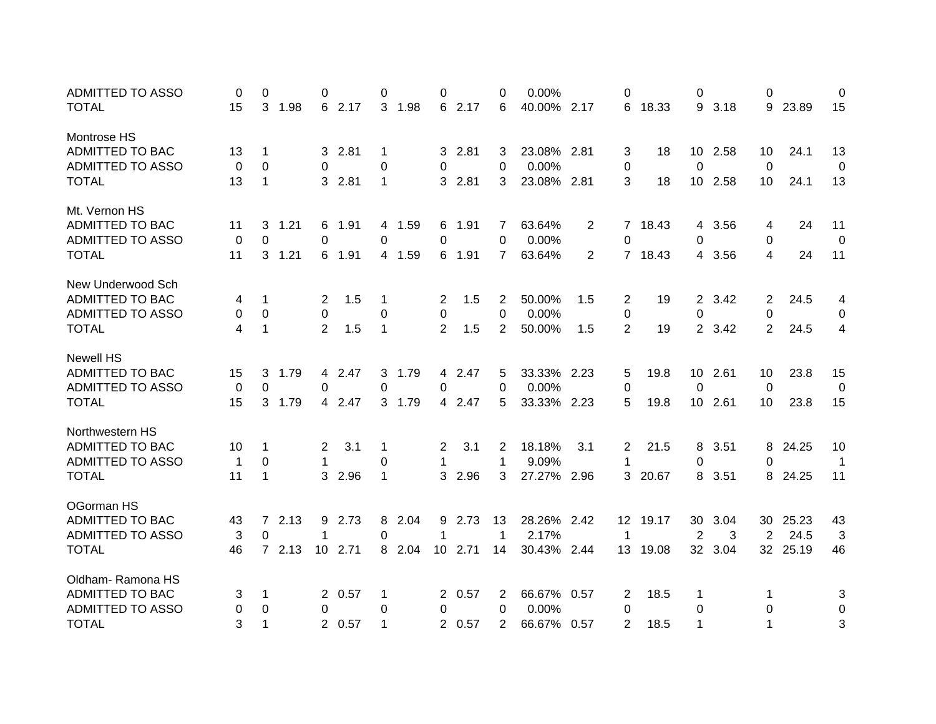| <b>ADMITTED TO ASSO</b> | 0            | 0              |      | 0               |        | 0            |        | 0                     |        | 0              | 0.00%       |                | 0               |         | 0               |         | 0              |       | 0           |
|-------------------------|--------------|----------------|------|-----------------|--------|--------------|--------|-----------------------|--------|----------------|-------------|----------------|-----------------|---------|-----------------|---------|----------------|-------|-------------|
| <b>TOTAL</b>            | 15           | 3              | 1.98 |                 | 6 2.17 |              | 3 1.98 | 6                     | 2.17   | 6              | 40.00% 2.17 |                | 6               | 18.33   |                 | 9 3.18  | 9              | 23.89 | 15          |
| Montrose HS             |              |                |      |                 |        |              |        |                       |        |                |             |                |                 |         |                 |         |                |       |             |
| <b>ADMITTED TO BAC</b>  | 13           | 1              |      |                 | 32.81  | 1            |        |                       | 32.81  | 3              | 23.08% 2.81 |                | 3               | 18      | 10              | 2.58    | 10             | 24.1  | 13          |
| ADMITTED TO ASSO        | 0            | 0              |      | $\Omega$        |        | 0            |        | 0                     |        | 0              | 0.00%       |                | 0               |         | 0               |         | 0              |       | 0           |
| <b>TOTAL</b>            | 13           | $\mathbf{1}$   |      | 3               | 2.81   | $\mathbf 1$  |        | 3.                    | 2.81   | 3              | 23.08% 2.81 |                | 3               | 18      | 10 <sup>°</sup> | 2.58    | 10             | 24.1  | 13          |
| Mt. Vernon HS           |              |                |      |                 |        |              |        |                       |        |                |             |                |                 |         |                 |         |                |       |             |
| ADMITTED TO BAC         | 11           | 3              | 1.21 |                 | 6 1.91 |              | 4 1.59 | 6                     | 1.91   | 7              | 63.64%      | 2              |                 | 7 18.43 |                 | 4 3.56  | 4              | 24    | 11          |
| <b>ADMITTED TO ASSO</b> | 0            | $\Omega$       |      | $\Omega$        |        | $\Omega$     |        | 0                     |        | 0              | 0.00%       |                | $\Omega$        |         | 0               |         | $\Omega$       |       | 0           |
| <b>TOTAL</b>            | 11           | 3              | 1.21 |                 | 6 1.91 |              | 4 1.59 |                       | 6 1.91 | $\overline{7}$ | 63.64%      | $\overline{2}$ |                 | 7 18.43 |                 | 4 3.56  | 4              | 24    | 11          |
| New Underwood Sch       |              |                |      |                 |        |              |        |                       |        |                |             |                |                 |         |                 |         |                |       |             |
| ADMITTED TO BAC         | 4            | 1              |      | $\overline{2}$  | 1.5    | 1            |        | $\overline{2}$        | 1.5    | $\overline{2}$ | 50.00%      | 1.5            | $\overline{2}$  | 19      |                 | 2 3.42  | $\overline{2}$ | 24.5  | 4           |
| <b>ADMITTED TO ASSO</b> | 0            | 0              |      | $\mathbf 0$     |        | 0            |        | 0                     |        | 0              | 0.00%       |                | 0               |         | $\pmb{0}$       |         | 0              |       | 0           |
| <b>TOTAL</b>            | 4            | 1              |      | $\overline{2}$  | 1.5    | $\mathbf{1}$ |        | $\overline{2}$        | 1.5    | $\overline{2}$ | 50.00%      | 1.5            | $\overline{2}$  | 19      |                 | 2 3.42  | $\overline{2}$ | 24.5  | 4           |
| <b>Newell HS</b>        |              |                |      |                 |        |              |        |                       |        |                |             |                |                 |         |                 |         |                |       |             |
| ADMITTED TO BAC         | 15           | 3              | 1.79 |                 | 4 2.47 |              | 3 1.79 |                       | 4 2.47 | 5              | 33.33% 2.23 |                | 5               | 19.8    |                 | 10 2.61 | 10             | 23.8  | 15          |
| <b>ADMITTED TO ASSO</b> | 0            | 0              |      | $\Omega$        |        | 0            |        | 0                     |        | 0              | 0.00%       |                | 0               |         | 0               |         | 0              |       | 0           |
| <b>TOTAL</b>            | 15           | 3 <sup>1</sup> | 1.79 |                 | 4 2.47 |              | 3 1.79 |                       | 4 2.47 | 5              | 33.33% 2.23 |                | 5               | 19.8    |                 | 10 2.61 | 10             | 23.8  | 15          |
| Northwestern HS         |              |                |      |                 |        |              |        |                       |        |                |             |                |                 |         |                 |         |                |       |             |
| ADMITTED TO BAC         | 10           | 1              |      | $\overline{2}$  | 3.1    | 1            |        | $\mathbf{2}^{\prime}$ | 3.1    | 2              | 18.18%      | 3.1            | 2               | 21.5    | 8               | 3.51    | 8              | 24.25 | 10          |
| <b>ADMITTED TO ASSO</b> | $\mathbf{1}$ | 0              |      | $\mathbf{1}$    |        | 0            |        | $\mathbf 1$           |        | 1              | 9.09%       |                | 1               |         | 0               |         | 0              |       | $\mathbf 1$ |
| <b>TOTAL</b>            | 11           | 1              |      | 3               | 2.96   | 1            |        | 3                     | 2.96   | 3              | 27.27% 2.96 |                | 3               | 20.67   | 8               | 3.51    | 8              | 24.25 | 11          |
| OGorman HS              |              |                |      |                 |        |              |        |                       |        |                |             |                |                 |         |                 |         |                |       |             |
| ADMITTED TO BAC         | 43           | $7^{\circ}$    | 2.13 | 9               | 2.73   | 8            | 2.04   | 9                     | 2.73   | 13             | 28.26% 2.42 |                | 12 <sup>2</sup> | 19.17   | 30              | 3.04    | 30             | 25.23 | 43          |
| ADMITTED TO ASSO        | 3            | $\Omega$       |      | 1               |        | 0            |        | 1                     |        | $\mathbf 1$    | 2.17%       |                | $\mathbf 1$     |         | 2               | 3       | 2              | 24.5  | 3           |
| <b>TOTAL</b>            | 46           | $7^{\circ}$    | 2.13 | 10 <sup>°</sup> | 2.71   |              | 8 2.04 | 10                    | 2.71   | 14             | 30.43% 2.44 |                | 13              | 19.08   | 32 <sup>2</sup> | 3.04    | 32             | 25.19 | 46          |
| Oldham-Ramona HS        |              |                |      |                 |        |              |        |                       |        |                |             |                |                 |         |                 |         |                |       |             |
| ADMITTED TO BAC         | 3            | 1              |      | $2^{\circ}$     | 0.57   | 1            |        |                       | 2 0.57 | 2              | 66.67%      | 0.57           | 2               | 18.5    | 1               |         | 1              |       | 3           |
| ADMITTED TO ASSO        | 0            | 0              |      | 0               |        | 0            |        | 0                     |        | 0              | 0.00%       |                | 0               |         | 0               |         | 0              |       | 0           |
| <b>TOTAL</b>            | 3            | 1              |      |                 | 2 0.57 | $\mathbf 1$  |        |                       | 2 0.57 | 2              | 66.67% 0.57 |                | 2               | 18.5    | 1               |         | 1              |       | 3           |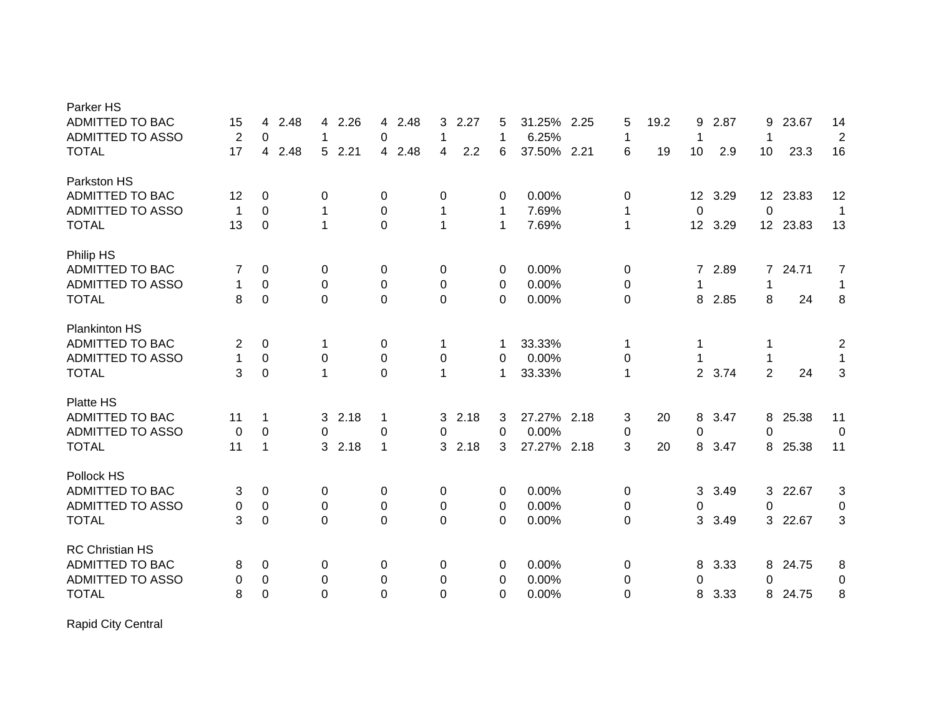| Parker HS               |                |                |              |                |           |             |             |              |      |                 |      |                 |       |                |
|-------------------------|----------------|----------------|--------------|----------------|-----------|-------------|-------------|--------------|------|-----------------|------|-----------------|-------|----------------|
| <b>ADMITTED TO BAC</b>  | 15             | 2.48<br>4      | 2.26<br>4    | 2.48<br>4      | 2.27<br>3 | 5           | 31.25%      | 2.25<br>5    | 19.2 | 9               | 2.87 | 9               | 23.67 | 14             |
| ADMITTED TO ASSO        | $\overline{2}$ | 0              | 1            | 0              | 1         | 1           | 6.25%       | 1            |      | 1               |      | 1               |       | $\overline{2}$ |
| <b>TOTAL</b>            | 17             | 2.48<br>4      | 2.21<br>5    | 4 2.48         | 2.2<br>4  | 6           | 37.50% 2.21 | 6            | 19   | 10              | 2.9  | 10              | 23.3  | 16             |
| Parkston HS             |                |                |              |                |           |             |             |              |      |                 |      |                 |       |                |
| <b>ADMITTED TO BAC</b>  | 12             | 0              | 0            | $\pmb{0}$      | 0         | 0           | 0.00%       | 0            |      | 12 <sub>2</sub> | 3.29 | 12 <sup>2</sup> | 23.83 | 12             |
| ADMITTED TO ASSO        | 1              | 0              | 1            | 0              | 1         | 1           | 7.69%       | 1            |      | 0               |      | 0               |       | $\mathbf{1}$   |
| <b>TOTAL</b>            | 13             | $\mathbf 0$    | 1            | $\overline{0}$ | 1         | $\mathbf 1$ | 7.69%       | $\mathbf{1}$ |      | 12              | 3.29 | 12 <sup>2</sup> | 23.83 | 13             |
| Philip HS               |                |                |              |                |           |             |             |              |      |                 |      |                 |       |                |
| ADMITTED TO BAC         | 7              | 0              | 0            | 0              | 0         | 0           | 0.00%       | 0            |      | $\overline{7}$  | 2.89 | $\overline{7}$  | 24.71 | 7              |
| ADMITTED TO ASSO        | 1              | $\mathbf 0$    | $\mathbf 0$  | $\pmb{0}$      | 0         | 0           | 0.00%       | 0            |      |                 |      | 1               |       | 1              |
| <b>TOTAL</b>            | 8              | $\overline{0}$ | $\Omega$     | $\overline{0}$ | 0         | $\Omega$    | 0.00%       | $\Omega$     |      | 8               | 2.85 | 8               | 24    | 8              |
| <b>Plankinton HS</b>    |                |                |              |                |           |             |             |              |      |                 |      |                 |       |                |
| <b>ADMITTED TO BAC</b>  | 2              | $\pmb{0}$      | 1            | 0              | 1         | 1           | 33.33%      | 1            |      | 1               |      |                 |       | $\overline{2}$ |
| <b>ADMITTED TO ASSO</b> | 1              | $\pmb{0}$      | $\mathbf 0$  | $\pmb{0}$      | 0         | 0           | 0.00%       | 0            |      |                 |      |                 |       | 1              |
| <b>TOTAL</b>            | 3              | $\mathbf 0$    | 1            | $\overline{0}$ | 1         | 1           | 33.33%      | 1            |      | $\overline{2}$  | 3.74 | $\overline{2}$  | 24    | 3              |
|                         |                |                |              |                |           |             |             |              |      |                 |      |                 |       |                |
| Platte HS               |                |                |              |                |           |             |             |              |      |                 |      |                 |       |                |
| <b>ADMITTED TO BAC</b>  | 11             | 1              | 2.18<br>3    | 1              | 3<br>2.18 | 3           | 27.27% 2.18 | 3            | 20   | 8               | 3.47 | 8               | 25.38 | 11             |
| <b>ADMITTED TO ASSO</b> | 0              | $\mathbf 0$    | $\mathbf{0}$ | $\pmb{0}$      | 0         | 0           | 0.00%       | $\pmb{0}$    |      | 0               |      | $\Omega$        |       | 0              |
| <b>TOTAL</b>            | 11             | 1              | 2.18<br>3    | $\mathbf{1}$   | 2.18<br>3 | 3           | 27.27%      | 3<br>2.18    | 20   | 8               | 3.47 | 8               | 25.38 | 11             |
| Pollock HS              |                |                |              |                |           |             |             |              |      |                 |      |                 |       |                |
| <b>ADMITTED TO BAC</b>  | 3              | 0              | 0            | 0              | 0         | 0           | 0.00%       | 0            |      | 3               | 3.49 | 3               | 22.67 | 3              |
| ADMITTED TO ASSO        | 0              | $\pmb{0}$      | 0            | $\pmb{0}$      | 0         | 0           | 0.00%       | 0            |      | 0               |      | 0               |       | 0              |
| <b>TOTAL</b>            | 3              | $\mathbf 0$    | $\Omega$     | $\mathbf 0$    | 0         | 0           | 0.00%       | 0            |      | 3               | 3.49 | 3               | 22.67 | 3              |
| <b>RC Christian HS</b>  |                |                |              |                |           |             |             |              |      |                 |      |                 |       |                |
| <b>ADMITTED TO BAC</b>  | 8              | 0              | 0            | 0              | 0         | 0           | 0.00%       | 0            |      | 8               | 3.33 | 8               | 24.75 | 8              |
| <b>ADMITTED TO ASSO</b> | 0              | $\pmb{0}$      | 0            | $\pmb{0}$      | 0         | 0           | 0.00%       | 0            |      | 0               |      | 0               |       | 0              |
| <b>TOTAL</b>            | 8              | $\mathbf 0$    | $\Omega$     | $\mathbf 0$    | 0         | 0           | 0.00%       | $\Omega$     |      | 8               | 3.33 | 8               | 24.75 | 8              |
|                         |                |                |              |                |           |             |             |              |      |                 |      |                 |       |                |

Rapid City Central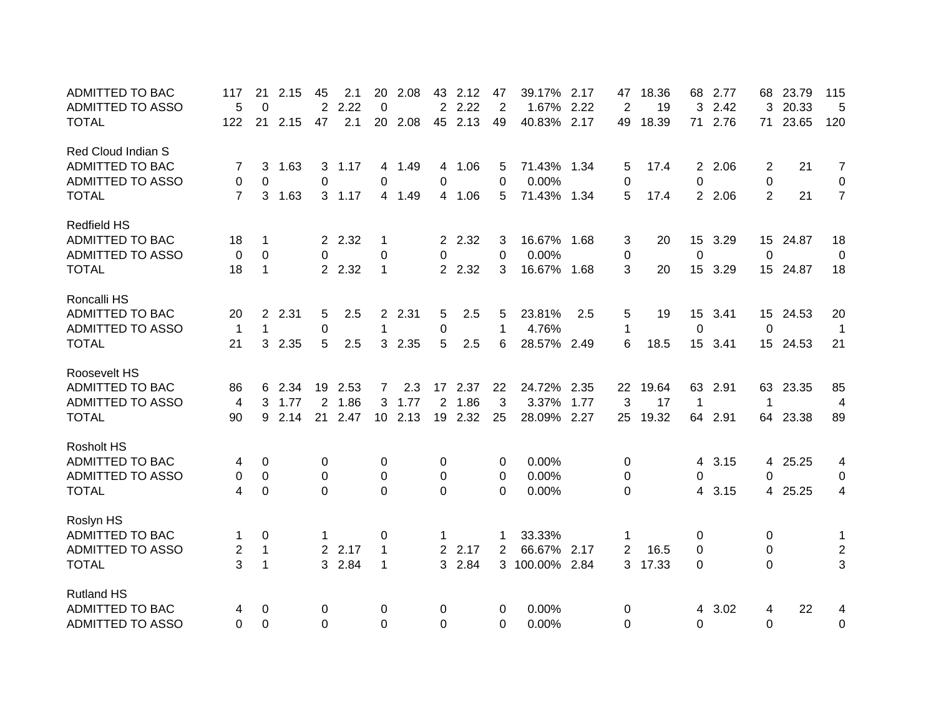| <b>ADMITTED TO BAC</b>  | 117            | 21             | 2.15 | 45       | 2.1     | 20              | 2.08    | 43             | 2.12    | 47       | 39.17%      | 2.17 | 47             | 18.36    | 68             | 2.77    | 68             | 23.79    | 115            |
|-------------------------|----------------|----------------|------|----------|---------|-----------------|---------|----------------|---------|----------|-------------|------|----------------|----------|----------------|---------|----------------|----------|----------------|
| <b>ADMITTED TO ASSO</b> | 5              | $\Omega$       |      | 2        | 2.22    | 0               |         | $\overline{2}$ | 2.22    | 2        | 1.67%       | 2.22 | 2              | 19       | 3              | 2.42    | 3              | 20.33    | 5              |
| <b>TOTAL</b>            | 122            | 21             | 2.15 | 47       | 2.1     | 20              | 2.08    |                | 45 2.13 | 49       | 40.83%      | 2.17 | 49             | 18.39    | 71             | 2.76    | 71             | 23.65    | 120            |
| Red Cloud Indian S      |                |                |      |          |         |                 |         |                |         |          |             |      |                |          |                |         |                |          |                |
| ADMITTED TO BAC         | 7              | 3              | 1.63 | 3        | 1.17    |                 | 4 1.49  |                | 4 1.06  | 5        | 71.43% 1.34 |      | 5              | 17.4     | $\overline{2}$ | 2.06    | 2              | 21       | $\overline{7}$ |
| <b>ADMITTED TO ASSO</b> | 0              | 0              |      | 0        |         | 0               |         | 0              |         | $\Omega$ | 0.00%       |      | 0              |          | $\mathbf 0$    |         | 0              |          | 0              |
| <b>TOTAL</b>            | $\overline{7}$ | 3              | 1.63 |          | 3, 1.17 |                 | 4 1.49  |                | 4 1.06  | 5        | 71.43% 1.34 |      | 5              | 17.4     |                | 2 2.06  | $\overline{2}$ | 21       | $\overline{7}$ |
| <b>Redfield HS</b>      |                |                |      |          |         |                 |         |                |         |          |             |      |                |          |                |         |                |          |                |
| ADMITTED TO BAC         | 18             | 1              |      |          | 2 2.32  | 1               |         |                | 2 2.32  | 3        | 16.67% 1.68 |      | 3              | 20       |                | 15 3.29 |                | 15 24.87 | 18             |
| <b>ADMITTED TO ASSO</b> | 0              | $\Omega$       |      | $\Omega$ |         | 0               |         | 0              |         | $\Omega$ | 0.00%       |      | $\pmb{0}$      |          | 0              |         | 0              |          | 0              |
| <b>TOTAL</b>            | 18             | $\mathbf{1}$   |      |          | 2 2.32  | 1               |         |                | 2 2.32  | 3        | 16.67% 1.68 |      | 3              | 20       |                | 15 3.29 |                | 15 24.87 | 18             |
| Roncalli HS             |                |                |      |          |         |                 |         |                |         |          |             |      |                |          |                |         |                |          |                |
| <b>ADMITTED TO BAC</b>  | 20             | $\overline{2}$ | 2.31 | 5        | 2.5     |                 | 2 2.31  | 5              | 2.5     | 5        | 23.81%      | 2.5  | 5              | 19       |                | 15 3.41 |                | 15 24.53 | 20             |
| <b>ADMITTED TO ASSO</b> | $\mathbf{1}$   | $\mathbf 1$    |      | 0        |         | 1               |         | 0              |         | 1        | 4.76%       |      | 1              |          | $\mathbf 0$    |         | $\Omega$       |          | $\mathbf 1$    |
| <b>TOTAL</b>            | 21             | 3              | 2.35 | 5        | 2.5     |                 | 3 2.35  | 5              | 2.5     | 6        | 28.57% 2.49 |      | 6              | 18.5     |                | 15 3.41 |                | 15 24.53 | 21             |
| Roosevelt HS            |                |                |      |          |         |                 |         |                |         |          |             |      |                |          |                |         |                |          |                |
| <b>ADMITTED TO BAC</b>  | 86             | 6              | 2.34 |          | 19 2.53 | $7\overline{ }$ | 2.3     |                | 17 2.37 | 22       | 24.72% 2.35 |      |                | 22 19.64 |                | 63 2.91 |                | 63 23.35 | 85             |
| <b>ADMITTED TO ASSO</b> | 4              | 3              | 1.77 |          | 2 1.86  |                 | 3 1.77  |                | 2 1.86  | 3        | 3.37%       | 1.77 | 3              | 17       | $\mathbf 1$    |         | 1              |          | $\overline{4}$ |
| <b>TOTAL</b>            | 90             | 9              | 2.14 |          | 21 2.47 |                 | 10 2.13 |                | 19 2.32 | 25       | 28.09% 2.27 |      | 25             | 19.32    | 64             | 2.91    | 64             | 23.38    | 89             |
| <b>Rosholt HS</b>       |                |                |      |          |         |                 |         |                |         |          |             |      |                |          |                |         |                |          |                |
| ADMITTED TO BAC         | 4              | 0              |      | 0        |         | 0               |         | 0              |         | 0        | 0.00%       |      | 0              |          | 4              | 3.15    | 4              | 25.25    | 4              |
| ADMITTED TO ASSO        | 0              | 0              |      | 0        |         | 0               |         | 0              |         | 0        | 0.00%       |      | 0              |          | 0              |         | 0              |          | 0              |
| <b>TOTAL</b>            | 4              | 0              |      | $\Omega$ |         | $\Omega$        |         | 0              |         | $\Omega$ | 0.00%       |      | 0              |          | 4              | 3.15    | 4              | 25.25    | 4              |
| Roslyn HS               |                |                |      |          |         |                 |         |                |         |          |             |      |                |          |                |         |                |          |                |
| ADMITTED TO BAC         | 1              | 0              |      |          |         | 0               |         | 1              |         | 1        | 33.33%      |      | 1              |          | 0              |         | 0              |          | $\mathbf 1$    |
| <b>ADMITTED TO ASSO</b> | 2              | $\mathbf{1}$   |      |          | 2 2.17  | $\mathbf 1$     |         |                | 2 2.17  | 2        | 66.67%      | 2.17 | $\overline{2}$ | 16.5     | 0              |         | 0              |          | $\overline{2}$ |
| <b>TOTAL</b>            | 3              | $\mathbf{1}$   |      |          | 3 2.84  | 1               |         |                | 3 2.84  |          | 3 100.00%   | 2.84 | 3              | 17.33    | 0              |         | $\overline{0}$ |          | 3              |
| <b>Rutland HS</b>       |                |                |      |          |         |                 |         |                |         |          |             |      |                |          |                |         |                |          |                |
| <b>ADMITTED TO BAC</b>  | 4              | 0              |      | 0        |         | 0               |         | 0              |         | 0        | 0.00%       |      | 0              |          | 4              | 3.02    | 4              | 22       | 4              |
| <b>ADMITTED TO ASSO</b> | $\Omega$       | 0              |      | $\Omega$ |         | 0               |         | 0              |         | $\Omega$ | 0.00%       |      | $\Omega$       |          | $\overline{0}$ |         | $\Omega$       |          | 0              |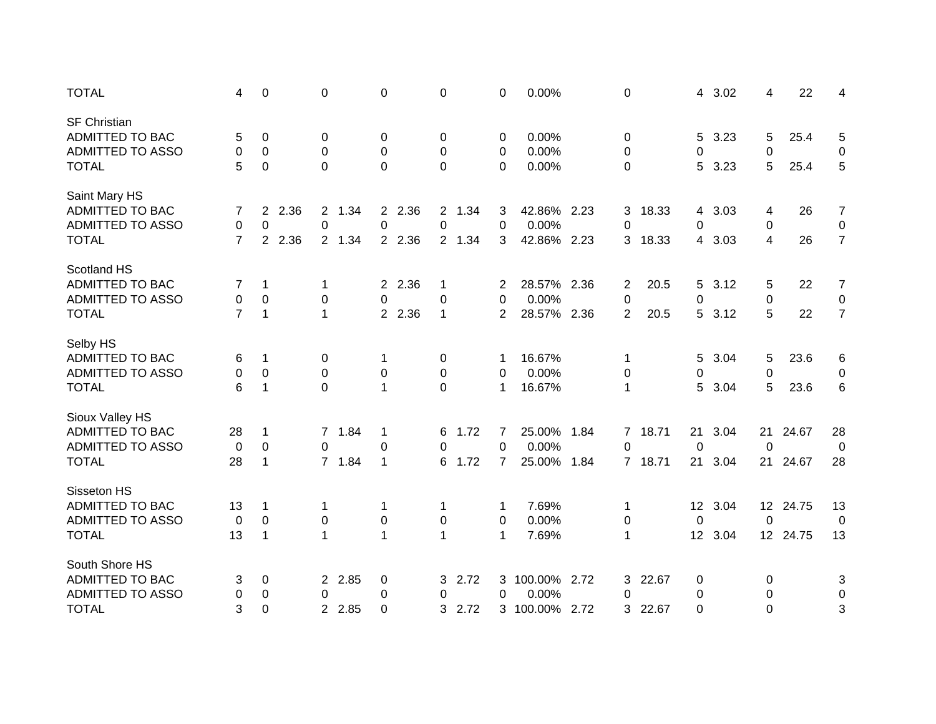| <b>TOTAL</b>            | 4              | 0                             | 0                      | $\pmb{0}$              | 0            | 0              | 0.00%          |      | 0              |       | 4                 | 3.02 | 4               | 22       | 4              |
|-------------------------|----------------|-------------------------------|------------------------|------------------------|--------------|----------------|----------------|------|----------------|-------|-------------------|------|-----------------|----------|----------------|
| <b>SF Christian</b>     |                |                               |                        |                        |              |                |                |      |                |       |                   |      |                 |          |                |
| <b>ADMITTED TO BAC</b>  | 5              | 0                             | 0                      | 0                      | 0            | 0              | 0.00%          |      | 0              |       | 5                 | 3.23 | 5               | 25.4     | 5              |
| <b>ADMITTED TO ASSO</b> | 0              | 0                             | 0                      | 0                      | 0            | 0              | 0.00%          |      | 0              |       | 0                 |      | 0               |          | 0              |
| <b>TOTAL</b>            | 5              | 0                             | $\Omega$               | $\overline{0}$         | 0            | 0              | 0.00%          |      | 0              |       | 5                 | 3.23 | 5               | 25.4     | 5              |
| Saint Mary HS           |                |                               |                        |                        |              |                |                |      |                |       |                   |      |                 |          |                |
| ADMITTED TO BAC         | 7              | 2.36<br>$\mathbf{2}^{\prime}$ | 1.34<br>$2^{\circ}$    | 2 2.36                 | 2 1.34       | 3              | 42.86% 2.23    |      | 3              | 18.33 | 4                 | 3.03 | 4               | 26       | $\overline{7}$ |
| <b>ADMITTED TO ASSO</b> | 0              | $\mathbf 0$                   | $\mathbf 0$            | 0                      | 0            | $\mathbf 0$    | 0.00%          |      | 0              |       | 0                 |      | 0               |          | $\mathbf 0$    |
| <b>TOTAL</b>            | $\overline{7}$ | $\overline{2}$<br>2.36        | 2 1.34                 | 2 2.36                 | 2 1.34       | 3              | 42.86% 2.23    |      | 3              | 18.33 | 4                 | 3.03 | 4               | 26       | $\overline{7}$ |
| Scotland HS             |                |                               |                        |                        |              |                |                |      |                |       |                   |      |                 |          |                |
| <b>ADMITTED TO BAC</b>  | 7              | $\mathbf{1}$                  | 1                      | 2.36<br>$\overline{2}$ | 1            | 2              | 28.57% 2.36    |      | $\overline{c}$ | 20.5  | 5                 | 3.12 | 5               | 22       | $\overline{7}$ |
| ADMITTED TO ASSO        | 0              | 0                             | 0                      | 0                      | 0            | 0              | 0.00%          |      | 0              |       | $\pmb{0}$         |      | 0               |          | $\mathbf 0$    |
| <b>TOTAL</b>            | $\overline{7}$ | 1                             | $\mathbf{1}$           | 2 2.36                 | 1            | 2              | 28.57% 2.36    |      | $\overline{2}$ | 20.5  | 5                 | 3.12 | 5               | 22       | $\overline{7}$ |
| Selby HS                |                |                               |                        |                        |              |                |                |      |                |       |                   |      |                 |          |                |
| ADMITTED TO BAC         | 6              | 1                             | 0                      | 1                      | 0            | 1              | 16.67%         |      | 1              |       | 5                 | 3.04 | 5               | 23.6     | 6              |
| <b>ADMITTED TO ASSO</b> | 0              | $\pmb{0}$                     | $\mathbf 0$            | 0                      | 0            | 0              | 0.00%          |      | 0              |       | 0                 |      | 0               |          | 0              |
| <b>TOTAL</b>            | 6              | $\mathbf 1$                   | $\mathbf 0$            | $\mathbf{1}$           | $\mathbf 0$  | $\mathbf 1$    | 16.67%         |      | 1              |       | 5                 | 3.04 | 5               | 23.6     | 6              |
| Sioux Valley HS         |                |                               |                        |                        |              |                |                |      |                |       |                   |      |                 |          |                |
| <b>ADMITTED TO BAC</b>  | 28             | 1                             | 1.84<br>$\overline{7}$ | 1                      | 1.72<br>6    | 7              | 25.00%         | 1.84 | 7              | 18.71 | 21                | 3.04 | 21              | 24.67    | 28             |
| <b>ADMITTED TO ASSO</b> | $\mathbf 0$    | $\boldsymbol{0}$              | $\Omega$               | $\pmb{0}$              | $\Omega$     | $\mathbf 0$    | 0.00%          |      | $\overline{0}$ |       | 0                 |      | 0               |          | 0              |
| <b>TOTAL</b>            | 28             | 1                             | 7 1.84                 | $\mathbf{1}$           | 1.72<br>6    | $\overline{7}$ | 25.00%         | 1.84 | $\overline{7}$ | 18.71 | 21                | 3.04 | 21              | 24.67    | 28             |
| Sisseton HS             |                |                               |                        |                        |              |                |                |      |                |       |                   |      |                 |          |                |
| <b>ADMITTED TO BAC</b>  | 13             | 1                             | 1                      | 1                      | 1            | -1             | 7.69%          |      | 1              |       | $12 \overline{ }$ | 3.04 | 12 <sup>7</sup> | 24.75    | 13             |
| ADMITTED TO ASSO        | 0              | 0                             | 0                      | 0                      | 0            | 0              | 0.00%          |      | 0              |       | $\mathbf 0$       |      | 0               |          | 0              |
| <b>TOTAL</b>            | 13             | $\mathbf 1$                   | $\mathbf{1}$           | $\mathbf{1}$           | $\mathbf{1}$ | $\mathbf 1$    | 7.69%          |      | 1              |       | 12                | 3.04 |                 | 12 24.75 | 13             |
| South Shore HS          |                |                               |                        |                        |              |                |                |      |                |       |                   |      |                 |          |                |
| ADMITTED TO BAC         | 3              | 0                             | 2 2.85                 | 0                      | 3<br>2.72    | 3              | 100.00% 2.72   |      | 3              | 22.67 | 0                 |      | 0               |          | 3              |
| <b>ADMITTED TO ASSO</b> | 0              | 0                             | 0                      | $\pmb{0}$              | 0            | 0              | 0.00%          |      | 0              |       | $\pmb{0}$         |      | 0               |          | 0              |
| <b>TOTAL</b>            | 3              | 0                             | 2 2.85                 | $\mathbf 0$            | 2.72<br>3    |                | 3 100.00% 2.72 |      | 3              | 22.67 | $\overline{0}$    |      | 0               |          | 3              |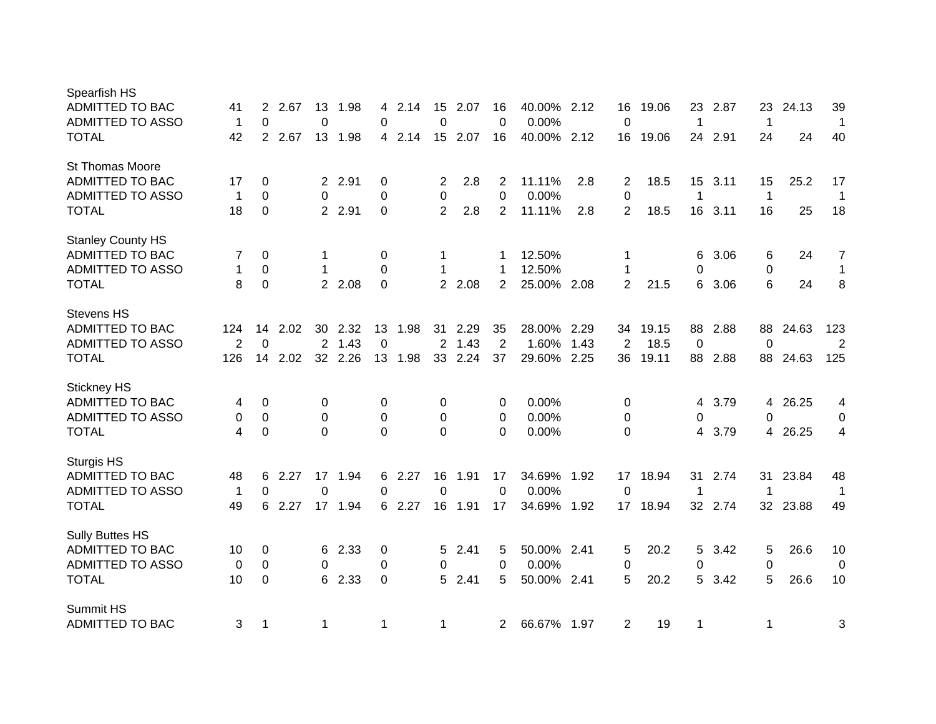| Spearfish HS             |             |                |      |                |         |                  |        |                |        |              |             |      |                |       |             |         |              |          |                |
|--------------------------|-------------|----------------|------|----------------|---------|------------------|--------|----------------|--------|--------------|-------------|------|----------------|-------|-------------|---------|--------------|----------|----------------|
| <b>ADMITTED TO BAC</b>   | 41          | 2              | 2.67 | 13             | 1.98    | 4                | 2.14   | 15             | 2.07   | 16           | 40.00%      | 2.12 | 16             | 19.06 | 23          | 2.87    | 23           | 24.13    | 39             |
| <b>ADMITTED TO ASSO</b>  | 1           | 0              |      | $\mathbf 0$    |         | 0                |        | 0              |        | 0            | 0.00%       |      | $\mathbf 0$    |       | 1           |         | 1            |          | $\mathbf 1$    |
| <b>TOTAL</b>             | 42          | $\overline{2}$ | 2.67 | 13             | 1.98    |                  | 4 2.14 | 15             | 2.07   | 16           | 40.00%      | 2.12 | 16             | 19.06 | 24          | 2.91    | 24           | 24       | 40             |
| St Thomas Moore          |             |                |      |                |         |                  |        |                |        |              |             |      |                |       |             |         |              |          |                |
| ADMITTED TO BAC          | 17          | 0              |      |                | 2 2.91  | 0                |        | 2              | 2.8    | 2            | 11.11%      | 2.8  | 2              | 18.5  | 15          | 3.11    | 15           | 25.2     | 17             |
| <b>ADMITTED TO ASSO</b>  | 1           | 0              |      | 0              |         | $\pmb{0}$        |        | 0              |        | $\pmb{0}$    | 0.00%       |      | $\pmb{0}$      |       | $\mathbf 1$ |         | $\mathbf{1}$ |          | $\mathbf 1$    |
| <b>TOTAL</b>             | 18          | $\Omega$       |      |                | 2 2.91  | $\Omega$         |        | $\overline{2}$ | 2.8    | 2            | 11.11%      | 2.8  | 2              | 18.5  | 16          | 3.11    | 16           | 25       | 18             |
| <b>Stanley County HS</b> |             |                |      |                |         |                  |        |                |        |              |             |      |                |       |             |         |              |          |                |
| ADMITTED TO BAC          | 7           | 0              |      | 1              |         | 0                |        | 1              |        |              | 12.50%      |      | 1              |       | 6           | 3.06    | 6            | 24       | $\overline{7}$ |
| <b>ADMITTED TO ASSO</b>  | 1           | 0              |      | -1             |         | $\boldsymbol{0}$ |        | 1              |        | 1            | 12.50%      |      | 1              |       | 0           |         | 0            |          | $\mathbf{1}$   |
| <b>TOTAL</b>             | 8           | $\mathbf 0$    |      | $\overline{2}$ | 2.08    | $\mathbf 0$      |        |                | 2 2.08 | 2            | 25.00%      | 2.08 | 2              | 21.5  | 6           | 3.06    | 6            | 24       | 8              |
| <b>Stevens HS</b>        |             |                |      |                |         |                  |        |                |        |              |             |      |                |       |             |         |              |          |                |
| <b>ADMITTED TO BAC</b>   | 124         | 14             | 2.02 | 30             | 2.32    | 13               | 1.98   | 31             | 2.29   | 35           | 28.00%      | 2.29 | 34             | 19.15 | 88          | 2.88    | 88           | 24.63    | 123            |
| <b>ADMITTED TO ASSO</b>  | 2           | 0              |      | $\overline{2}$ | 1.43    | $\Omega$         |        | 2              | 1.43   | 2            | 1.60%       | 1.43 | 2              | 18.5  | $\mathbf 0$ |         | $\Omega$     |          | 2              |
| <b>TOTAL</b>             | 126         | 14             | 2.02 |                | 32 2.26 | 13               | 1.98   | 33             | 2.24   | 37           | 29.60%      | 2.25 | 36             | 19.11 | 88          | 2.88    | 88           | 24.63    | 125            |
| <b>Stickney HS</b>       |             |                |      |                |         |                  |        |                |        |              |             |      |                |       |             |         |              |          |                |
| ADMITTED TO BAC          | 4           | 0              |      | 0              |         | 0                |        | 0              |        | 0            | 0.00%       |      | 0              |       | 4           | 3.79    | 4            | 26.25    | 4              |
| <b>ADMITTED TO ASSO</b>  | 0           | 0              |      | 0              |         | 0                |        | 0              |        | 0            | 0.00%       |      | 0              |       | 0           |         | 0            |          | 0              |
| <b>TOTAL</b>             | 4           | 0              |      | $\Omega$       |         | $\Omega$         |        | 0              |        | $\Omega$     | 0.00%       |      | 0              |       | 4           | 3.79    | 4            | 26.25    | 4              |
| <b>Sturgis HS</b>        |             |                |      |                |         |                  |        |                |        |              |             |      |                |       |             |         |              |          |                |
| ADMITTED TO BAC          | 48          | 6              | 2.27 |                | 17 1.94 |                  | 6 2.27 | 16             | 1.91   | 17           | 34.69%      | 1.92 | 17             | 18.94 | 31          | 2.74    | 31           | 23.84    | 48             |
| <b>ADMITTED TO ASSO</b>  | $\mathbf 1$ | 0              |      | 0              |         | 0                |        | 0              |        | $\Omega$     | 0.00%       |      | 0              |       | 1           |         | 1            |          | $\mathbf{1}$   |
| <b>TOTAL</b>             | 49          | 6              | 2.27 |                | 17 1.94 |                  | 6 2.27 | 16             | 1.91   | 17           | 34.69%      | 1.92 | 17             | 18.94 |             | 32 2.74 |              | 32 23.88 | 49             |
| <b>Sully Buttes HS</b>   |             |                |      |                |         |                  |        |                |        |              |             |      |                |       |             |         |              |          |                |
| ADMITTED TO BAC          | 10          | 0              |      | 6              | 2.33    | 0                |        | 5.             | 2.41   | 5            | 50.00% 2.41 |      | 5              | 20.2  | 5           | 3.42    | 5            | 26.6     | 10             |
| ADMITTED TO ASSO         | 0           | $\Omega$       |      | 0              |         | 0                |        | 0              |        | 0            | 0.00%       |      | 0              |       | 0           |         | 0            |          | 0              |
| <b>TOTAL</b>             | 10          | 0              |      | 6              | 2.33    | $\mathbf 0$      |        | 5              | 2.41   | 5            | 50.00%      | 2.41 | 5              | 20.2  | 5           | 3.42    | 5            | 26.6     | 10             |
| Summit HS                |             |                |      |                |         |                  |        |                |        |              |             |      |                |       |             |         |              |          |                |
| <b>ADMITTED TO BAC</b>   | 3           | 1              |      | $\mathbf 1$    |         | $\mathbf 1$      |        | 1              |        | $\mathbf{2}$ | 66.67% 1.97 |      | $\overline{2}$ | 19    | 1           |         | $\mathbf 1$  |          | 3              |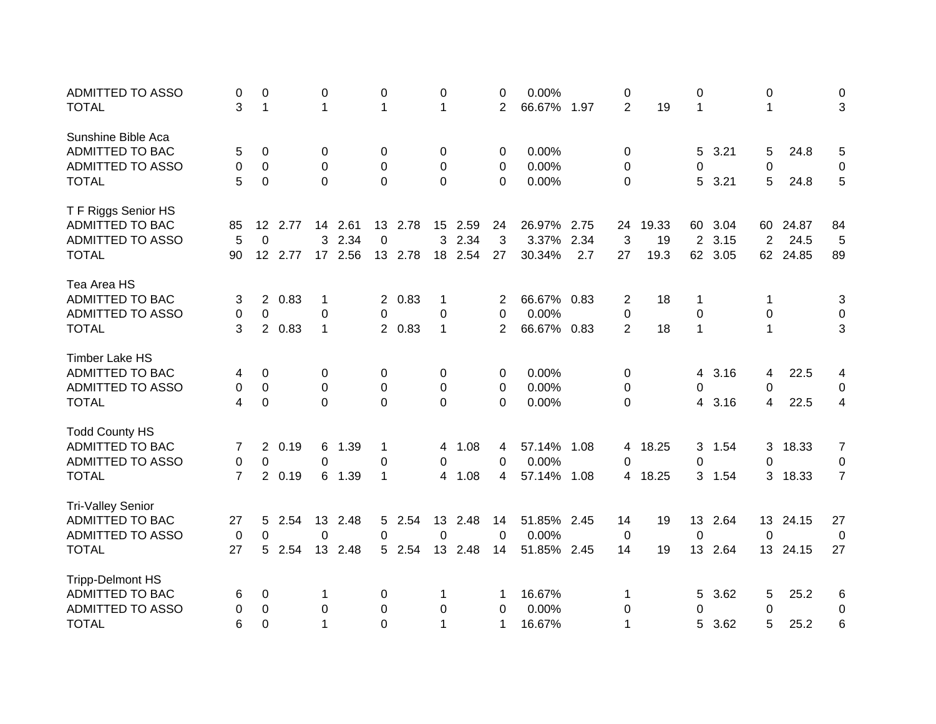| <b>ADMITTED TO ASSO</b>  | 0              | 0           |         | 0              |         | 0              |         | 0            |         | 0           | 0.00%       |      | 0              |       | 0              |      | 0               |          | 0              |
|--------------------------|----------------|-------------|---------|----------------|---------|----------------|---------|--------------|---------|-------------|-------------|------|----------------|-------|----------------|------|-----------------|----------|----------------|
| <b>TOTAL</b>             | 3              | $\mathbf 1$ |         | $\mathbf 1$    |         | 1              |         | 1            |         | 2           | 66.67%      | 1.97 | $\overline{2}$ | 19    | $\mathbf{1}$   |      | $\mathbf 1$     |          | 3              |
| Sunshine Bible Aca       |                |             |         |                |         |                |         |              |         |             |             |      |                |       |                |      |                 |          |                |
| <b>ADMITTED TO BAC</b>   | 5              | 0           |         | 0              |         | 0              |         | 0            |         | 0           | 0.00%       |      | 0              |       | 5              | 3.21 | 5               | 24.8     | 5              |
| <b>ADMITTED TO ASSO</b>  | 0              | 0           |         | $\Omega$       |         | 0              |         | 0            |         | 0           | 0.00%       |      | 0              |       | 0              |      | 0               |          | 0              |
| <b>TOTAL</b>             | 5              | 0           |         | $\Omega$       |         | 0              |         | $\mathbf 0$  |         | $\Omega$    | 0.00%       |      | 0              |       | 5              | 3.21 | 5               | 24.8     | 5              |
| T F Riggs Senior HS      |                |             |         |                |         |                |         |              |         |             |             |      |                |       |                |      |                 |          |                |
| <b>ADMITTED TO BAC</b>   | 85             | 12          | 2.77    |                | 14 2.61 |                | 13 2.78 |              | 15 2.59 | 24          | 26.97%      | 2.75 | 24             | 19.33 | 60             | 3.04 | 60              | 24.87    | 84             |
| <b>ADMITTED TO ASSO</b>  | 5              | $\Omega$    |         | 3              | 2.34    | $\Omega$       |         | 3            | 2.34    | 3           | 3.37%       | 2.34 | 3              | 19    | $\overline{2}$ | 3.15 | $\overline{2}$  | 24.5     | 5              |
| <b>TOTAL</b>             | 90             |             | 12 2.77 |                | 17 2.56 |                | 13 2.78 |              | 18 2.54 | 27          | 30.34%      | 2.7  | 27             | 19.3  | 62             | 3.05 |                 | 62 24.85 | 89             |
| Tea Area HS              |                |             |         |                |         |                |         |              |         |             |             |      |                |       |                |      |                 |          |                |
| <b>ADMITTED TO BAC</b>   | 3              | $2^{\circ}$ | 0.83    | 1              |         |                | 2 0.83  | 1            |         | 2           | 66.67% 0.83 |      | 2              | 18    | 1              |      | 1               |          | 3              |
| <b>ADMITTED TO ASSO</b>  | 0              | 0           |         | 0              |         | 0              |         | 0            |         | 0           | 0.00%       |      | $\pmb{0}$      |       | $\mathbf 0$    |      | 0               |          | 0              |
| <b>TOTAL</b>             | 3              | $2^{\circ}$ | 0.83    | 1              |         |                | 2 0.83  | $\mathbf{1}$ |         | 2           | 66.67% 0.83 |      | $\overline{2}$ | 18    | $\mathbf{1}$   |      | $\mathbf{1}$    |          | 3              |
| <b>Timber Lake HS</b>    |                |             |         |                |         |                |         |              |         |             |             |      |                |       |                |      |                 |          |                |
| <b>ADMITTED TO BAC</b>   | 4              | 0           |         | 0              |         | 0              |         | 0            |         | 0           | 0.00%       |      | 0              |       | 4              | 3.16 | 4               | 22.5     | 4              |
| ADMITTED TO ASSO         | 0              | 0           |         | $\mathbf 0$    |         | 0              |         | 0            |         | 0           | 0.00%       |      | 0              |       | 0              |      | 0               |          | 0              |
| <b>TOTAL</b>             | 4              | 0           |         | $\overline{0}$ |         | $\overline{0}$ |         | 0            |         | 0           | 0.00%       |      | 0              |       | 4              | 3.16 | 4               | 22.5     | 4              |
| <b>Todd County HS</b>    |                |             |         |                |         |                |         |              |         |             |             |      |                |       |                |      |                 |          |                |
| <b>ADMITTED TO BAC</b>   | 7              |             | 2 0.19  | 6              | 1.39    | 1              |         | 4            | 1.08    | 4           | 57.14%      | 1.08 | 4              | 18.25 | 3              | 1.54 | 3               | 18.33    | $\overline{7}$ |
| <b>ADMITTED TO ASSO</b>  | 0              | 0           |         | 0              |         | 0              |         | 0            |         | 0           | 0.00%       |      | 0              |       | 0              |      | 0               |          | 0              |
| <b>TOTAL</b>             | $\overline{7}$ | $2^{\circ}$ | 0.19    |                | 6 1.39  | $\mathbf 1$    |         | 4            | 1.08    | 4           | 57.14%      | 1.08 | 4              | 18.25 | 3              | 1.54 | 3               | 18.33    | $\overline{7}$ |
| <b>Tri-Valley Senior</b> |                |             |         |                |         |                |         |              |         |             |             |      |                |       |                |      |                 |          |                |
| ADMITTED TO BAC          | 27             | 5.          | 2.54    | 13             | 2.48    | 5              | 2.54    | 13           | 2.48    | 14          | 51.85% 2.45 |      | 14             | 19    | 13             | 2.64 | 13 <sup>°</sup> | 24.15    | 27             |
| <b>ADMITTED TO ASSO</b>  | 0              | $\Omega$    |         | $\Omega$       |         | 0              |         | 0            |         | $\Omega$    | 0.00%       |      | 0              |       | 0              |      | $\Omega$        |          | 0              |
| <b>TOTAL</b>             | 27             | 5           | 2.54    | 13             | 2.48    |                | 5 2.54  | 13           | 2.48    | 14          | 51.85%      | 2.45 | 14             | 19    | 13             | 2.64 | 13              | 24.15    | 27             |
| <b>Tripp-Delmont HS</b>  |                |             |         |                |         |                |         |              |         |             |             |      |                |       |                |      |                 |          |                |
| ADMITTED TO BAC          | 6              | 0           |         | 1              |         | 0              |         | 1            |         | 1           | 16.67%      |      | 1              |       | 5              | 3.62 | 5               | 25.2     | 6              |
| <b>ADMITTED TO ASSO</b>  | 0              | 0           |         | 0              |         | 0              |         | 0            |         | 0           | 0.00%       |      | 0              |       | 0              |      | 0               |          | 0              |
| <b>TOTAL</b>             | 6              | $\Omega$    |         | 1              |         | 0              |         | 1            |         | $\mathbf 1$ | 16.67%      |      | 1              |       | 5              | 3.62 | 5               | 25.2     | 6              |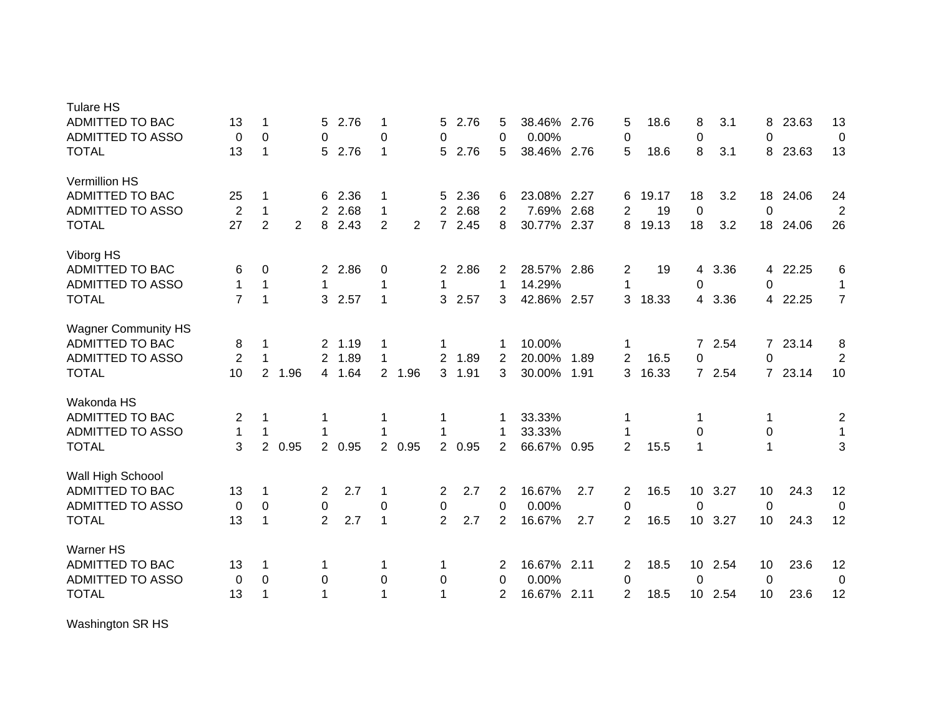| <b>Tulare HS</b>           |                |                |      |                       |        |                |        |                |        |                |             |      |                |       |                 |        |                |       |                |
|----------------------------|----------------|----------------|------|-----------------------|--------|----------------|--------|----------------|--------|----------------|-------------|------|----------------|-------|-----------------|--------|----------------|-------|----------------|
| ADMITTED TO BAC            | 13             | 1              |      | 5                     | 2.76   | 1              |        | 5.             | 2.76   | 5              | 38.46%      | 2.76 | 5              | 18.6  | 8               | 3.1    | 8              | 23.63 | 13             |
| <b>ADMITTED TO ASSO</b>    | 0              | 0              |      | 0                     |        | 0              |        | 0              |        | $\Omega$       | 0.00%       |      | 0              |       | $\mathbf 0$     |        | 0              |       | 0              |
| <b>TOTAL</b>               | 13             | 1              |      | 5                     | 2.76   | $\mathbf 1$    |        | 5.             | 2.76   | 5              | 38.46% 2.76 |      | 5              | 18.6  | 8               | 3.1    | 8              | 23.63 | 13             |
| Vermillion HS              |                |                |      |                       |        |                |        |                |        |                |             |      |                |       |                 |        |                |       |                |
| <b>ADMITTED TO BAC</b>     | 25             | 1              |      | 6                     | 2.36   | 1              |        | 5.             | 2.36   | 6              | 23.08%      | 2.27 | 6              | 19.17 | 18              | 3.2    | 18             | 24.06 | 24             |
| <b>ADMITTED TO ASSO</b>    | $\overline{2}$ | $\mathbf{1}$   |      | $\overline{2}$        | 2.68   | $\mathbf 1$    |        | 2              | 2.68   | 2              | 7.69%       | 2.68 | 2              | 19    | $\mathbf 0$     |        | 0              |       | $\overline{2}$ |
| <b>TOTAL</b>               | 27             | $\overline{2}$ | 2    | 8                     | 2.43   | $\overline{2}$ | 2      | 7 <sup>1</sup> | 2.45   | 8              | 30.77%      | 2.37 | 8              | 19.13 | 18              | 3.2    | 18             | 24.06 | 26             |
| Viborg HS                  |                |                |      |                       |        |                |        |                |        |                |             |      |                |       |                 |        |                |       |                |
| ADMITTED TO BAC            | 6              | 0              |      |                       | 2 2.86 | 0              |        | 2              | 2.86   | 2              | 28.57%      | 2.86 | 2              | 19    | 4               | 3.36   | 4              | 22.25 | 6              |
| <b>ADMITTED TO ASSO</b>    | 1              | 1              |      |                       |        | 1              |        | 1              |        | $\mathbf 1$    | 14.29%      |      | 1              |       | 0               |        | 0              |       | $\mathbf 1$    |
| <b>TOTAL</b>               | $\overline{7}$ | 1              |      | 3                     | 2.57   | $\mathbf 1$    |        | 3.             | 2.57   | 3              | 42.86%      | 2.57 | 3              | 18.33 |                 | 4 3.36 | 4              | 22.25 | $\overline{7}$ |
| <b>Wagner Community HS</b> |                |                |      |                       |        |                |        |                |        |                |             |      |                |       |                 |        |                |       |                |
| ADMITTED TO BAC            | 8              | 1              |      | $\mathbf{2}$          | 1.19   | 1              |        | 1              |        | -1             | 10.00%      |      | 1              |       | 7               | 2.54   | $7^{\circ}$    | 23.14 | 8              |
| ADMITTED TO ASSO           | $\overline{2}$ | 1              |      | 2                     | 1.89   | 1              |        | 2              | 1.89   | 2              | 20.00%      | 1.89 | $\overline{2}$ | 16.5  | $\mathbf 0$     |        | 0              |       | $\overline{2}$ |
| <b>TOTAL</b>               | 10             | 2              | 1.96 |                       | 4 1.64 |                | 2 1.96 | 3              | 1.91   | 3              | 30.00%      | 1.91 | 3              | 16.33 |                 | 7 2.54 | $\overline{7}$ | 23.14 | 10             |
| Wakonda HS                 |                |                |      |                       |        |                |        |                |        |                |             |      |                |       |                 |        |                |       |                |
| <b>ADMITTED TO BAC</b>     | 2              | 1              |      |                       |        |                |        | 1              |        | -1             | 33.33%      |      |                |       | 1               |        | 1              |       | 2              |
| ADMITTED TO ASSO           | 1              | 1              |      |                       |        |                |        | 1              |        | 1              | 33.33%      |      |                |       | 0               |        | 0              |       | 1              |
| <b>TOTAL</b>               | 3              | $\overline{2}$ | 0.95 | $\mathbf{2}^{\prime}$ | 0.95   |                | 2 0.95 |                | 2 0.95 | 2              | 66.67%      | 0.95 | 2              | 15.5  | 1               |        |                |       | 3              |
| Wall High Schoool          |                |                |      |                       |        |                |        |                |        |                |             |      |                |       |                 |        |                |       |                |
| ADMITTED TO BAC            | 13             | 1              |      | $\overline{2}$        | 2.7    | 1              |        | 2              | 2.7    | $\overline{2}$ | 16.67%      | 2.7  | 2              | 16.5  | 10 <sup>°</sup> | 3.27   | 10             | 24.3  | 12             |
| ADMITTED TO ASSO           | 0              | 0              |      | 0                     |        | 0              |        | 0              |        | 0              | 0.00%       |      | 0              |       | $\mathbf 0$     |        | 0              |       | 0              |
| <b>TOTAL</b>               | 13             | 1              |      | $\overline{2}$        | 2.7    | $\mathbf 1$    |        | $\overline{2}$ | 2.7    | $\overline{2}$ | 16.67%      | 2.7  | $\overline{2}$ | 16.5  | 10              | 3.27   | 10             | 24.3  | 12             |
| <b>Warner HS</b>           |                |                |      |                       |        |                |        |                |        |                |             |      |                |       |                 |        |                |       |                |
| <b>ADMITTED TO BAC</b>     | 13             | 1              |      | 1                     |        | 1              |        | 1              |        | 2              | 16.67% 2.11 |      | 2              | 18.5  | 10 <sup>1</sup> | 2.54   | 10             | 23.6  | 12             |
| <b>ADMITTED TO ASSO</b>    | 0              | 0              |      | 0                     |        | 0              |        | 0              |        | 0              | 0.00%       |      | 0              |       | 0               |        | 0              |       | 0              |
| <b>TOTAL</b>               | 13             | 1              |      |                       |        | 1              |        | 1              |        | 2              | 16.67%      | 2.11 | 2              | 18.5  | 10              | 2.54   | 10             | 23.6  | 12             |
|                            |                |                |      |                       |        |                |        |                |        |                |             |      |                |       |                 |        |                |       |                |

Washington SR HS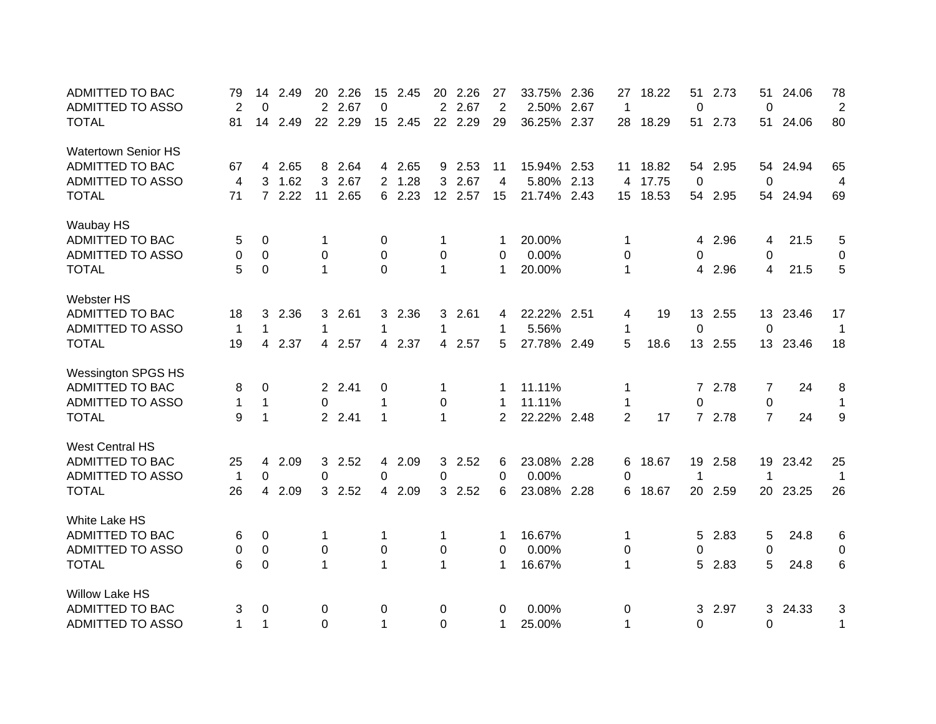| <b>ADMITTED TO BAC</b>     | 79           | 14           | 2.49 | 20           | 2.26    | 15             | 2.45    | 20             | 2.26    | 27             | 33.75%      | 2.36 | 27             | 18.22 | 51          | 2.73    | 51             | 24.06    | 78             |
|----------------------------|--------------|--------------|------|--------------|---------|----------------|---------|----------------|---------|----------------|-------------|------|----------------|-------|-------------|---------|----------------|----------|----------------|
| <b>ADMITTED TO ASSO</b>    | 2            | 0            |      | 2            | 2.67    | 0              |         | 2              | 2.67    | 2              | 2.50%       | 2.67 | $\overline{1}$ |       | 0           |         | 0              |          | $\overline{2}$ |
| <b>TOTAL</b>               | 81           | 14           | 2.49 |              | 22 2.29 |                | 15 2.45 | 22             | 2.29    | 29             | 36.25%      | 2.37 | 28             | 18.29 | 51          | 2.73    | 51             | 24.06    | 80             |
| <b>Watertown Senior HS</b> |              |              |      |              |         |                |         |                |         |                |             |      |                |       |             |         |                |          |                |
| <b>ADMITTED TO BAC</b>     | 67           | 4            | 2.65 | 8            | 2.64    |                | 4 2.65  | 9              | 2.53    | 11             | 15.94% 2.53 |      | 11             | 18.82 | 54          | 2.95    | 54             | 24.94    | 65             |
| <b>ADMITTED TO ASSO</b>    | 4            | 3            | 1.62 | 3            | 2.67    |                | 2 1.28  | 3              | 2.67    | $\overline{4}$ | 5.80%       | 2.13 | 4              | 17.75 | $\mathbf 0$ |         | 0              |          | 4              |
| <b>TOTAL</b>               | 71           | $7^{\circ}$  | 2.22 | 11           | 2.65    |                | 6 2.23  |                | 12 2.57 | 15             | 21.74% 2.43 |      | 15             | 18.53 | 54          | 2.95    | 54             | 24.94    | 69             |
| Waubay HS                  |              |              |      |              |         |                |         |                |         |                |             |      |                |       |             |         |                |          |                |
| <b>ADMITTED TO BAC</b>     | 5            | 0            |      | 1            |         | 0              |         | 1              |         | 1              | 20.00%      |      | 1              |       | 4           | 2.96    | 4              | 21.5     | 5              |
| ADMITTED TO ASSO           | 0            | $\mathbf 0$  |      | 0            |         | 0              |         | 0              |         | 0              | 0.00%       |      | 0              |       | 0           |         | 0              |          | 0              |
| <b>TOTAL</b>               | 5            | 0            |      | $\mathbf{1}$ |         | 0              |         | $\mathbf{1}$   |         | $\mathbf 1$    | 20.00%      |      | 1              |       | 4           | 2.96    | 4              | 21.5     | 5              |
| Webster HS                 |              |              |      |              |         |                |         |                |         |                |             |      |                |       |             |         |                |          |                |
| <b>ADMITTED TO BAC</b>     | 18           | 3            | 2.36 | 3            | 2.61    |                | 3 2.36  | 3              | 2.61    | 4              | 22.22% 2.51 |      | 4              | 19    |             | 13 2.55 |                | 13 23.46 | 17             |
| <b>ADMITTED TO ASSO</b>    | $\mathbf{1}$ | $\mathbf 1$  |      | 1            |         | 1              |         | 1              |         | 1              | 5.56%       |      | 1              |       | 0           |         | 0              |          | 1              |
| <b>TOTAL</b>               | 19           | 4            | 2.37 |              | 4 2.57  |                | 4 2.37  |                | 4 2.57  | 5              | 27.78% 2.49 |      | 5              | 18.6  |             | 13 2.55 |                | 13 23.46 | 18             |
| <b>Wessington SPGS HS</b>  |              |              |      |              |         |                |         |                |         |                |             |      |                |       |             |         |                |          |                |
| ADMITTED TO BAC            | 8            | 0            |      |              | 2 2.41  | 0              |         | 1              |         | -1             | 11.11%      |      | 1              |       |             | 7 2.78  | 7              | 24       | 8              |
| <b>ADMITTED TO ASSO</b>    | 1            | $\mathbf{1}$ |      | $\Omega$     |         | 1              |         | 0              |         | -1             | 11.11%      |      | 1              |       | 0           |         | 0              |          | $\mathbf{1}$   |
| <b>TOTAL</b>               | 9            | $\mathbf{1}$ |      |              | 2 2.41  | 1              |         | $\mathbf{1}$   |         | 2              | 22.22% 2.48 |      | $\overline{2}$ | 17    |             | 7 2.78  | $\overline{7}$ | 24       | 9              |
| <b>West Central HS</b>     |              |              |      |              |         |                |         |                |         |                |             |      |                |       |             |         |                |          |                |
| <b>ADMITTED TO BAC</b>     | 25           | 4            | 2.09 | 3            | 2.52    |                | 4 2.09  | 3 <sup>1</sup> | 2.52    | 6              | 23.08% 2.28 |      | 6              | 18.67 | 19          | 2.58    | 19             | 23.42    | 25             |
| <b>ADMITTED TO ASSO</b>    | $\mathbf{1}$ | 0            |      | 0            |         | 0              |         | 0              |         | 0              | 0.00%       |      | 0              |       | 1           |         | 1              |          | $\mathbf{1}$   |
| <b>TOTAL</b>               | 26           | 4            | 2.09 |              | 3 2.52  | $\overline{4}$ | 2.09    | 3 <sup>1</sup> | 2.52    | 6              | 23.08%      | 2.28 | 6              | 18.67 | 20          | 2.59    | 20             | 23.25    | 26             |
| White Lake HS              |              |              |      |              |         |                |         |                |         |                |             |      |                |       |             |         |                |          |                |
| <b>ADMITTED TO BAC</b>     | 6            | 0            |      | 1            |         | 1              |         | 1              |         | 1              | 16.67%      |      | 1              |       | 5           | 2.83    | 5              | 24.8     | 6              |
| ADMITTED TO ASSO           | 0            | 0            |      | 0            |         | 0              |         | 0              |         | 0              | 0.00%       |      | 0              |       | 0           |         | 0              |          | 0              |
| <b>TOTAL</b>               | 6            | 0            |      | $\mathbf 1$  |         | $\mathbf{1}$   |         | 1              |         | 1              | 16.67%      |      | 1              |       | 5           | 2.83    | 5              | 24.8     | 6              |
| <b>Willow Lake HS</b>      |              |              |      |              |         |                |         |                |         |                |             |      |                |       |             |         |                |          |                |
| <b>ADMITTED TO BAC</b>     | 3            | 0            |      | 0            |         | 0              |         | 0              |         | 0              | 0.00%       |      | 0              |       | 3           | 2.97    | 3              | 24.33    | 3              |
| <b>ADMITTED TO ASSO</b>    | 1            | $\mathbf{1}$ |      | $\Omega$     |         | 1              |         | $\Omega$       |         | 1              | 25.00%      |      | 1              |       | 0           |         | $\Omega$       |          | $\mathbf 1$    |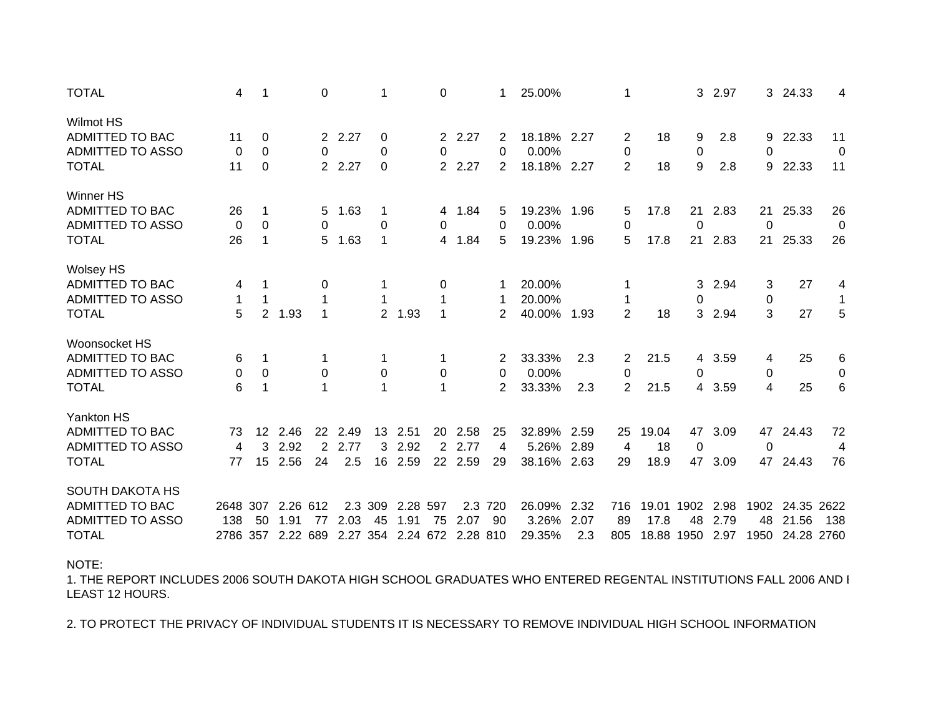| <b>TOTAL</b>                                                                                  | 4               | 1                             |                                       | 0                          |                     | 1                     |                      | 0                     |                                  | 1             | 25.00%                         |                     | 1                                     |                     | 3                        | 2.97                 | 3 <sup>1</sup>          | 24.33                        | 4                                  |
|-----------------------------------------------------------------------------------------------|-----------------|-------------------------------|---------------------------------------|----------------------------|---------------------|-----------------------|----------------------|-----------------------|----------------------------------|---------------|--------------------------------|---------------------|---------------------------------------|---------------------|--------------------------|----------------------|-------------------------|------------------------------|------------------------------------|
| Wilmot HS<br>ADMITTED TO BAC<br><b>ADMITTED TO ASSO</b><br><b>TOTAL</b>                       | 11<br>0<br>11   | 0<br>0<br>$\mathbf 0$         |                                       | 0                          | 2 2.27<br>2 2.27    | 0<br>0<br>$\mathbf 0$ |                      | 0                     | 2 2.27<br>2 2.27                 | 2<br>0<br>2   | 18.18% 2.27<br>0.00%<br>18.18% | 2.27                | 2<br>0<br>$\overline{2}$              | 18<br>18            | 9<br>$\pmb{0}$<br>9      | 2.8<br>2.8           | 9<br>0<br>9             | 22.33<br>22.33               | 11<br>0<br>11                      |
| <b>Winner HS</b><br>ADMITTED TO BAC<br><b>ADMITTED TO ASSO</b><br><b>TOTAL</b>                | 26<br>0<br>26   | 1<br>$\mathbf 0$<br>1         |                                       | $5\overline{)}$<br>0<br>5  | 1.63<br>1.63        | 1<br>$\pmb{0}$<br>1   |                      | 0<br>$\overline{4}$   | 4 1.84<br>1.84                   | 5<br>0<br>5   | 19.23%<br>0.00%<br>19.23%      | 1.96<br>1.96        | 5<br>$\mathbf 0$<br>5                 | 17.8<br>17.8        | 21<br>$\mathbf 0$<br>21  | 2.83<br>2.83         | 21<br>$\mathbf 0$<br>21 | 25.33<br>25.33               | 26<br>0<br>26                      |
| <b>Wolsey HS</b><br>ADMITTED TO BAC<br><b>ADMITTED TO ASSO</b><br><b>TOTAL</b>                | 4<br>1<br>5     | $\mathbf 1$<br>2 <sup>1</sup> | 1.93                                  | 0<br>$\mathbf 1$<br>1      |                     | 1<br>1                | 2 1.93               | 0<br>1<br>$\mathbf 1$ |                                  | 1<br>2        | 20.00%<br>20.00%<br>40.00%     | 1.93                | 1<br>$\overline{2}$                   | 18                  | 3<br>0<br>3              | 2.94<br>2.94         | 3<br>0<br>3             | 27<br>27                     | 4<br>$\mathbf 1$<br>$\overline{5}$ |
| Woonsocket HS<br>ADMITTED TO BAC<br>ADMITTED TO ASSO<br><b>TOTAL</b>                          | 6<br>0<br>6     | 1<br>0<br>1                   |                                       | 0<br>1                     |                     | 1<br>0<br>1           |                      | 0<br>1                |                                  | 0<br>2        | 33.33%<br>0.00%<br>33.33%      | 2.3<br>2.3          | $\overline{2}$<br>0<br>$\overline{2}$ | 21.5<br>21.5        | $\overline{4}$<br>0<br>4 | 3.59<br>3.59         | 4<br>0<br>4             | 25<br>25                     | 6<br>0<br>6                        |
| Yankton HS<br>ADMITTED TO BAC<br><b>ADMITTED TO ASSO</b><br><b>TOTAL</b>                      | 73<br>4<br>77   | $12 \overline{ }$<br>3<br>15  | 2.46<br>2.92<br>2.56                  | 22<br>$\overline{2}$<br>24 | 2.49<br>2.77<br>2.5 | 13<br>3<br>16         | 2.51<br>2.92<br>2.59 | 20<br>$\overline{2}$  | 2.58<br>2.77<br>22 2.59          | 25<br>4<br>29 | 32.89%<br>5.26%<br>38.16% 2.63 | 2.59<br>2.89        | 25<br>4<br>29                         | 19.04<br>18<br>18.9 | 47<br>$\mathbf 0$<br>47  | 3.09<br>3.09         | 47<br>0<br>47           | 24.43<br>24.43               | 72<br>4<br>76                      |
| <b>SOUTH DAKOTA HS</b><br>ADMITTED TO BAC<br><b>ADMITTED TO ASSO</b><br><b>TOTAL</b><br>NOTE: | 2648 307<br>138 | 50                            | 2.26 612<br>1.91<br>2786 357 2.22 689 | 77                         | 2.03<br>2.27 354    | 2.3 309<br>45         | 2.28 597<br>1.91     | 75                    | 2.3<br>2.07<br>2.24 672 2.28 810 | 720<br>90     | 26.09%<br>3.26%<br>29.35%      | 2.32<br>2.07<br>2.3 | 716<br>89<br>805                      | 19.01 1902<br>17.8  | 48<br>18.88 1950         | 2.98<br>2.79<br>2.97 | 1902<br>48<br>1950      | 24.35<br>21.56<br>24.28 2760 | 2622<br>138                        |
|                                                                                               |                 |                               |                                       |                            |                     |                       |                      |                       |                                  |               |                                |                     |                                       |                     |                          |                      |                         |                              |                                    |

1. THE REPORT INCLUDES 2006 SOUTH DAKOTA HIGH SCHOOL GRADUATES WHO ENTERED REGENTAL INSTITUTIONS FALL 2006 AND ELEAST 12 HOURS.

2. TO PROTECT THE PRIVACY OF INDIVIDUAL STUDENTS IT IS NECESSARY TO REMOVE INDIVIDUAL HIGH SCHOOL INFORMATION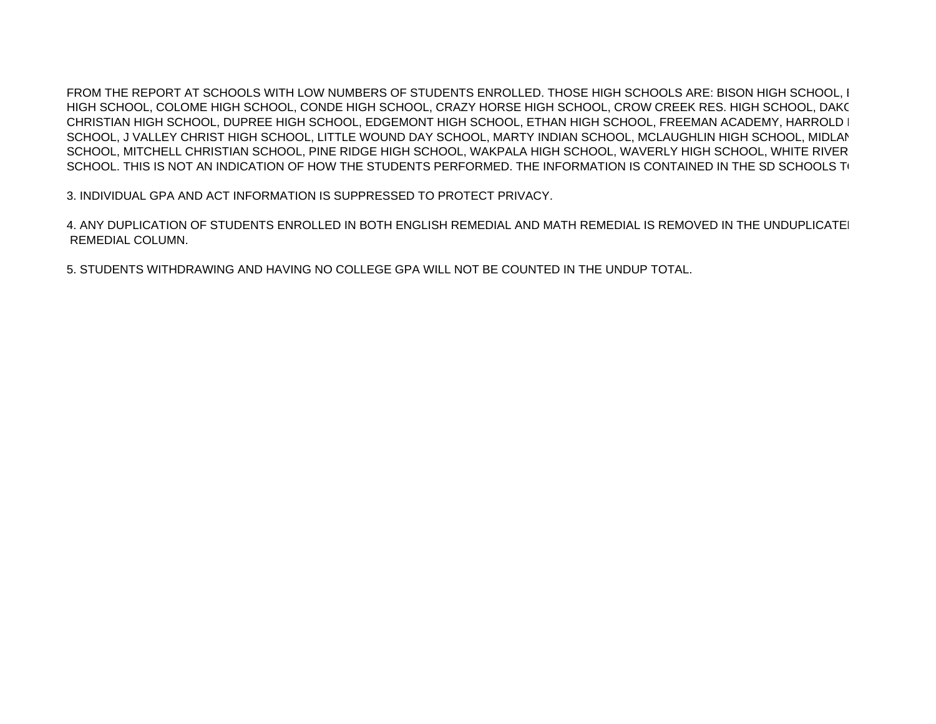FROM THE REPORT AT SCHOOLS WITH LOW NUMBERS OF STUDENTS ENROLLED. THOSE HIGH SCHOOLS ARE: BISON HIGH SCHOOL, BHIGH SCHOOL, COLOME HIGH SCHOOL, CONDE HIGH SCHOOL, CRAZY HORSE HIGH SCHOOL, CROW CREEK RES. HIGH SCHOOL, DAK OCHRISTIAN HIGH SCHOOL, DUPREE HIGH SCHOOL, EDGEMONT HIGH SCHOOL, ETHAN HIGH SCHOOL, FREEMAN ACADEMY, HARROLD H SCHOOL, J VALLEY CHRIST HIGH SCHOOL, LITTLE WOUND DAY SCHOOL, MARTY INDIAN SCHOOL, MCLAUGHLIN HIGH SCHOOL, MIDLA NSCHOOL, MITCHELL CHRISTIAN SCHOOL, PINE RIDGE HIGH SCHOOL, WAKPALA HIGH SCHOOL, WAVERLY HIGH SCHOOL, WHITE RIVER SCHOOL. THIS IS NOT AN INDICATION OF HOW THE STUDENTS PERFORMED. THE INFORMATION IS CONTAINED IN THE SD SCHOOLS T(

3. INDIVIDUAL GPA AND ACT INFORMATION IS SUPPRESSED TO PROTECT PRIVACY.

4. ANY DUPLICATION OF STUDENTS ENROLLED IN BOTH ENGLISH REMEDIAL AND MATH REMEDIAL IS REMOVED IN THE UNDUPLICATEI REMEDIAL COLUMN.

5. STUDENTS WITHDRAWING AND HAVING NO COLLEGE GPA WILL NOT BE COUNTED IN THE UNDUP TOTAL.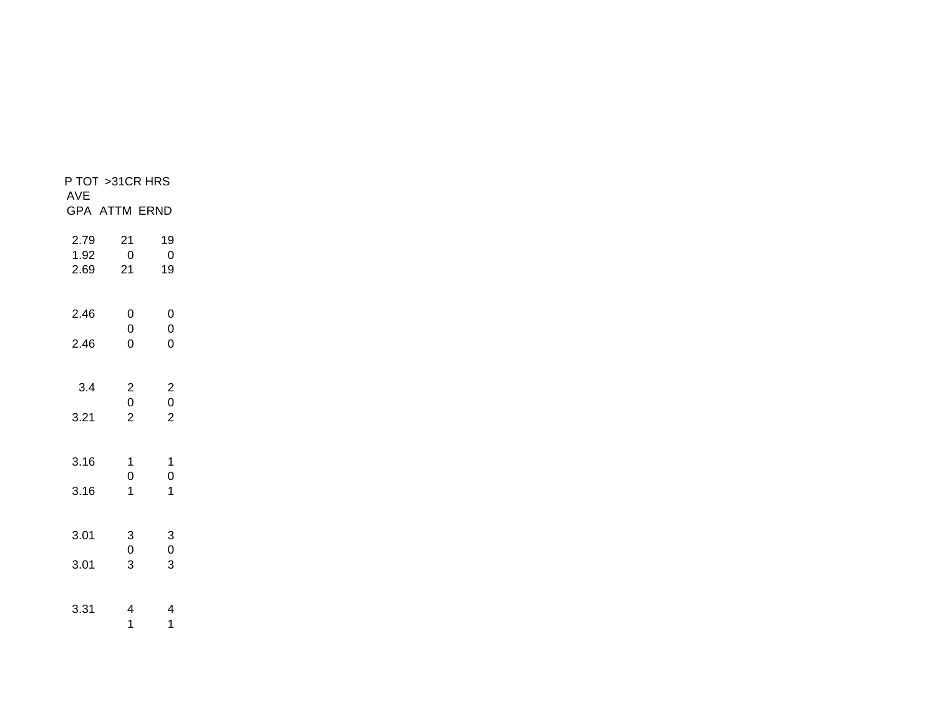| P TOT >31CR HRS<br>AVE |                                           |                                            |  |
|------------------------|-------------------------------------------|--------------------------------------------|--|
| <b>GPA ATTM ERND</b>   |                                           |                                            |  |
| 2.79<br>1.92<br>2.69   | 21<br>$\overline{0}$<br>21                | 19<br>$\overline{0}$<br>19                 |  |
| 2.46<br>2.46           | 0<br>0<br>0                               | $\mathbf 0$<br>$\pmb{0}$<br>$\overline{0}$ |  |
| 3.4                    | $\overline{\mathbf{c}}$<br>$\overline{0}$ | $\begin{array}{c} 2 \\ 0 \end{array}$      |  |
| 3.21                   | $\overline{2}$                            | $\overline{2}$                             |  |
| 3.16                   | 1<br>$\overline{0}$                       | 1<br>$\overline{0}$                        |  |
| 3.16                   | 1                                         | $\overline{1}$                             |  |
| 3.01                   | 3<br>$\mathbf 0$                          | $\begin{array}{c} 3 \\ 0 \end{array}$      |  |
| 3.01                   | 3                                         | 3                                          |  |
| 3.31                   | 4<br>1                                    | 4<br>1                                     |  |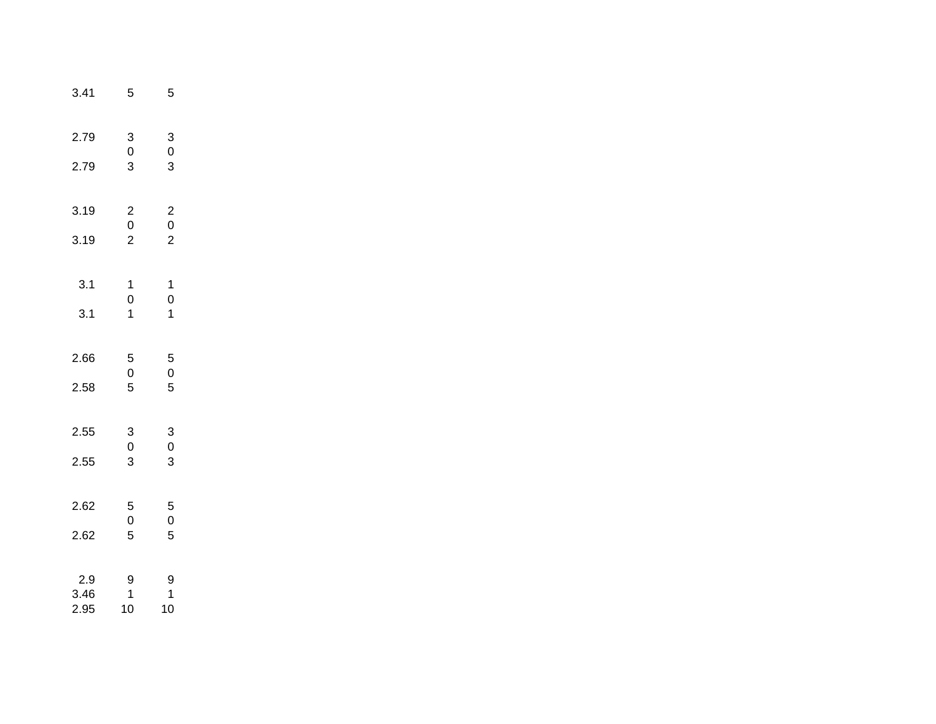| 3.41                | 5                                          | 5                                          |
|---------------------|--------------------------------------------|--------------------------------------------|
| 2.79<br>2.79        | $\begin{array}{c} 3 \\ 0 \\ 3 \end{array}$ | $\begin{array}{c} 3 \\ 0 \\ 3 \end{array}$ |
| 3.19<br>3.19        | $\begin{array}{c} 2 \\ 0 \\ 2 \end{array}$ | $\begin{array}{c} 2 \\ 0 \\ 2 \end{array}$ |
| 3.1<br>3.1          | $\begin{array}{c} 1 \\ 0 \\ 1 \end{array}$ | $\begin{array}{c} 1 \\ 0 \\ 1 \end{array}$ |
| 2.66<br>2.58        | $\begin{array}{c} 5 \\ 0 \\ 5 \end{array}$ | $\begin{array}{c} 5 \\ 0 \\ 5 \end{array}$ |
| 2.55<br>2.55        | $\begin{array}{c} 3 \\ 0 \\ 3 \end{array}$ | $\frac{3}{0}$<br>3                         |
| 2.62<br>2.62        | $\begin{array}{c} 5 \\ 0 \\ 5 \end{array}$ | $\begin{array}{c} 5 \\ 0 \\ 5 \end{array}$ |
| 2.9<br>3.46<br>2.95 | 9<br>1<br>10                               | 9<br>$\mathbf 1$<br>10                     |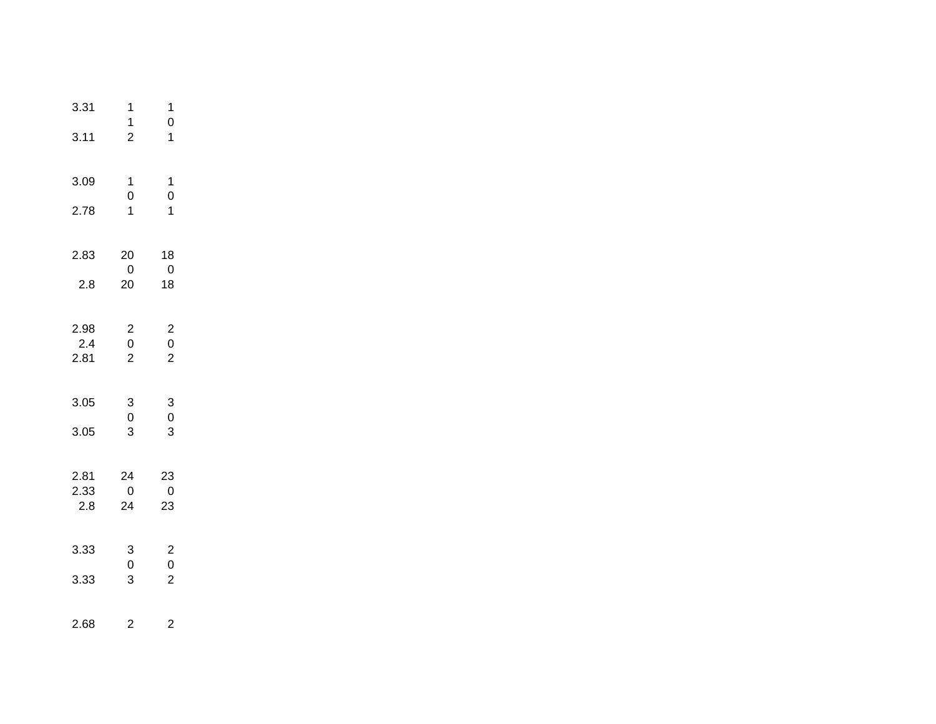| 3.31<br>3.11        | 1<br>$\mathbf 1$<br>$\overline{2}$           | 1<br>$\mathbf 0$<br>$\mathbf{1}$                        |
|---------------------|----------------------------------------------|---------------------------------------------------------|
| 3.09<br>2.78        | $\mathbf 1$<br>$\mathbf 0$<br>$\overline{1}$ | $\mathbf 1$<br>$\mathbf 0$<br>$\overline{1}$            |
| 2.83<br>2.8         | 20<br>$\overline{0}$<br>20                   | 18<br>$\mathbf 0$<br>18                                 |
| 2.98<br>2.4<br>2.81 | $\begin{array}{c} 2 \\ 0 \\ 2 \end{array}$   | $\begin{array}{c} 2 \\ 0 \\ 2 \end{array}$              |
| 3.05<br>3.05        | $\begin{array}{c} 3 \\ 0 \end{array}$<br>3   | 3<br>$\overline{0}$<br>3                                |
| 2.81<br>2.33<br>2.8 | 24<br>$\overline{0}$<br>24                   | 23<br>$\overline{0}$<br>23                              |
| 3.33<br>3.33        | $\begin{bmatrix} 3 \\ 0 \end{bmatrix}$<br>3  | $\begin{array}{c} 2 \\ 0 \end{array}$<br>$\overline{c}$ |
| 2.68                | 2                                            | 2                                                       |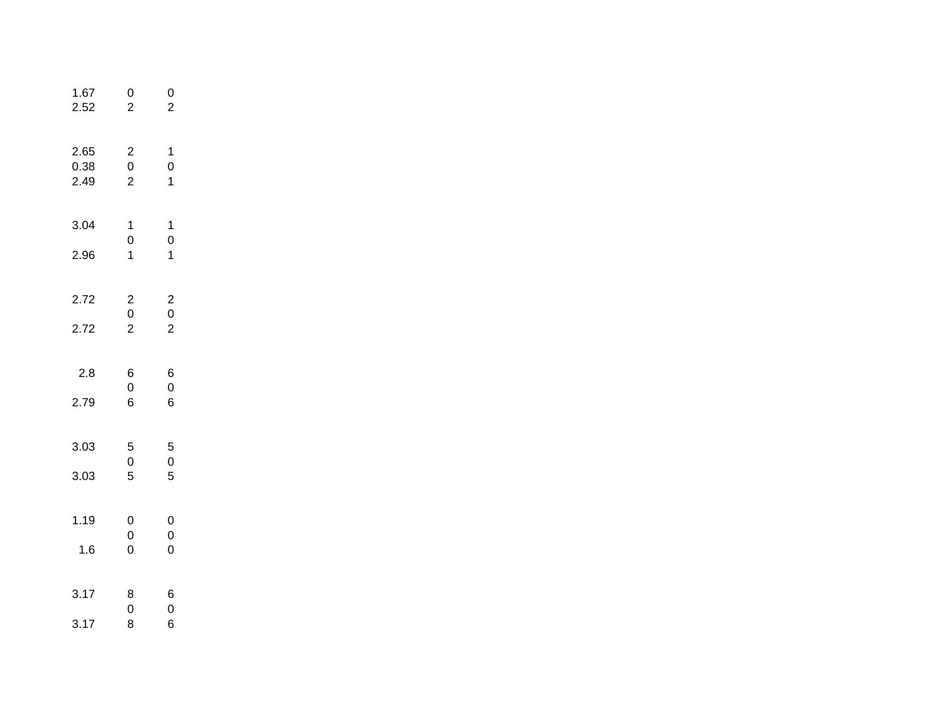| 1.67<br>2.52         | 0<br>$\overline{c}$                        | 0<br>$\overline{2}$                        |  |
|----------------------|--------------------------------------------|--------------------------------------------|--|
| 2.65<br>0.38<br>2.49 | $\begin{array}{c} 2 \\ 0 \\ 2 \end{array}$ | 1<br>$\mathbf{0}$<br>$\overline{1}$        |  |
| 3.04                 | $\mathbf 1$<br>$\overline{0}$              | 1<br>$\mathbf{O}$                          |  |
| 2.96                 | $\overline{1}$                             | $\overline{1}$                             |  |
| 2.72                 |                                            |                                            |  |
| 2.72                 | $\begin{array}{c} 2 \\ 0 \\ 2 \end{array}$ | $\begin{array}{c} 2 \\ 0 \\ 2 \end{array}$ |  |
| 2.8                  | 6<br>$\mathbf{0}$                          | 6<br>$\mathbf{O}$                          |  |
| 2.79                 | 6                                          | 6                                          |  |
| 3.03                 | 5                                          | 5                                          |  |
| 3.03                 | $\begin{array}{c} 0 \\ 5 \end{array}$      | $\begin{array}{c} 0 \\ 5 \end{array}$      |  |
| 1.19                 | 0                                          | 0                                          |  |
| 1.6                  | $\mathbf{0}$<br>$\overline{0}$             | $\mathbf 0$<br>$\overline{0}$              |  |
| 3.17                 | 8                                          | 6                                          |  |
| 3.17                 | 0<br>8                                     | 0<br>6                                     |  |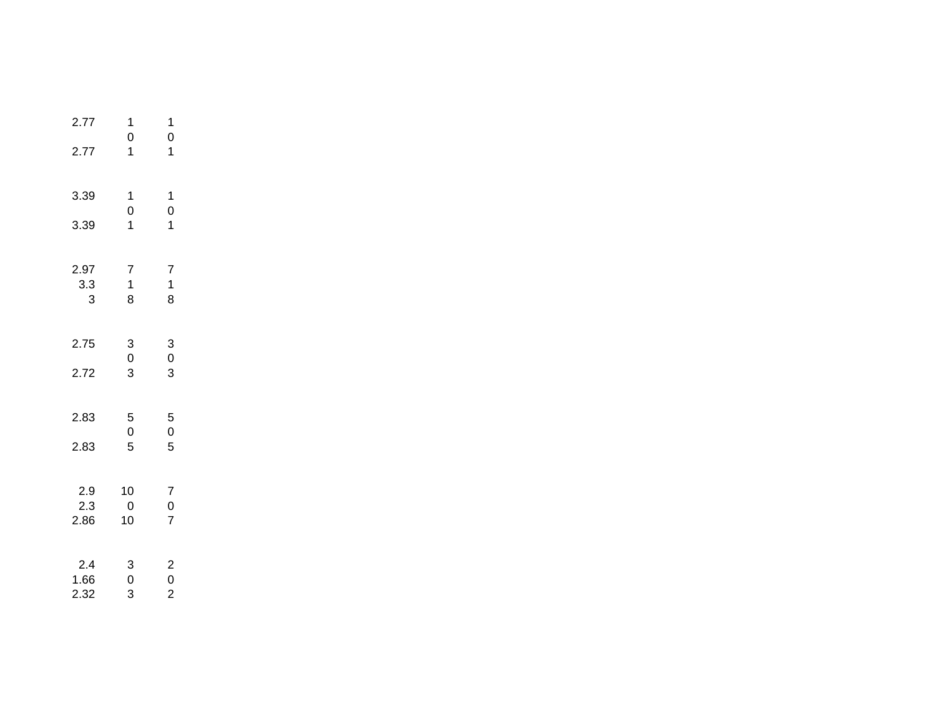| 2.77<br>2.77        | 1<br>$\mathbf 0$<br>$\overline{\mathbf{1}}$ | 1<br>$\mathbf 0$<br>1                      |
|---------------------|---------------------------------------------|--------------------------------------------|
| 3.39<br>3.39        | 1<br>$\mathbf{0}$<br>$\overline{1}$         | 1<br>$\overline{0}$<br>$\overline{1}$      |
| 2.97<br>3.3<br>3    | 7<br>$\begin{array}{c} 1 \\ 8 \end{array}$  | $\overline{7}$<br>$\mathbf{1}$<br>8        |
| 2.75<br>2.72        | $\begin{array}{c} 3 \\ 0 \\ 3 \end{array}$  | $\begin{array}{c} 3 \\ 0 \\ 3 \end{array}$ |
| 2.83<br>2.83        | 5<br>0<br>5                                 | $\begin{array}{c} 5 \\ 0 \\ 5 \end{array}$ |
| 2.9<br>2.3<br>2.86  | 10<br>0<br>10                               | $\begin{array}{c} 7 \\ 0 \\ 7 \end{array}$ |
| 2.4<br>1.66<br>2.32 | 3<br>0<br>3                                 | $\begin{array}{c} 2 \\ 0 \\ 2 \end{array}$ |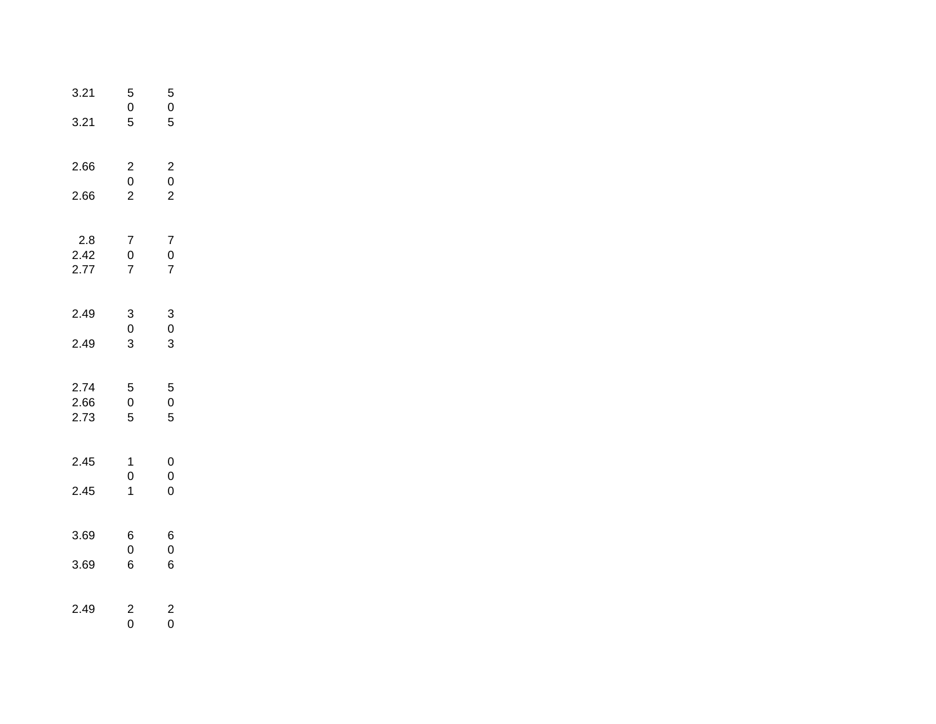| 3.21<br>3.21         | 5<br>$\begin{array}{c} 0 \\ 5 \end{array}$ | 5<br>$\overline{0}$<br>5                   |  |
|----------------------|--------------------------------------------|--------------------------------------------|--|
| 2.66                 |                                            |                                            |  |
| 2.66                 | $\begin{array}{c} 2 \\ 0 \\ 2 \end{array}$ | $\begin{array}{c} 2 \\ 0 \\ 2 \end{array}$ |  |
| 2.8<br>2.42<br>2.77  | 7<br>0<br>7                                | $\begin{array}{c} 7 \\ 0 \\ 7 \end{array}$ |  |
| 2.49                 | $\begin{array}{c} 3 \\ 0 \\ 3 \end{array}$ | $\begin{bmatrix} 3 \\ 0 \end{bmatrix}$     |  |
| 2.49                 |                                            | 3                                          |  |
| 2.74<br>2.66<br>2.73 | 5<br>$\overline{0}$<br>5                   | 5<br>$\overline{0}$<br>5                   |  |
| 2.45                 | 1                                          | 0<br>$\mathbf 0$                           |  |
| 2.45                 | $\begin{matrix}0\\1\end{matrix}$           | $\overline{0}$                             |  |
| 3.69                 | 6<br>0                                     | 6<br>0                                     |  |
| 3.69                 | 6                                          | 6                                          |  |
| 2.49                 | $\overline{\mathbf{c}}$<br>$\overline{0}$  | $\overline{\mathbf{c}}$<br>O               |  |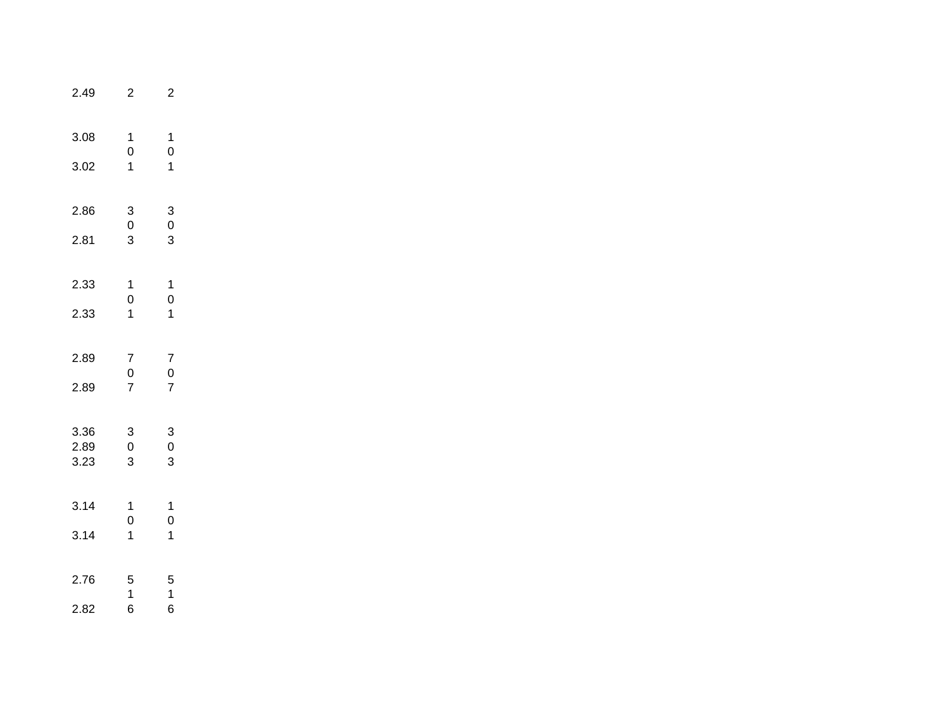| 2.49                 | 2                                          | 2                                                        |  |
|----------------------|--------------------------------------------|----------------------------------------------------------|--|
| 3.08<br>3.02         | 1<br>$\begin{array}{c} 0 \\ 1 \end{array}$ | 1<br>$\mathbf{0}$<br>$\overline{\mathbf{1}}$             |  |
| 2.86<br>2.81         | $\begin{array}{c} 3 \\ 0 \\ 3 \end{array}$ | $\begin{array}{c} 3 \\ 0 \\ 3 \end{array}$               |  |
| 2.33<br>2.33         | $\begin{array}{c} 1 \\ 0 \\ 1 \end{array}$ | $\ddot{\phantom{0}}$<br>$\begin{matrix}0\\1\end{matrix}$ |  |
| 2.89<br>2.89         | $\begin{array}{c} 7 \\ 0 \\ 7 \end{array}$ | $\begin{array}{c} 7 \\ 0 \\ 7 \end{array}$               |  |
| 3.36<br>2.89<br>3.23 | $\begin{array}{c} 3 \\ 0 \\ 3 \end{array}$ | $\begin{array}{c} 3 \\ 0 \\ 3 \end{array}$               |  |
| 3.14<br>3.14         | 1<br>$\mathbf{O}$<br>$\overline{1}$        | 1<br>$\mathbf{O}$<br>$\overline{1}$                      |  |
| 2.76<br>2.82         | 5<br>1<br>6                                | 5<br>$\mathbf 1$<br>6                                    |  |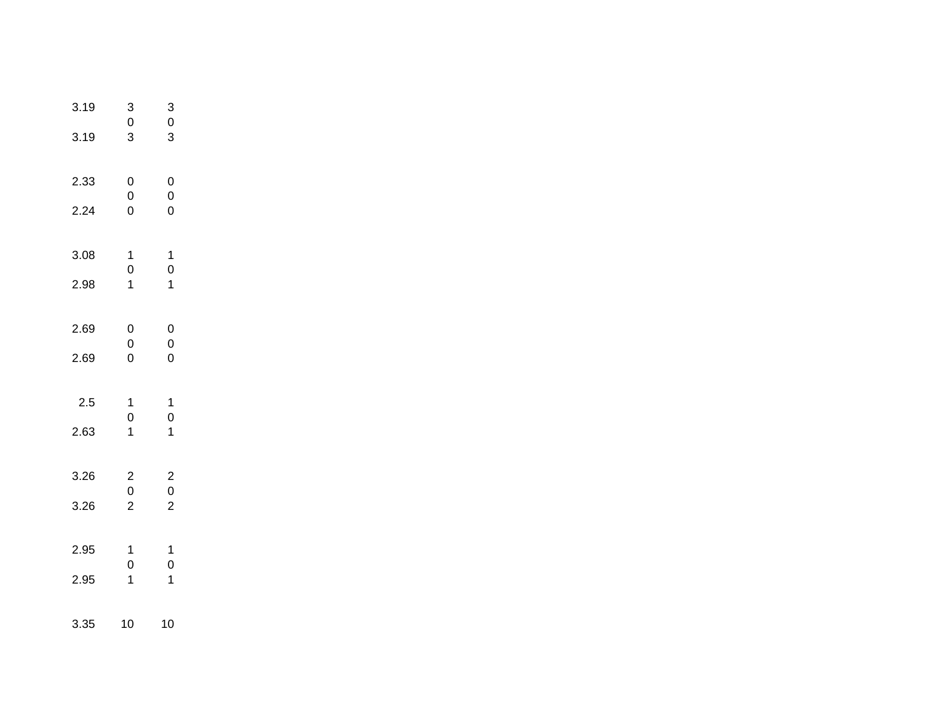| 3.19<br>3.19 | 3<br>0<br>3                                | 3<br>0<br>3                                |  |
|--------------|--------------------------------------------|--------------------------------------------|--|
| 2.33         | 0<br>$\mathbf 0$                           | 0<br>0                                     |  |
| 2.24         | $\overline{0}$                             | 0                                          |  |
| 3.08         | $\mathbf 1$<br>$\mathbf 0$                 | 1<br>$\overline{0}$                        |  |
| 2.98         | $\mathbf 1$                                | 1                                          |  |
| 2.69         | 0                                          | 0                                          |  |
| 2.69         | $\mathbf{0}$<br>0                          | $\overline{0}$<br>0                        |  |
|              |                                            |                                            |  |
| 2.5          | 1<br>$\mathbf 0$                           | 1<br>$\mathbf 0$                           |  |
| 2.63         | 1                                          | 1                                          |  |
| 3.26         |                                            |                                            |  |
| 3.26         | $\begin{array}{c} 2 \\ 0 \\ 2 \end{array}$ | $\begin{array}{c} 2 \\ 0 \\ 2 \end{array}$ |  |
| 2.95         | $\mathbf 1$                                | 1                                          |  |
| 2.95         | $\mathbf 0$<br>1                           | $\mathbf 0$<br>1                           |  |
|              |                                            |                                            |  |
| 3.35         | 10                                         | 10                                         |  |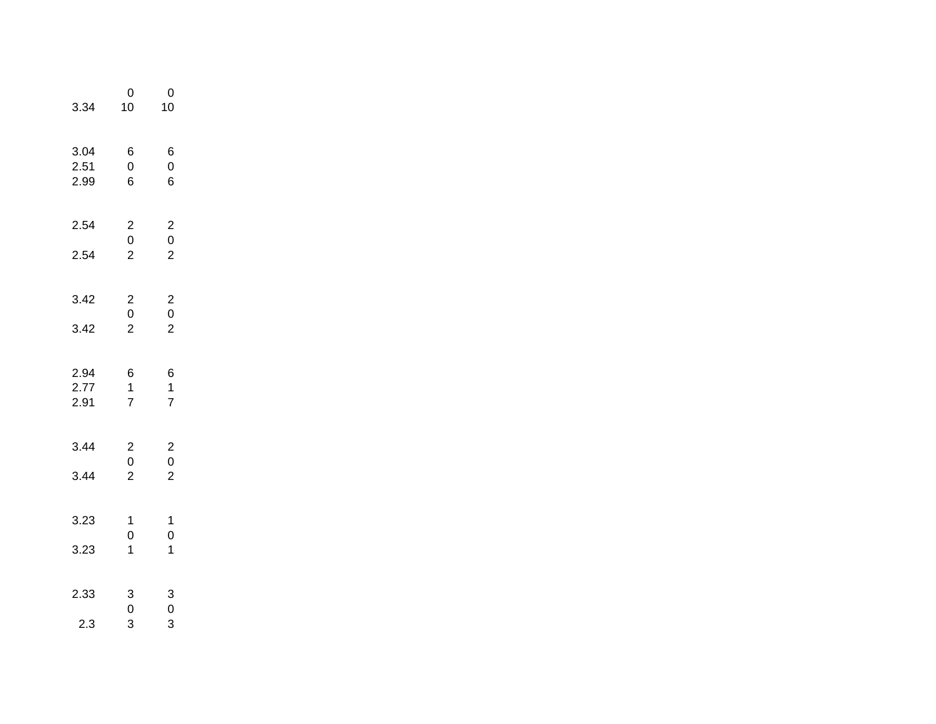| 3.34                 | 0<br>10                                    | $\mathbf{0}$<br>10                         |  |
|----------------------|--------------------------------------------|--------------------------------------------|--|
| 3.04<br>2.51<br>2.99 | 6<br>$\overline{0}$<br>6                   | 6<br>$\mathbf 0$<br>6                      |  |
| 2.54                 | $\begin{array}{c} 2 \\ 0 \\ 2 \end{array}$ | $\begin{array}{c} 2 \\ 0 \\ 2 \end{array}$ |  |
| 2.54                 |                                            |                                            |  |
| 3.42                 | $\begin{array}{c} 2 \\ 0 \\ 2 \end{array}$ | $\begin{array}{c} 2 \\ 0 \\ 2 \end{array}$ |  |
| 3.42                 |                                            |                                            |  |
| 2.94<br>2.77<br>2.91 | $\begin{array}{c} 6 \\ 1 \\ 7 \end{array}$ | $\begin{array}{c} 6 \\ 1 \\ 7 \end{array}$ |  |
| 3.44                 | $\begin{array}{c} 2 \\ 0 \\ 2 \end{array}$ | $\begin{array}{c} 2 \\ 0 \\ 2 \end{array}$ |  |
| 3.44                 |                                            |                                            |  |
| 3.23                 | 1                                          | 1                                          |  |
| 3.23                 | $\begin{matrix} 0 \\ 1 \end{matrix}$       | $\begin{matrix} 0 \\ 1 \end{matrix}$       |  |
| 2.33                 | $\begin{array}{c} 3 \\ 0 \\ 3 \end{array}$ | $\begin{array}{c} 3 \\ 0 \\ 3 \end{array}$ |  |
| 2.3                  |                                            |                                            |  |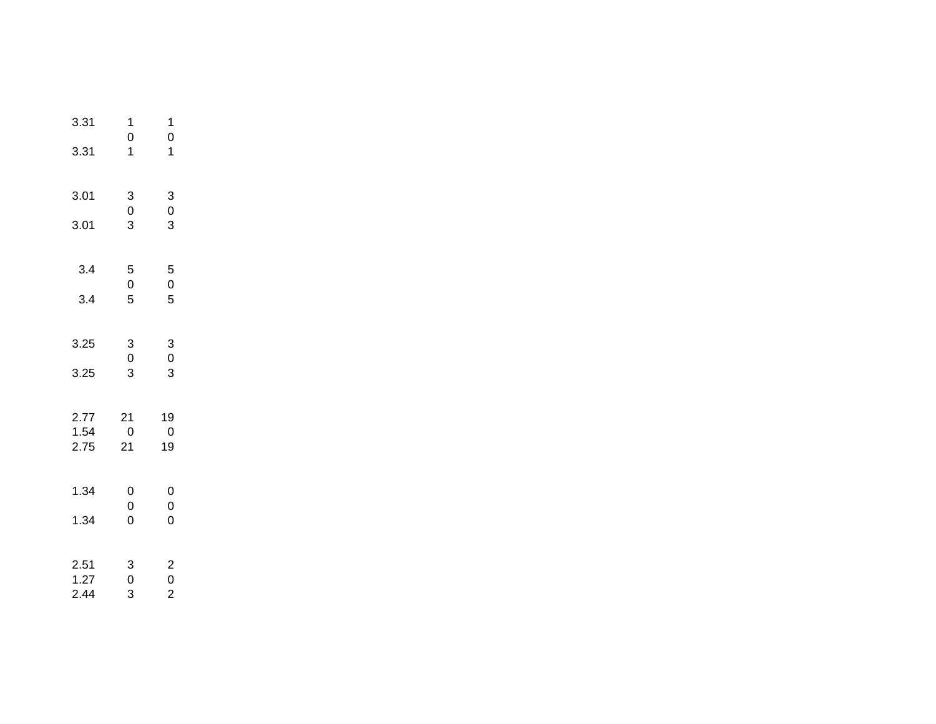| 3.31                 | 1                                          | 1                                          |
|----------------------|--------------------------------------------|--------------------------------------------|
| 3.31                 | $\mathbf{0}$<br>$\overline{1}$             | $\mathbf{0}$<br>1                          |
| 3.01                 | $\begin{array}{c} 3 \\ 0 \\ 3 \end{array}$ | $\begin{array}{c} 3 \\ 0 \\ 3 \end{array}$ |
| 3.01                 |                                            |                                            |
| 3.4                  | 5<br>$\mathbf 0$                           | 5<br>$\mathbf 0$                           |
| 3.4                  | 5                                          | 5                                          |
| 3.25                 | 3<br>0                                     | $\begin{bmatrix} 3 \\ 0 \end{bmatrix}$     |
| 3.25                 | 3                                          | 3                                          |
| 2.77<br>1.54<br>2.75 | 21<br>$\overline{0}$<br>21                 | 19<br>0<br>19                              |
| 1.34                 | 0<br>$\mathbf 0$                           | $\mathbf 0$<br>$\mathbf 0$                 |
| 1.34                 | $\overline{0}$                             | $\overline{0}$                             |
| 2.51<br>1.27<br>2.44 | $\begin{array}{c} 3 \\ 0 \\ 3 \end{array}$ | $\begin{array}{c} 2 \\ 0 \\ 2 \end{array}$ |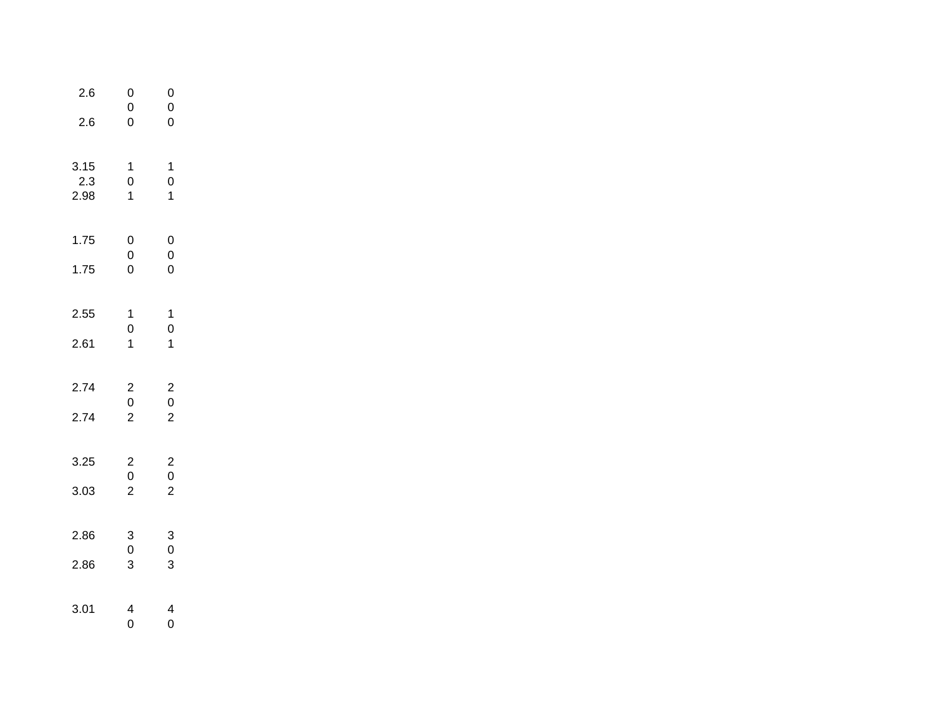| 2.6<br>2.6          | 0<br>$\mathbf{0}$<br>$\overline{0}$        | 0<br>0<br>O                                |  |
|---------------------|--------------------------------------------|--------------------------------------------|--|
| 3.15<br>2.3<br>2.98 | $\mathbf 1$<br>$\mathbf 0$<br>$\mathbf 1$  | $\mathbf{1}$<br>$\mathbf 0$<br>$\mathbf 1$ |  |
| 1.75<br>1.75        | $\begin{array}{c} 0 \\ 0 \\ 0 \end{array}$ | 0<br>$\mathbf{0}$<br>$\overline{0}$        |  |
| 2.55<br>2.61        | 1<br>$\begin{array}{c} 0 \\ 1 \end{array}$ | 1<br>$\overline{0}$<br>$\overline{1}$      |  |
| 2.74<br>2.74        | $\begin{array}{c} 2 \\ 0 \\ 2 \end{array}$ | $\begin{array}{c} 2 \\ 0 \\ 2 \end{array}$ |  |
| 3.25<br>3.03        | $\begin{array}{c} 2 \\ 0 \\ 2 \end{array}$ | $\begin{array}{c} 2 \\ 0 \\ 2 \end{array}$ |  |
| 2.86<br>2.86        | 3<br>$\mathbf 0$<br>3                      | 3<br>$\mathbf 0$<br>3                      |  |
| 3.01                | $\overline{\mathcal{A}}$<br>0              | 4<br>0                                     |  |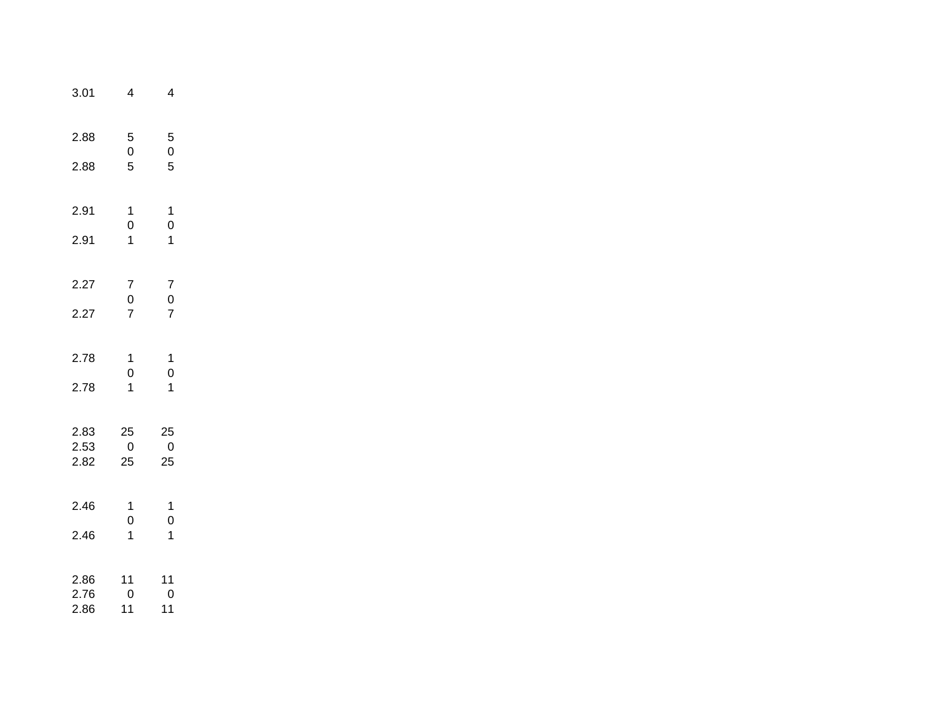| 3.01         | 4                                          | 4                                          |  |
|--------------|--------------------------------------------|--------------------------------------------|--|
| 2.88<br>2.88 | 5<br>$\begin{array}{c} 0 \\ 5 \end{array}$ | $\begin{array}{c} 5 \\ 0 \\ 5 \end{array}$ |  |
| 2.91         | 1                                          | $\mathbf 1$                                |  |
| 2.91         | $\begin{matrix} 0 \\ 1 \end{matrix}$       | $\begin{matrix} 0 \\ 1 \end{matrix}$       |  |
| 2.27         | 7                                          | $\overline{7}$                             |  |
| 2.27         | $\begin{array}{c} 0 \\ 7 \end{array}$      | $\begin{array}{c} 0 \\ 7 \end{array}$      |  |
| 2.78<br>2.78 | 1<br>0<br>$\overline{1}$                   | 1<br>$\overline{0}$<br>$\overline{1}$      |  |
| 2.83         | 25                                         | 25                                         |  |
| 2.53         | $\overline{0}$                             | $\boldsymbol{0}$                           |  |
| 2.82         | 25                                         | 25                                         |  |
| 2.46<br>2.46 | 1<br>$\overline{0}$<br>$\mathbf{1}$        | 1<br>$\overline{0}$<br>$\mathbf{1}$        |  |
| 2.86         | 11                                         | 11                                         |  |
| 2.76         | $\overline{0}$                             | $\overline{0}$                             |  |
| 2.86         | 11                                         | 11                                         |  |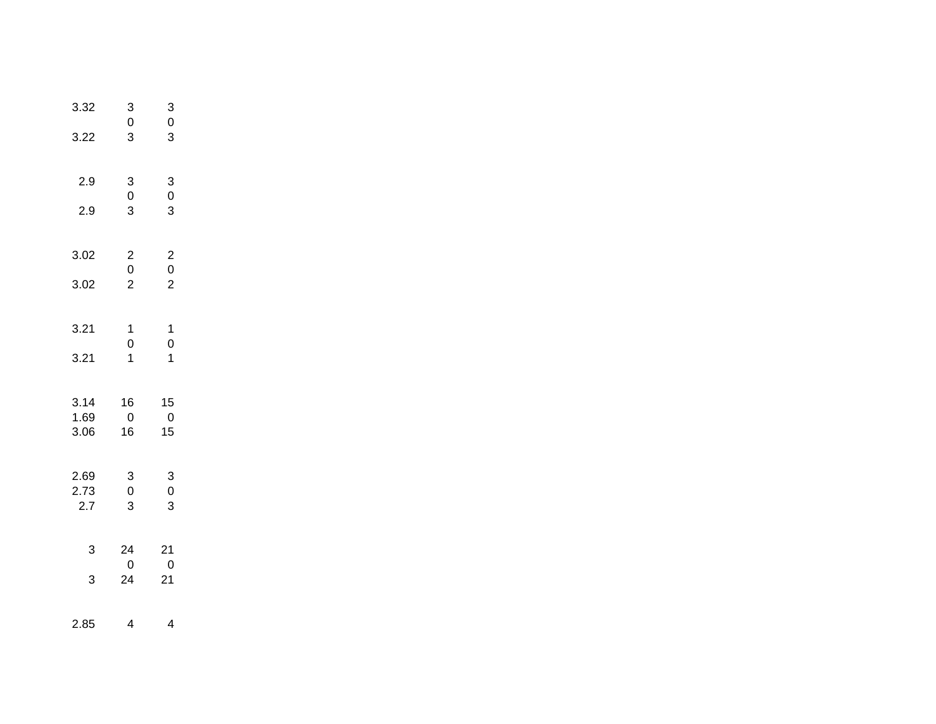| 3.32         | 3<br>0                                     | 3<br>$\mathbf 0$                           |  |
|--------------|--------------------------------------------|--------------------------------------------|--|
| 3.22         | 3                                          | 3                                          |  |
| 2.9          | 3<br>$\overline{0}$                        | $\begin{array}{c} 3 \\ 0 \\ 3 \end{array}$ |  |
| 2.9          | 3                                          |                                            |  |
| 3.02         | $\begin{array}{c} 2 \\ 0 \\ 2 \end{array}$ | $\begin{array}{c} 2 \\ 0 \\ 2 \end{array}$ |  |
| 3.02         |                                            |                                            |  |
| 3.21         | $\mathbf{1}$<br>$\overline{0}$             | $\mathbf 1$<br>$\overline{0}$              |  |
| 3.21         | $\overline{1}$                             | 1                                          |  |
| 3.14<br>1.69 | 16<br>$\overline{0}$                       | 15<br>$\pmb{0}$                            |  |
| 3.06         | 16                                         | 15                                         |  |
| 2.69<br>2.73 | 3<br>$\mathsf{O}\xspace$                   | $\begin{array}{c} 3 \\ 0 \end{array}$      |  |
| 2.7          | 3                                          | 3                                          |  |
| 3            | 24<br>$\overline{0}$                       | 21<br>$\overline{0}$                       |  |
| 3            | 24                                         | 21                                         |  |
| 2.85         | 4                                          | 4                                          |  |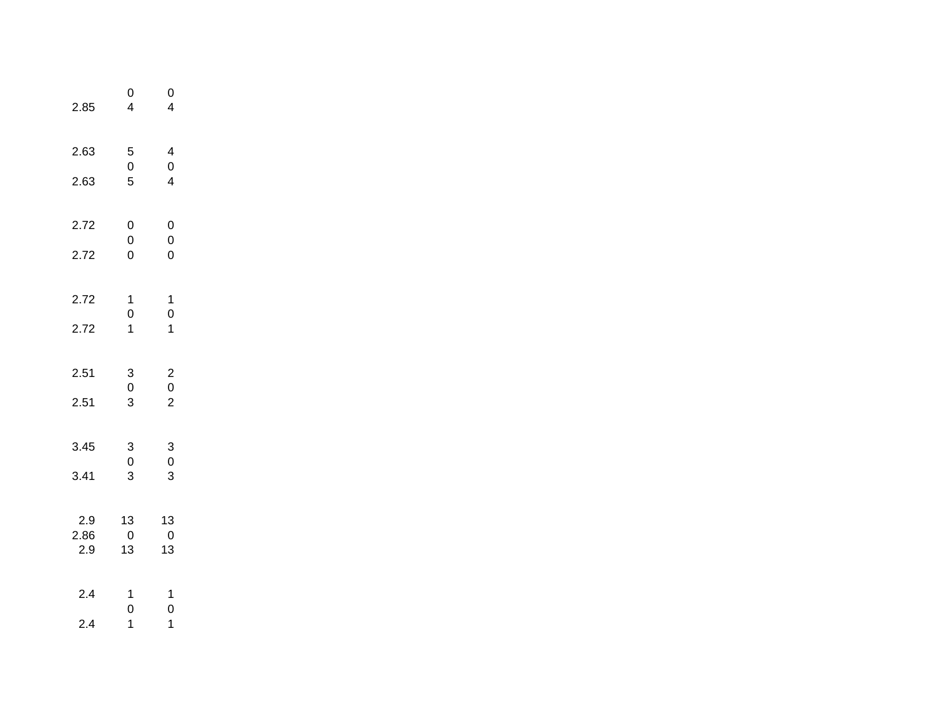| 2.85            | 0<br>4                                     | $\mathbf{0}$<br>4                                |  |
|-----------------|--------------------------------------------|--------------------------------------------------|--|
| 2.63            | 5<br>$\mathbf{0}$                          | $\overline{\mathcal{L}}$<br>$\mathbf{0}$         |  |
| 2.63            | 5                                          | $\overline{4}$                                   |  |
| 2.72            | 0<br>$\overline{0}$                        | $\mathbf 0$<br>$\mathbf{0}$                      |  |
| 2.72            | 0                                          | $\overline{0}$                                   |  |
| 2.72            | $\mathbf 1$<br>$\overline{0}$              | $\mathbf{1}$<br>$\begin{matrix}0\\1\end{matrix}$ |  |
| 2.72            | $\overline{1}$                             |                                                  |  |
| 2.51            | $\begin{array}{c} 3 \\ 0 \\ 3 \end{array}$ | $\begin{array}{c} 2 \\ 0 \\ 2 \end{array}$       |  |
| 2.51            |                                            |                                                  |  |
| 3.45            | 3<br>$\mathbf 0$                           | $\begin{array}{c} 3 \\ 0 \\ 3 \end{array}$       |  |
| 3.41            | 3                                          |                                                  |  |
| $2.9\,$<br>2.86 | 13<br>$\overline{0}$                       | 13<br>$\overline{0}$                             |  |
| 2.9             | 13                                         | 13                                               |  |
| 2.4             | 1<br>$\mathbf 0$                           | $\mathbf{1}$<br>$\mathbf 0$                      |  |
| 2.4             | $\mathbf{1}$                               | $\overline{\mathbf{1}}$                          |  |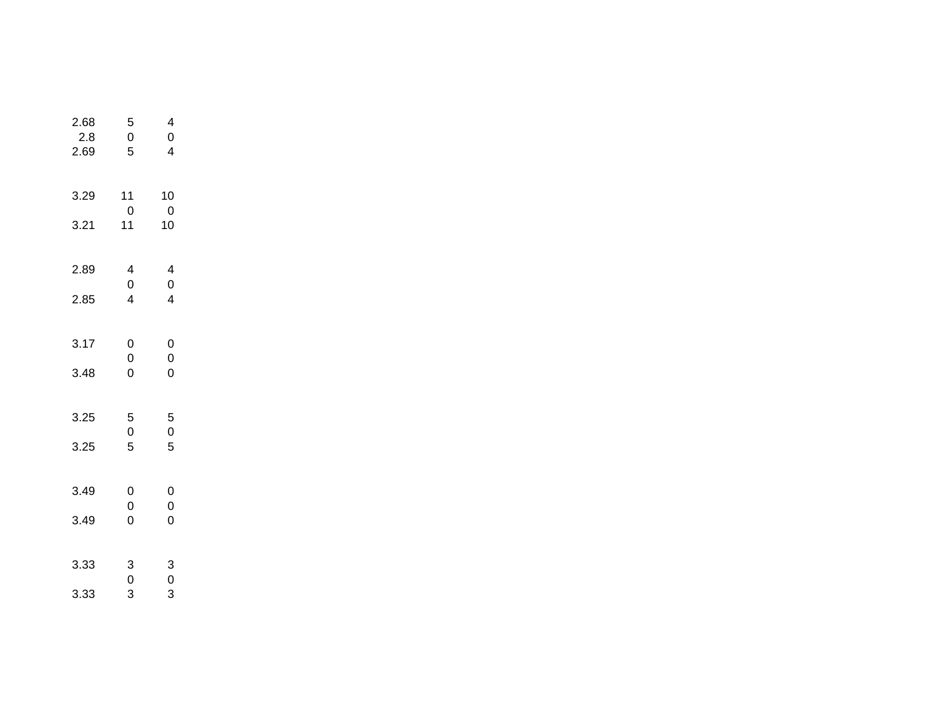| 2.68<br>2.8<br>2.69 | 5<br>$\overline{0}$<br>5                   | 4<br>0<br>4              |
|---------------------|--------------------------------------------|--------------------------|
| 3.29<br>3.21        | 11<br>0<br>11                              | 10<br>0<br>10            |
| 2.89<br>2.85        | 4<br>0<br>4                                | 4<br>0<br>4              |
| 3.17<br>3.48        | 0<br>0<br>$\overline{0}$                   | 0<br>0<br>$\overline{0}$ |
| 3.25<br>3.25        | 5<br>$\mathbf 0$<br>5                      | 5<br>$\overline{0}$<br>5 |
| 3.49<br>3.49        | 0<br>0<br>$\overline{0}$                   | 0<br>0<br>O              |
| 3.33<br>3.33        | $\begin{array}{c} 3 \\ 0 \\ 3 \end{array}$ | 3<br>0<br>3              |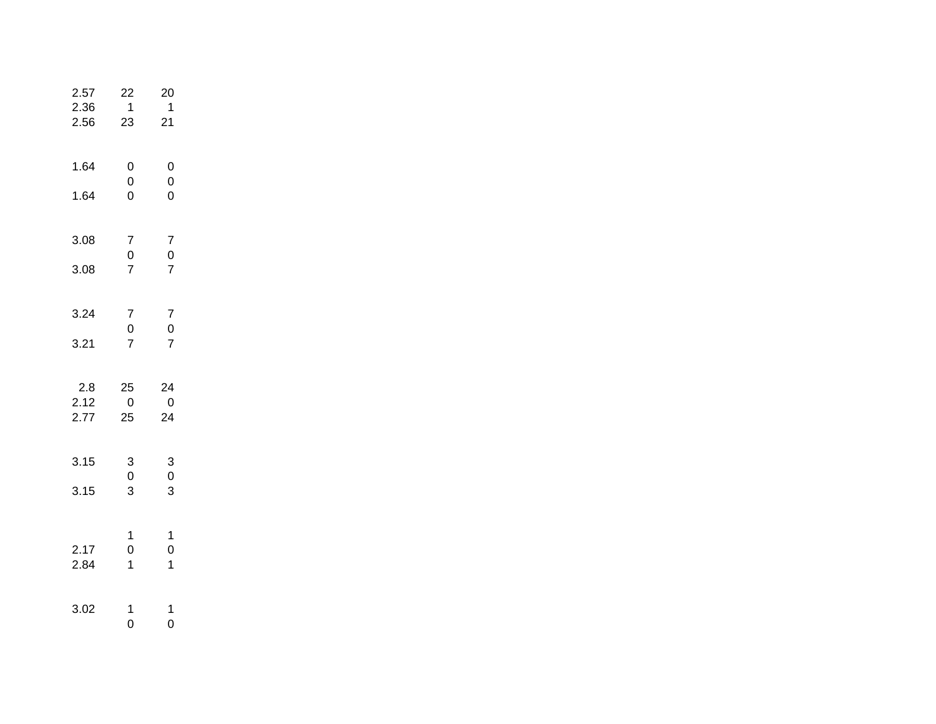| 2.57<br>2.36<br>2.56 | 22<br>$\mathbf{1}$<br>23              | 20<br>$\mathbf{1}$<br>21                   |  |
|----------------------|---------------------------------------|--------------------------------------------|--|
| 1.64                 | 0<br>$\overline{0}$                   | 0<br>$\mathbf{0}$                          |  |
| 1.64                 | $\overline{0}$                        | $\overline{0}$                             |  |
| 3.08                 | 7                                     | $\begin{array}{c} 7 \\ 0 \\ 7 \end{array}$ |  |
| 3.08                 | $\begin{array}{c} 0 \\ 7 \end{array}$ |                                            |  |
| 3.24                 | 7                                     | 7                                          |  |
| 3.21                 | $\mathbf{0}$<br>$\overline{7}$        | $\begin{array}{c} 0 \\ 7 \end{array}$      |  |
| 2.8                  | 25                                    | 24<br>$\overline{0}$                       |  |
| 2.12<br>2.77         | $\overline{0}$<br>25                  | 24                                         |  |
| 3.15                 | 3<br>$\mathsf 0$                      | $\begin{array}{c} 3 \\ 0 \end{array}$      |  |
| 3.15                 | 3                                     | 3                                          |  |
|                      | $\mathbf 1$                           | 1                                          |  |
| 2.17<br>2.84         | $\mathbf 0$<br>$\overline{1}$         | $\mathbf{0}$<br>$\overline{1}$             |  |
| 3.02                 | 1                                     | 1                                          |  |
|                      | 0                                     | 0                                          |  |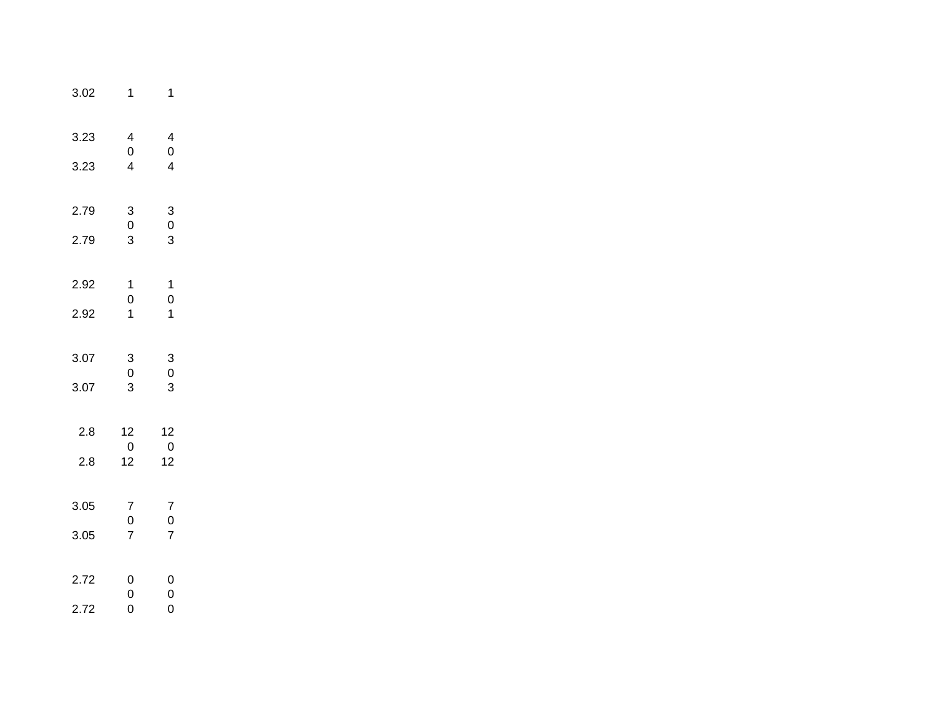| 3.02         | 1                                                                         | 1                                           |
|--------------|---------------------------------------------------------------------------|---------------------------------------------|
| 3.23<br>3.23 | $\overline{\mathbf{4}}$<br>$\mathsf{O}\xspace$<br>$\overline{\mathbf{4}}$ | 4<br>$\mathbf 0$<br>$\overline{4}$          |
| 2.79<br>2.79 | 3<br>$\pmb{0}$<br>3                                                       | 3<br>$\mathbf 0$<br>3                       |
| 2.92<br>2.92 | $\mathbf 1$<br>$\mathbf{0}$<br>$\overline{1}$                             | $\mathbf 1$<br>$\mathbf{0}$<br>$\mathbf{1}$ |
| 3.07<br>3.07 | 3<br>$\mathsf 0$<br>3                                                     | 3<br>$\mathbf 0$<br>3                       |
| 2.8<br>2.8   | 12<br>$\overline{0}$<br>12                                                | 12<br>$\overline{0}$<br>12                  |
| 3.05<br>3.05 | 7<br>$\bf{0}$<br>$\overline{7}$                                           | 7<br>$\boldsymbol{0}$<br>$\overline{7}$     |
| 2.72<br>2.72 | 0<br>$\mathbf 0$<br>$\overline{0}$                                        | 0<br>$\mathbf 0$<br>$\overline{0}$          |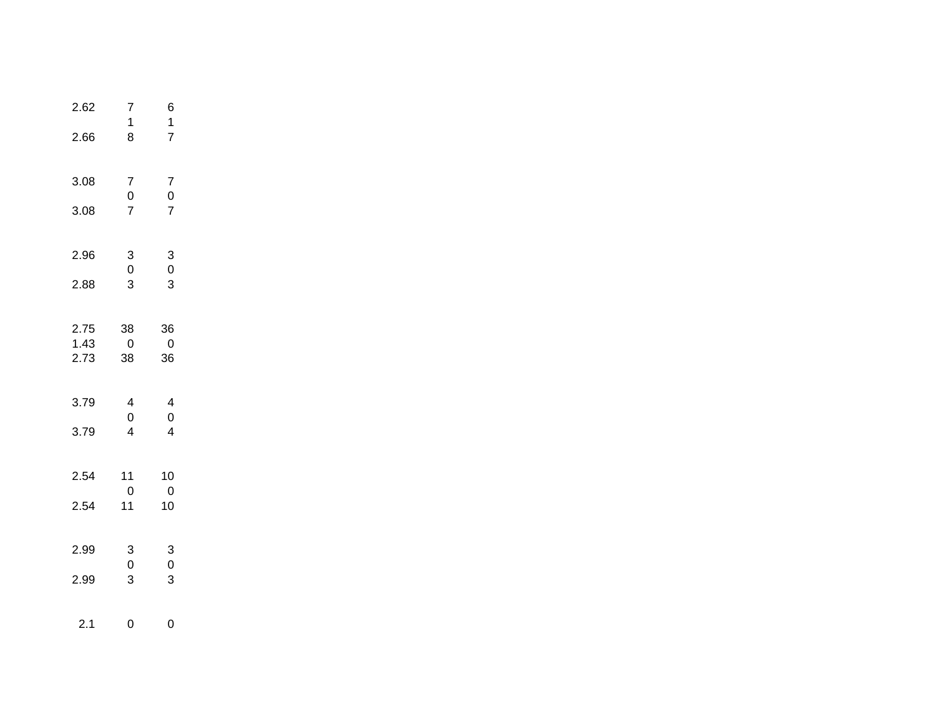| 2.62         | 7<br>1                                     | 6<br>$\mathbf 1$                       |  |
|--------------|--------------------------------------------|----------------------------------------|--|
| 2.66         | 8                                          | $\overline{7}$                         |  |
| 3.08         | $\overline{7}$                             | $\overline{7}$                         |  |
| 3.08         | $\begin{array}{c} 0 \\ 7 \end{array}$      | $\begin{array}{c} 0 \\ 7 \end{array}$  |  |
| 2.96         | $\begin{array}{c} 3 \\ 0 \\ 3 \end{array}$ | $\begin{bmatrix} 3 \\ 0 \end{bmatrix}$ |  |
| 2.88         |                                            | $\overline{3}$                         |  |
| 2.75         | 38                                         | 36                                     |  |
| 1.43<br>2.73 | 0<br>38                                    | 0<br>36                                |  |
| 3.79         | $\overline{\mathbf{4}}$<br>$\mathsf 0$     | $\overline{\mathbf{4}}$<br>$\mathbf 0$ |  |
| 3.79         | $\overline{4}$                             | $\overline{4}$                         |  |
| 2.54         | 11<br>$\pmb{0}$                            | 10<br>$\overline{0}$                   |  |
| 2.54         | 11                                         | 10                                     |  |
| 2.99         | 3<br>$\pmb{0}$                             | $\mathbf{3}$<br>$\overline{0}$         |  |
| 2.99         | 3                                          | 3                                      |  |
| 2.1          | 0                                          | 0                                      |  |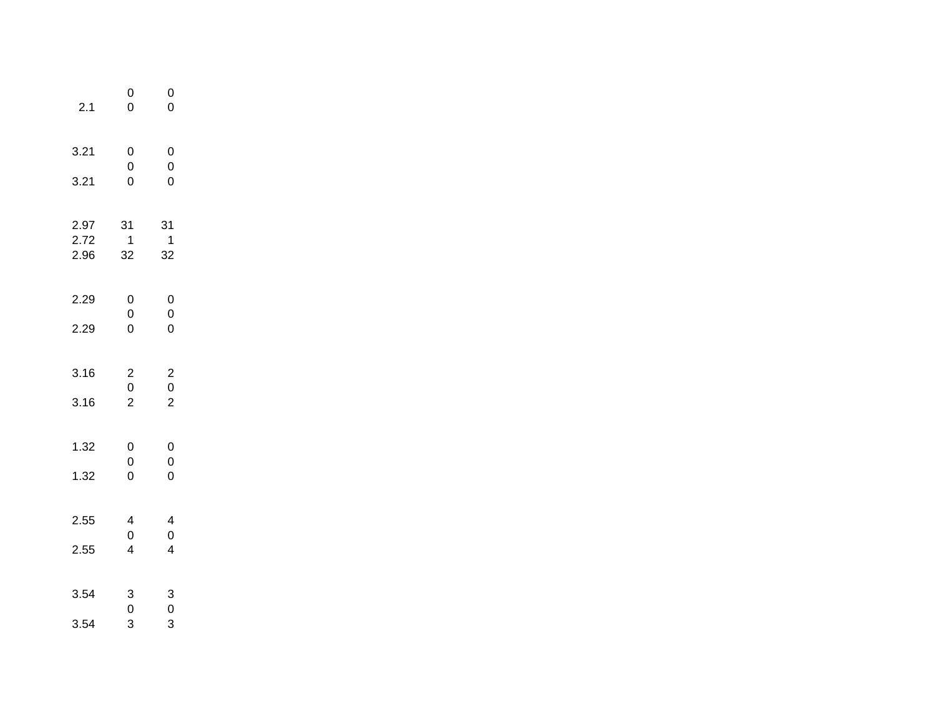| 2.1                  | $\mathbf{0}$<br>$\overline{0}$                                     | $\mathbf{0}$<br>$\overline{0}$                                      |
|----------------------|--------------------------------------------------------------------|---------------------------------------------------------------------|
| 3.21<br>3.21         | $\mathbf 0$<br>$\begin{matrix}0\\0\end{matrix}$                    | $\mathbf 0$<br>$\begin{matrix}0\\0\end{matrix}$                     |
| 2.97<br>2.72<br>2.96 | 31<br>$\overline{\mathbf{1}}$<br>32                                | 31<br>$\mathbf{1}$<br>32                                            |
| 2.29<br>2.29         | $\begin{array}{c} 0 \\ 0 \\ 0 \end{array}$                         | $\begin{array}{c} 0 \\ 0 \\ 0 \end{array}$                          |
| 3.16<br>3.16         | $\begin{array}{c} 2 \\ 0 \\ 2 \end{array}$                         | $\begin{array}{c} 2 \\ 0 \\ 2 \end{array}$                          |
| 1.32<br>1.32         | $\mathbf{0}$<br>$\begin{matrix}0\\0\end{matrix}$                   | $\mathbf 0$<br>$\mathbf{O}$<br>$\overline{0}$                       |
| 2.55<br>2.55         | $\overline{\mathcal{L}}$<br>$\mathbf 0$<br>$\overline{\mathbf{4}}$ | $\overline{\mathcal{L}}$<br>$\mathbf{0}$<br>$\overline{\mathbf{4}}$ |
| 3.54<br>3.54         | $\begin{array}{c} 3 \\ 0 \\ 3 \end{array}$                         | $\begin{array}{c} 3 \\ 0 \\ 3 \end{array}$                          |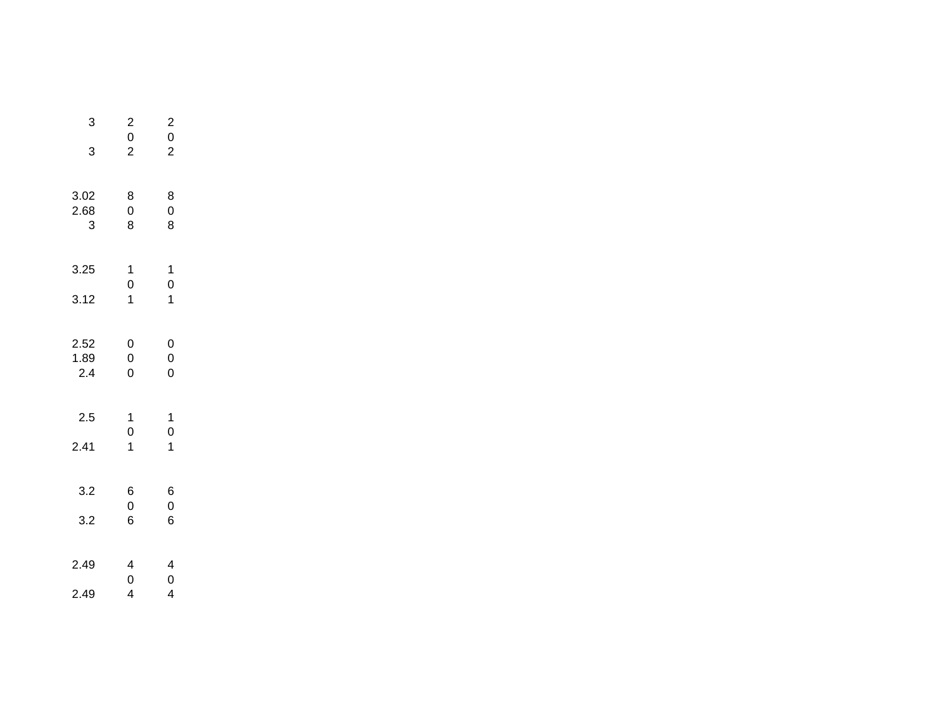| 3                 | $\begin{array}{c} 2 \\ 0 \\ 2 \end{array}$ | $\overline{\mathbf{c}}$<br>$\overline{0}$ |
|-------------------|--------------------------------------------|-------------------------------------------|
| 3                 |                                            | $\overline{c}$                            |
| 3.02<br>2.68<br>3 | 8<br>$\overline{0}$<br>8                   | 8<br>$\mathbf{0}$<br>8                    |
| 3.25              | $\begin{array}{c} 1 \\ 0 \end{array}$      | 1<br>$\mathbf{O}$                         |
| 3.12              | $\overline{1}$                             | 1                                         |
| 2.52              | $\mathbf{0}$                               | $\mathbf{0}$                              |
| 1.89<br>2.4       | $\mathbf{0}$<br>$\overline{0}$             | $\mathbf{0}$<br>0                         |
| 2.5               | 1<br>$\mathbf{O}$                          | 1<br>$\mathbf 0$                          |
| 2.41              | $\overline{1}$                             | 1                                         |
| 3.2               | 6<br>$\mathbf{0}$                          | 6<br>$\mathbf 0$                          |
| 3.2               | 6                                          | 6                                         |
| 2.49              | $\frac{4}{0}$                              | 4<br>$\mathbf 0$                          |
| 2.49              | 4                                          | 4                                         |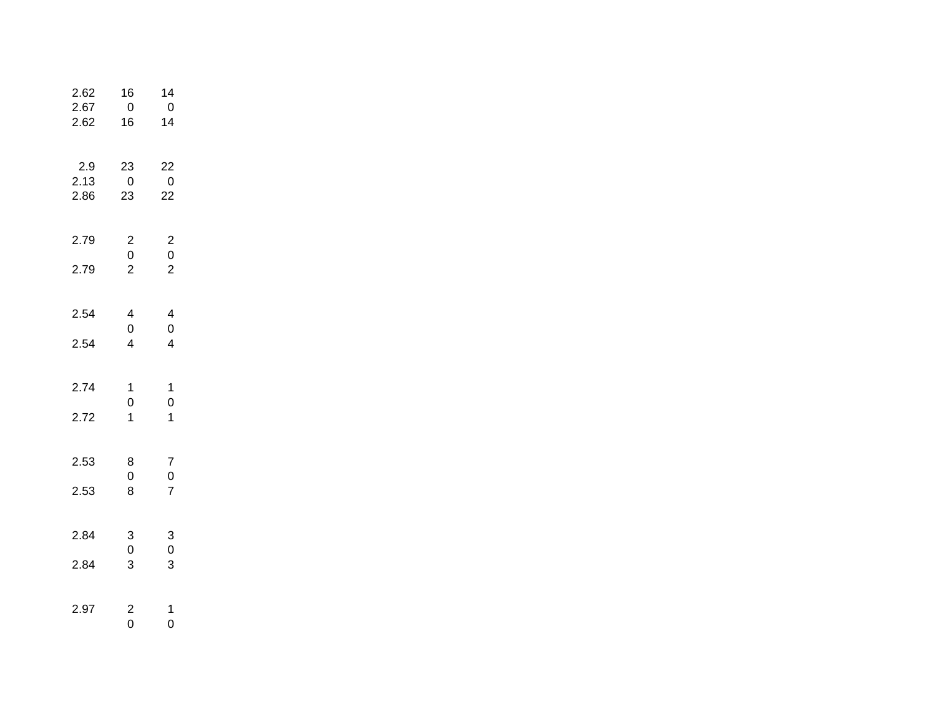| 2.62<br>2.67<br>2.62 | 16<br>$\overline{0}$<br>16                                        | 14<br>$\pmb{0}$<br>14                            |  |
|----------------------|-------------------------------------------------------------------|--------------------------------------------------|--|
| 2.9<br>2.13<br>2.86  | 23<br>$\overline{0}$<br>23                                        | 22<br>$\overline{0}$<br>22                       |  |
| 2.79<br>2.79         | $\begin{array}{c} 2 \\ 0 \\ 2 \end{array}$                        | $\begin{array}{c} 2 \\ 0 \\ 2 \end{array}$       |  |
| 2.54<br>2.54         | $\overline{\mathbf{4}}$<br>$\mathbf 0$<br>$\overline{\mathbf{4}}$ | 4<br>$\mathbf 0$<br>$\overline{4}$               |  |
| 2.74<br>2.72         | 1<br>$\overline{0}$<br>$\mathbf{1}$                               | $\mathbf{1}$<br>$\overline{0}$<br>$\overline{1}$ |  |
| 2.53<br>2.53         | 8<br>0<br>8                                                       | 7<br>$\frac{0}{7}$                               |  |
| 2.84<br>2.84         | 3<br>$\mathsf 0$<br>3                                             | 3<br>$\pmb{0}$<br>3                              |  |
| 2.97                 | $\overline{\mathbf{c}}$<br>$\overline{0}$                         | $\mathbf{1}$<br>0                                |  |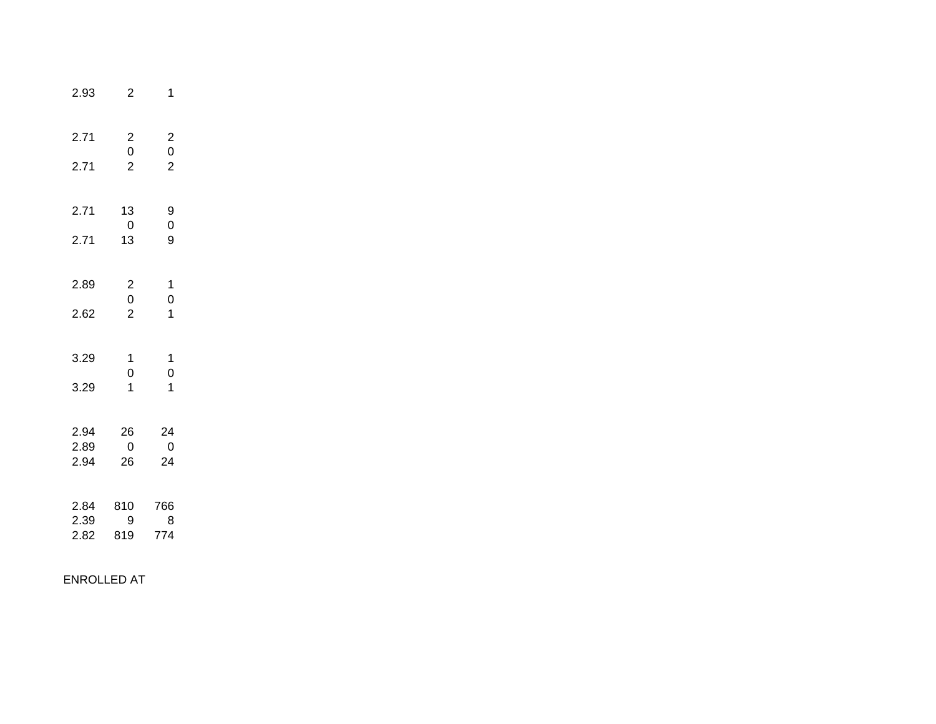| 2.93                 | $\overline{2}$                             | 1                                                         |
|----------------------|--------------------------------------------|-----------------------------------------------------------|
| 2.71<br>2.71         | $\begin{array}{c} 2 \\ 0 \\ 2 \end{array}$ | $\overline{\mathbf{c}}$<br>$\mathbf{0}$<br>$\overline{2}$ |
| 2.71<br>2.71         | 13<br>$\overline{0}$<br>13                 | 9<br>$\mathbf{0}$<br>9                                    |
| 2.89<br>2.62         | $\begin{array}{c} 2 \\ 0 \\ 2 \end{array}$ | 1<br>$\overline{0}$<br>$\mathbf{1}$                       |
| 3.29<br>3.29         | 1<br>$\overline{0}$<br>$\overline{1}$      | $\mathbf{1}$<br>$\overline{0}$<br>1                       |
| 2.94<br>2.89<br>2.94 | 26<br>0<br>26                              | 24<br>$\overline{\mathbf{0}}$<br>24                       |
| 2.84<br>2.39<br>2.82 | 810<br>9<br>819                            | 766<br>8<br>774                                           |

ENROLLED AT